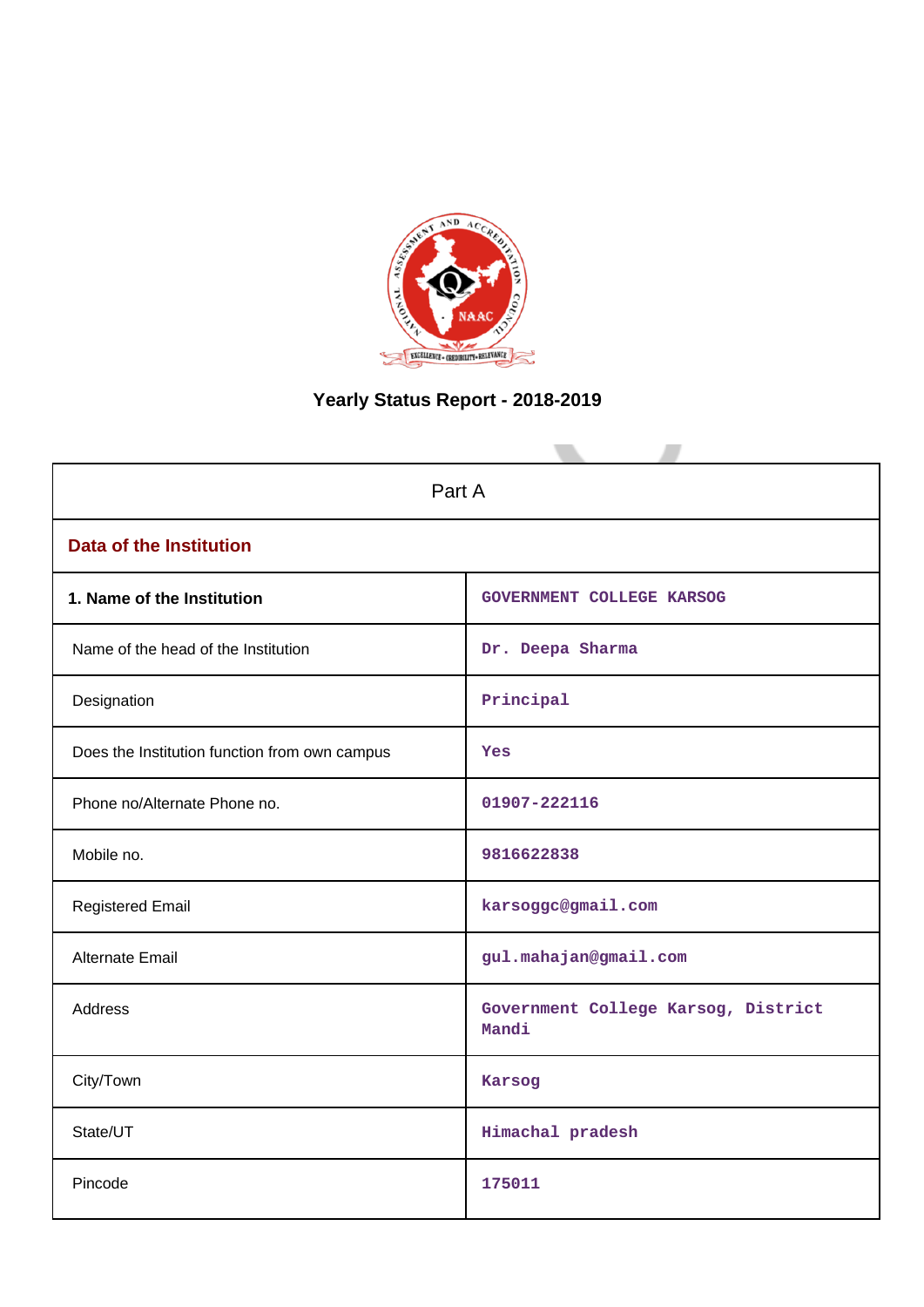

# **Yearly Status Report - 2018-2019**

| Part A                                        |                                              |  |  |
|-----------------------------------------------|----------------------------------------------|--|--|
| <b>Data of the Institution</b>                |                                              |  |  |
| 1. Name of the Institution                    | GOVERNMENT COLLEGE KARSOG                    |  |  |
| Name of the head of the Institution           | Dr. Deepa Sharma                             |  |  |
| Designation                                   | Principal                                    |  |  |
| Does the Institution function from own campus | Yes                                          |  |  |
| Phone no/Alternate Phone no.                  | 01907-222116                                 |  |  |
| Mobile no.                                    | 9816622838                                   |  |  |
| <b>Registered Email</b>                       | karsoggc@gmail.com                           |  |  |
| Alternate Email                               | gul.mahajan@gmail.com                        |  |  |
| Address                                       | Government College Karsog, District<br>Mandi |  |  |
| City/Town                                     | Karsog                                       |  |  |
| State/UT                                      | Himachal pradesh                             |  |  |
| Pincode                                       | 175011                                       |  |  |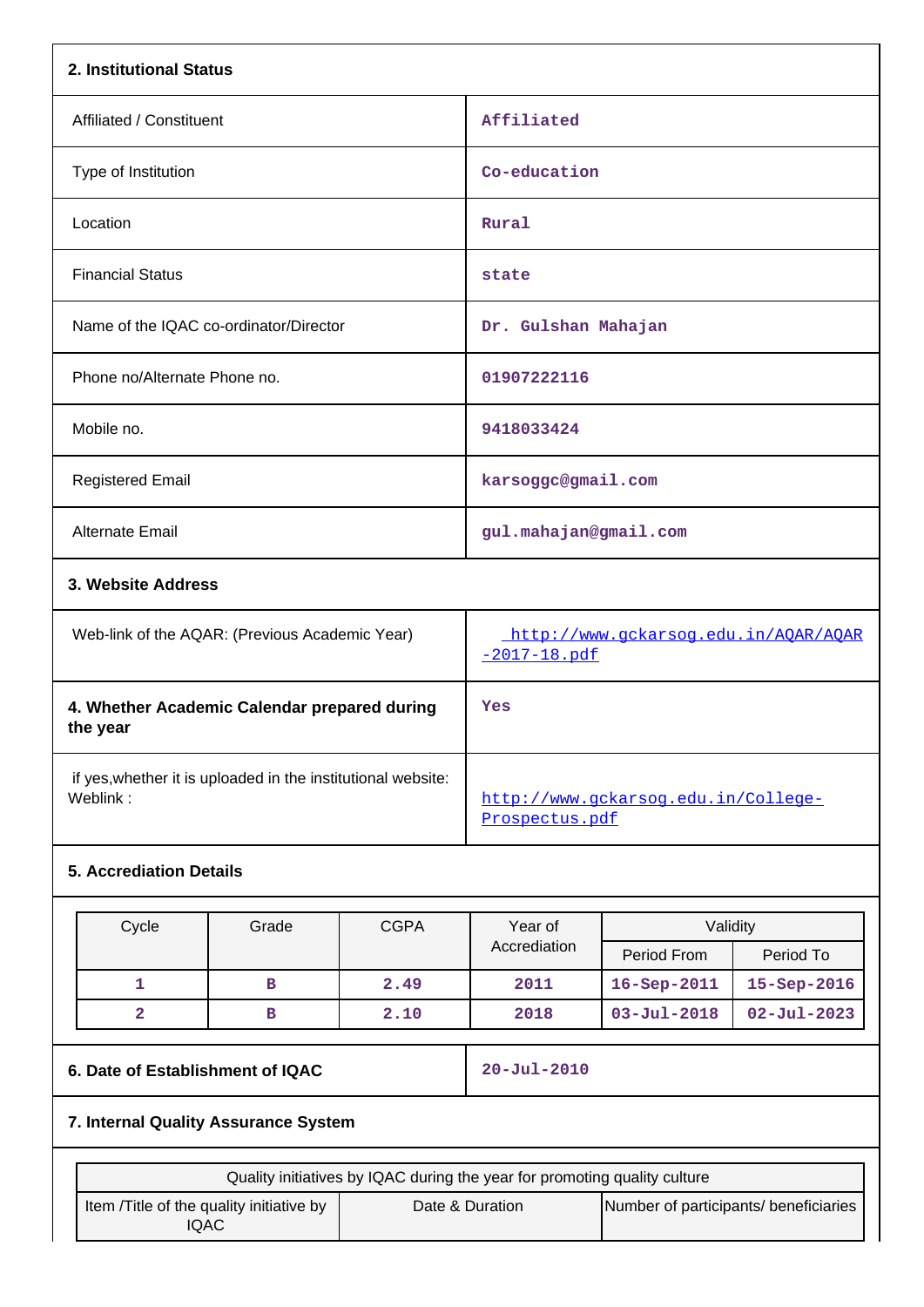| 2. Institutional Status                                  |                                                           |  |  |  |
|----------------------------------------------------------|-----------------------------------------------------------|--|--|--|
| Affiliated / Constituent                                 | Affiliated                                                |  |  |  |
| Type of Institution                                      | Co-education                                              |  |  |  |
| Location                                                 | Rural                                                     |  |  |  |
| <b>Financial Status</b>                                  | state                                                     |  |  |  |
| Name of the IQAC co-ordinator/Director                   | Dr. Gulshan Mahajan                                       |  |  |  |
| Phone no/Alternate Phone no.                             | 01907222116                                               |  |  |  |
| Mobile no.                                               | 9418033424                                                |  |  |  |
| <b>Registered Email</b>                                  | karsoggc@gmail.com                                        |  |  |  |
| Alternate Email                                          | gul.mahajan@gmail.com                                     |  |  |  |
| 3. Website Address                                       |                                                           |  |  |  |
| Web-link of the AQAR: (Previous Academic Year)           | http://www.gckarsog.edu.in/AOAR/AOAR<br>$-2017 - 18.$ pdf |  |  |  |
| 4. Whether Academic Calendar prepared during<br>the year | Yes                                                       |  |  |  |
|                                                          |                                                           |  |  |  |

 if yes,whether it is uploaded in the institutional website: [http://www.gckarsog.edu.in/College-](http://www.gckarsog.edu.in/College-Prospectus.pdf)

## **5. Accrediation Details**

| Cycle | Grade | <b>CGPA</b> | Year of<br>Accrediation | Validity          |                   |  |
|-------|-------|-------------|-------------------------|-------------------|-------------------|--|
|       |       |             |                         | Period From       | Period To         |  |
|       | в     | 2.49        | 2011                    | $16 - Sep-2011$   | $15 - Sep - 2016$ |  |
|       |       | 2.10        | 2018                    | $03 - Ju1 - 2018$ | $02 - Ju1 - 2023$ |  |

## **6. Date of Establishment of IQAC** 20-Jul-2010

[Prospectus.pdf](http://www.gckarsog.edu.in/College-Prospectus.pdf)

## **7. Internal Quality Assurance System**

| Quality initiatives by IQAC during the year for promoting quality culture |                 |                                       |  |  |
|---------------------------------------------------------------------------|-----------------|---------------------------------------|--|--|
| Item / Title of the quality initiative by<br>IQAC                         | Date & Duration | Number of participants/ beneficiaries |  |  |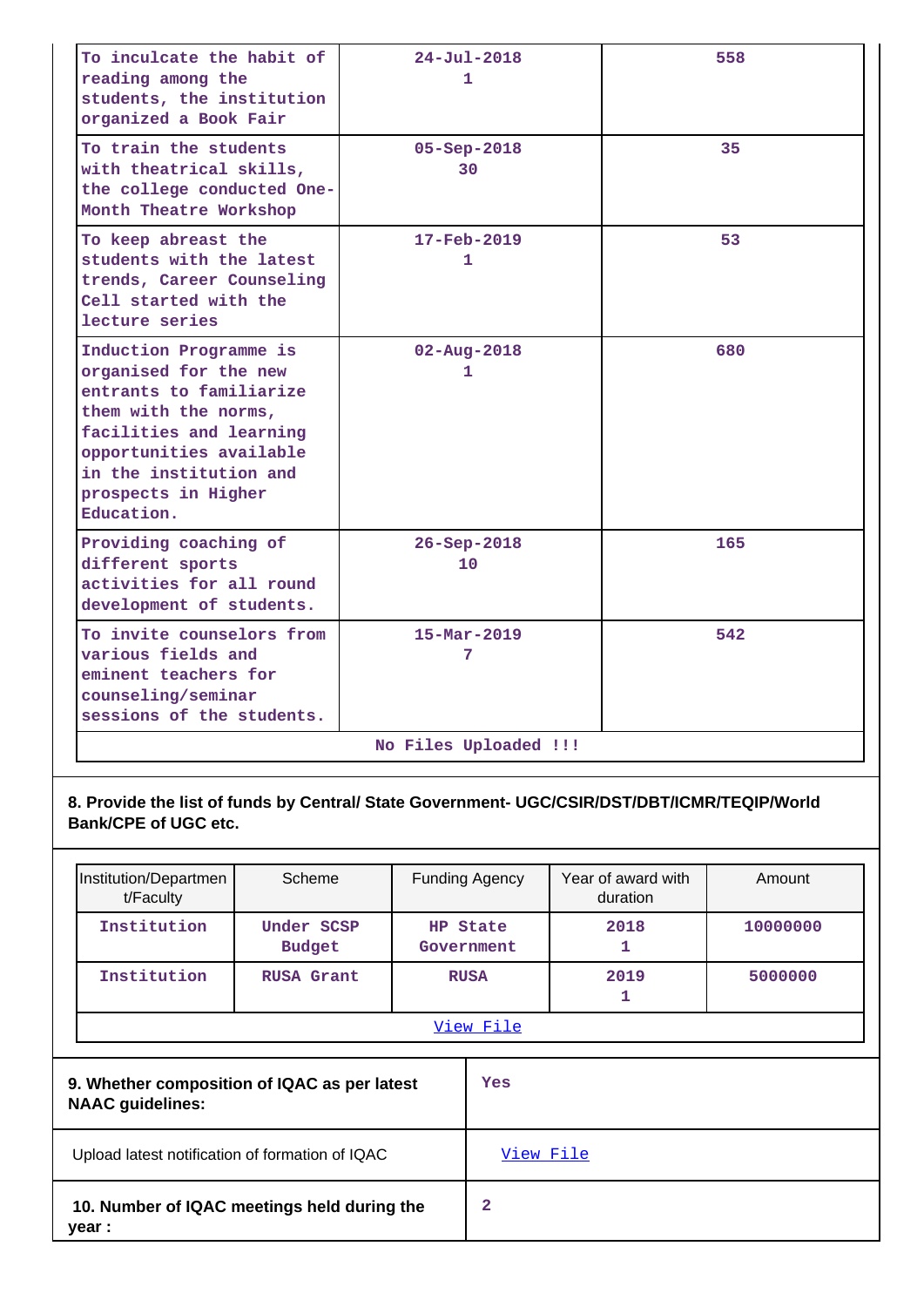| To inculcate the habit of<br>reading among the<br>students, the institution<br>organized a Book Fair                                                                                                                    | $24 - Ju1 - 2018$<br>1        | 558 |  |  |  |
|-------------------------------------------------------------------------------------------------------------------------------------------------------------------------------------------------------------------------|-------------------------------|-----|--|--|--|
| To train the students<br>with theatrical skills,<br>the college conducted One-<br>Month Theatre Workshop                                                                                                                | $05 - Sep - 2018$<br>30       | 35  |  |  |  |
| To keep abreast the<br>students with the latest<br>trends, Career Counseling<br>Cell started with the<br>lecture series                                                                                                 | $17 - \text{Feb} - 2019$<br>1 | 53  |  |  |  |
| Induction Programme is<br>organised for the new<br>entrants to familiarize<br>them with the norms,<br>facilities and learning<br>opportunities available<br>in the institution and<br>prospects in Higher<br>Education. | $02 - Aug - 2018$<br>1        | 680 |  |  |  |
| Providing coaching of<br>different sports<br>activities for all round<br>development of students.                                                                                                                       | $26 - Sep - 2018$<br>10       | 165 |  |  |  |
| To invite counselors from<br>various fields and<br>eminent teachers for<br>counseling/seminar<br>sessions of the students.                                                                                              | $15 - \text{Mar} - 2019$<br>7 | 542 |  |  |  |
| No Files Uploaded !!!                                                                                                                                                                                                   |                               |     |  |  |  |

**8. Provide the list of funds by Central/ State Government- UGC/CSIR/DST/DBT/ICMR/TEQIP/World Bank/CPE of UGC etc.**

| Institution/Departmen<br>t/Faculty                                      | Scheme                      |           | <b>Funding Agency</b>  | Year of award with<br>duration | Amount   |
|-------------------------------------------------------------------------|-----------------------------|-----------|------------------------|--------------------------------|----------|
| Institution                                                             | Under SCSP<br><b>Budget</b> |           | HP State<br>Government | 2018<br>1                      | 10000000 |
| Institution                                                             | <b>RUSA Grant</b>           |           | <b>RUSA</b>            | 2019<br>1                      | 5000000  |
|                                                                         |                             | View File |                        |                                |          |
| 9. Whether composition of IQAC as per latest<br><b>NAAC</b> guidelines: |                             |           | Yes                    |                                |          |
| Upload latest notification of formation of IQAC                         |                             | View File |                        |                                |          |
| 10. Number of IQAC meetings held during the<br>year :                   |                             | 2         |                        |                                |          |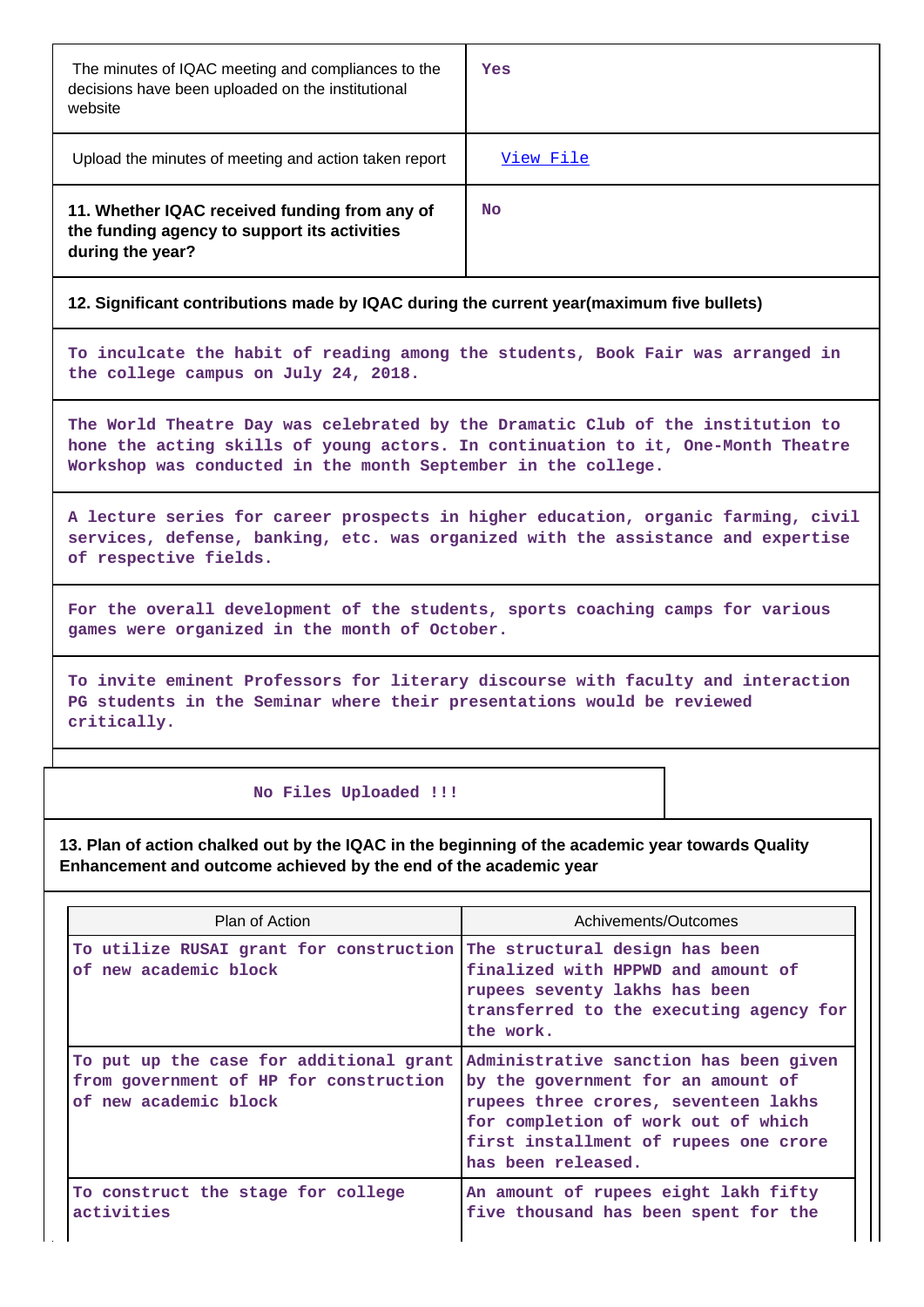| The minutes of IQAC meeting and compliances to the<br>decisions have been uploaded on the institutional<br>website | Yes       |
|--------------------------------------------------------------------------------------------------------------------|-----------|
| Upload the minutes of meeting and action taken report                                                              | View File |
| 11. Whether IQAC received funding from any of<br>the funding agency to support its activities<br>during the year?  | No        |

#### **12. Significant contributions made by IQAC during the current year(maximum five bullets)**

**To inculcate the habit of reading among the students, Book Fair was arranged in the college campus on July 24, 2018.**

**The World Theatre Day was celebrated by the Dramatic Club of the institution to hone the acting skills of young actors. In continuation to it, One-Month Theatre Workshop was conducted in the month September in the college.**

**A lecture series for career prospects in higher education, organic farming, civil services, defense, banking, etc. was organized with the assistance and expertise of respective fields.**

**For the overall development of the students, sports coaching camps for various games were organized in the month of October.**

**To invite eminent Professors for literary discourse with faculty and interaction PG students in the Seminar where their presentations would be reviewed critically.**

#### **No Files Uploaded !!!**

**13. Plan of action chalked out by the IQAC in the beginning of the academic year towards Quality Enhancement and outcome achieved by the end of the academic year**

| Plan of Action                                                                                             | Achivements/Outcomes                                                                                                                                                                                                       |  |
|------------------------------------------------------------------------------------------------------------|----------------------------------------------------------------------------------------------------------------------------------------------------------------------------------------------------------------------------|--|
| To utilize RUSAI grant for construction The structural design has been<br>of new academic block            | finalized with HPPWD and amount of<br>rupees seventy lakhs has been<br>transferred to the executing agency for<br>the work.                                                                                                |  |
| To put up the case for additional grant<br>from government of HP for construction<br>of new academic block | Administrative sanction has been given<br>by the government for an amount of<br>rupees three crores, seventeen lakhs<br>for completion of work out of which<br>first installment of rupees one crore<br>has been released. |  |
| To construct the stage for college<br>activities                                                           | An amount of rupees eight lakh fifty<br>five thousand has been spent for the                                                                                                                                               |  |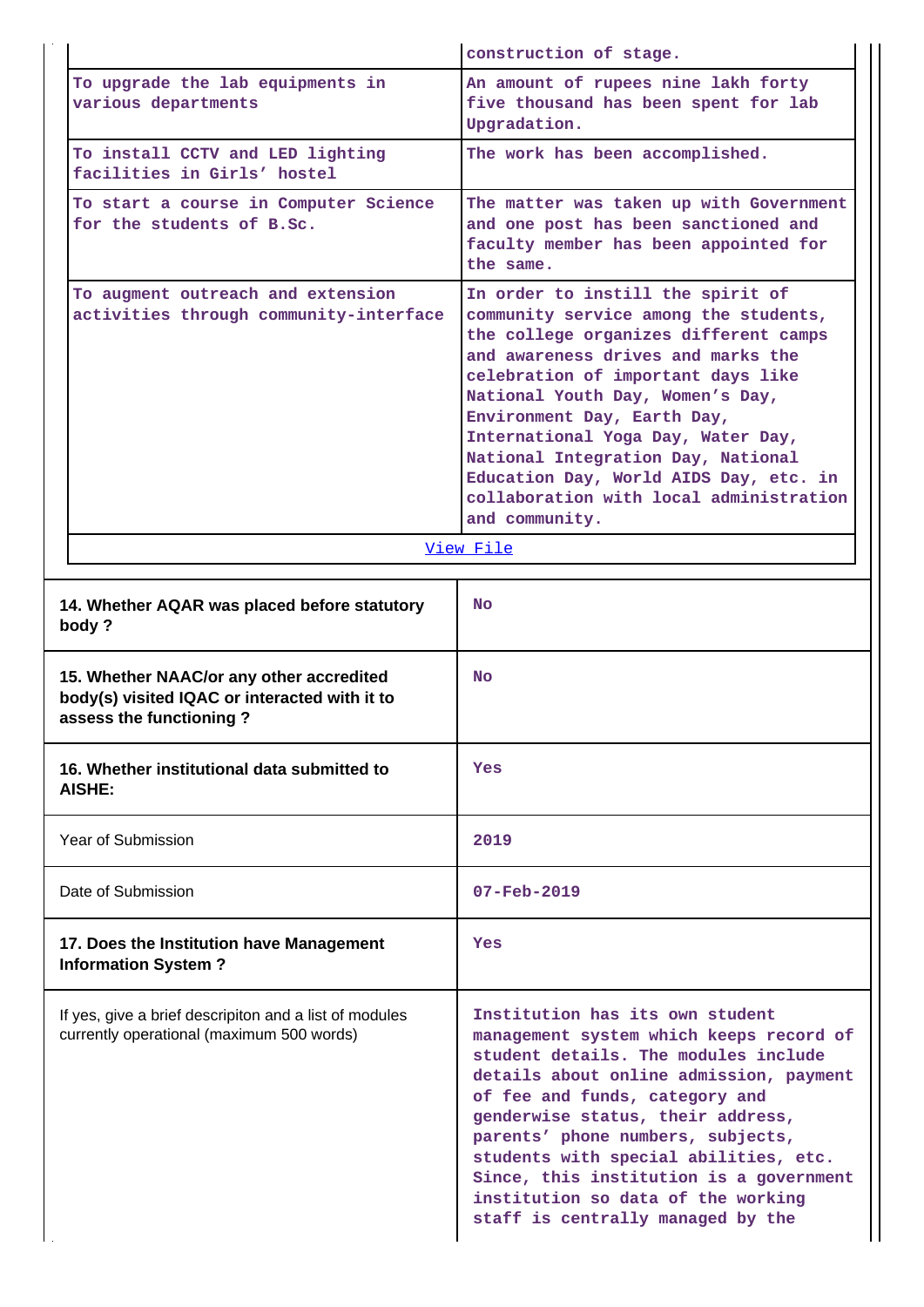|                                                                                                                      | construction of stage.                                                                                                                                                                                                                                                                                                                                                                                                                                |  |  |
|----------------------------------------------------------------------------------------------------------------------|-------------------------------------------------------------------------------------------------------------------------------------------------------------------------------------------------------------------------------------------------------------------------------------------------------------------------------------------------------------------------------------------------------------------------------------------------------|--|--|
| To upgrade the lab equipments in<br>various departments                                                              | An amount of rupees nine lakh forty<br>five thousand has been spent for lab<br>Upgradation.                                                                                                                                                                                                                                                                                                                                                           |  |  |
| To install CCTV and LED lighting<br>facilities in Girls' hostel                                                      | The work has been accomplished.                                                                                                                                                                                                                                                                                                                                                                                                                       |  |  |
| To start a course in Computer Science<br>for the students of B.Sc.                                                   | The matter was taken up with Government<br>and one post has been sanctioned and<br>faculty member has been appointed for<br>the same.                                                                                                                                                                                                                                                                                                                 |  |  |
| To augment outreach and extension<br>activities through community-interface                                          | In order to instill the spirit of<br>community service among the students,<br>the college organizes different camps<br>and awareness drives and marks the<br>celebration of important days like<br>National Youth Day, Women's Day,<br>Environment Day, Earth Day,<br>International Yoga Day, Water Day,<br>National Integration Day, National<br>Education Day, World AIDS Day, etc. in<br>collaboration with local administration<br>and community. |  |  |
|                                                                                                                      | View File                                                                                                                                                                                                                                                                                                                                                                                                                                             |  |  |
| 14. Whether AQAR was placed before statutory<br>body?                                                                | <b>No</b>                                                                                                                                                                                                                                                                                                                                                                                                                                             |  |  |
| 15. Whether NAAC/or any other accredited<br>body(s) visited IQAC or interacted with it to<br>assess the functioning? | No.                                                                                                                                                                                                                                                                                                                                                                                                                                                   |  |  |
| 16. Whether institutional data submitted to<br>AISHE:                                                                | Yes                                                                                                                                                                                                                                                                                                                                                                                                                                                   |  |  |
| Year of Submission                                                                                                   | 2019                                                                                                                                                                                                                                                                                                                                                                                                                                                  |  |  |
| Date of Submission                                                                                                   | $07 - \text{Feb} - 2019$                                                                                                                                                                                                                                                                                                                                                                                                                              |  |  |
| 17. Does the Institution have Management<br><b>Information System?</b>                                               | Yes                                                                                                                                                                                                                                                                                                                                                                                                                                                   |  |  |
| If yes, give a brief descripiton and a list of modules<br>currently operational (maximum 500 words)                  | Institution has its own student<br>management system which keeps record of<br>student details. The modules include<br>details about online admission, payment<br>of fee and funds, category and<br>genderwise status, their address,<br>parents' phone numbers, subjects,<br>students with special abilities, etc.<br>Since, this institution is a government<br>institution so data of the working<br>staff is centrally managed by the              |  |  |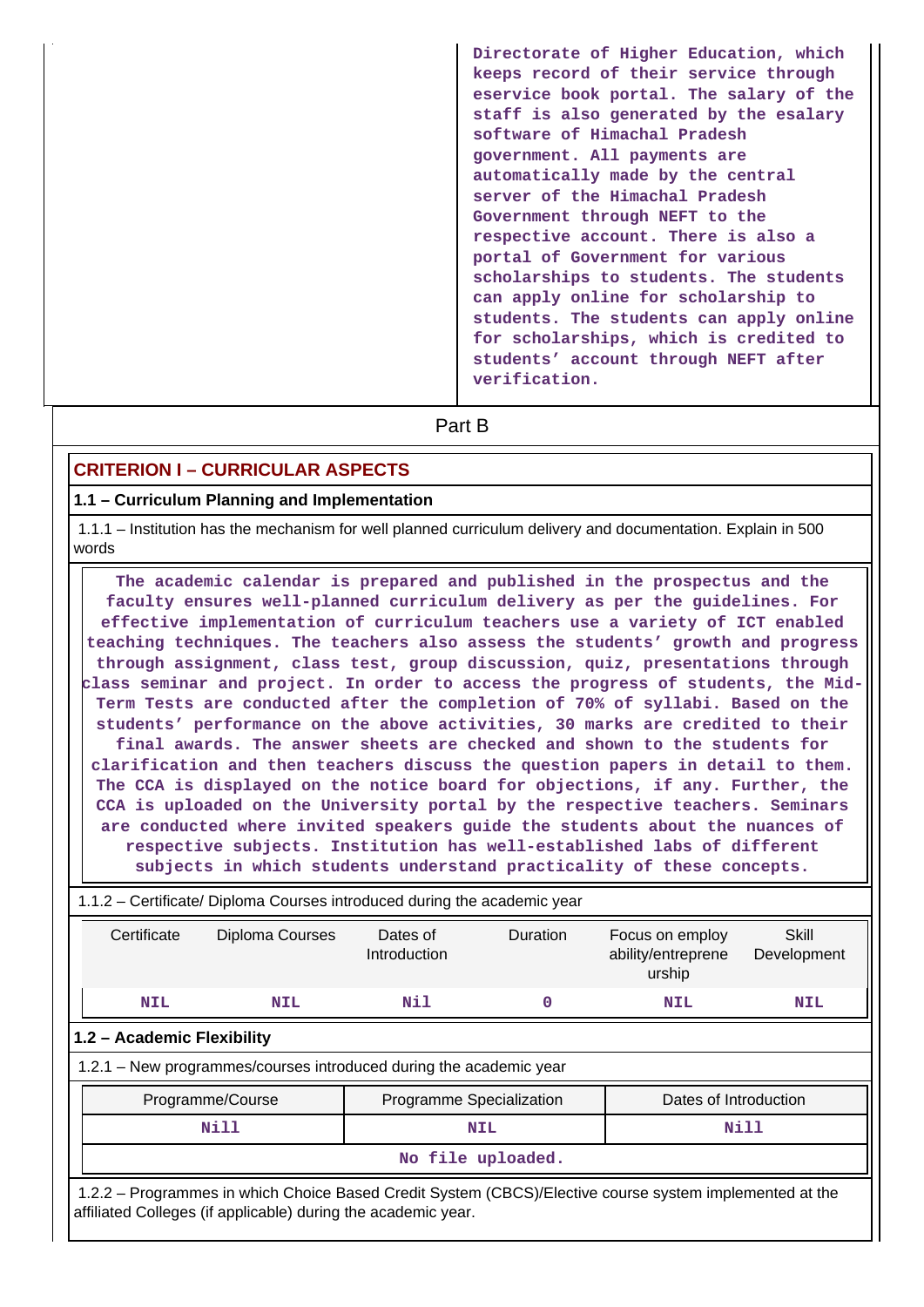| Directorate of Higher Education, which<br>keeps record of their service through<br>eservice book portal. The salary of the<br>staff is also generated by the esalary<br>software of Himachal Pradesh<br>government. All payments are<br>automatically made by the central<br>server of the Himachal Pradesh<br>Government through NEFT to the<br>respective account. There is also a<br>portal of Government for various<br>scholarships to students. The students<br>can apply online for scholarship to<br>students. The students can apply online<br>for scholarships, which is credited to<br>students' account through NEFT after<br>verification. |
|---------------------------------------------------------------------------------------------------------------------------------------------------------------------------------------------------------------------------------------------------------------------------------------------------------------------------------------------------------------------------------------------------------------------------------------------------------------------------------------------------------------------------------------------------------------------------------------------------------------------------------------------------------|
| Part B                                                                                                                                                                                                                                                                                                                                                                                                                                                                                                                                                                                                                                                  |

#### **CRITERION I – CURRICULAR ASPECTS**

#### **1.1 – Curriculum Planning and Implementation**

 1.1.1 – Institution has the mechanism for well planned curriculum delivery and documentation. Explain in 500 words

 **The academic calendar is prepared and published in the prospectus and the faculty ensures well-planned curriculum delivery as per the guidelines. For effective implementation of curriculum teachers use a variety of ICT enabled teaching techniques. The teachers also assess the students' growth and progress through assignment, class test, group discussion, quiz, presentations through class seminar and project. In order to access the progress of students, the Mid-Term Tests are conducted after the completion of 70% of syllabi. Based on the students' performance on the above activities, 30 marks are credited to their final awards. The answer sheets are checked and shown to the students for clarification and then teachers discuss the question papers in detail to them. The CCA is displayed on the notice board for objections, if any. Further, the CCA is uploaded on the University portal by the respective teachers. Seminars are conducted where invited speakers guide the students about the nuances of respective subjects. Institution has well-established labs of different subjects in which students understand practicality of these concepts.**

| 1.1.2 – Certificate/ Diploma Courses introduced during the academic year                                                                                                 |                                                                    |                          |                 |                                                 |                      |  |  |
|--------------------------------------------------------------------------------------------------------------------------------------------------------------------------|--------------------------------------------------------------------|--------------------------|-----------------|-------------------------------------------------|----------------------|--|--|
| Certificate                                                                                                                                                              | Diploma Courses                                                    | Dates of<br>Introduction | <b>Duration</b> | Focus on employ<br>ability/entreprene<br>urship | Skill<br>Development |  |  |
| <b>NIL</b>                                                                                                                                                               | NIL                                                                | Nil                      | 0               | <b>NIL</b>                                      | NIL                  |  |  |
|                                                                                                                                                                          | 1.2 - Academic Flexibility                                         |                          |                 |                                                 |                      |  |  |
|                                                                                                                                                                          | 1.2.1 – New programmes/courses introduced during the academic year |                          |                 |                                                 |                      |  |  |
| Dates of Introduction<br>Programme/Course<br>Programme Specialization                                                                                                    |                                                                    |                          |                 |                                                 |                      |  |  |
| <b>Nill</b><br>Nill<br>NIL                                                                                                                                               |                                                                    |                          |                 |                                                 |                      |  |  |
| No file uploaded.                                                                                                                                                        |                                                                    |                          |                 |                                                 |                      |  |  |
| 1.2.2 – Programmes in which Choice Based Credit System (CBCS)/Elective course system implemented at the<br>affiliated Colleges (if applicable) during the academic year. |                                                                    |                          |                 |                                                 |                      |  |  |

#### 1.1.2 – Certificate/ Diploma Courses introduced during the academic year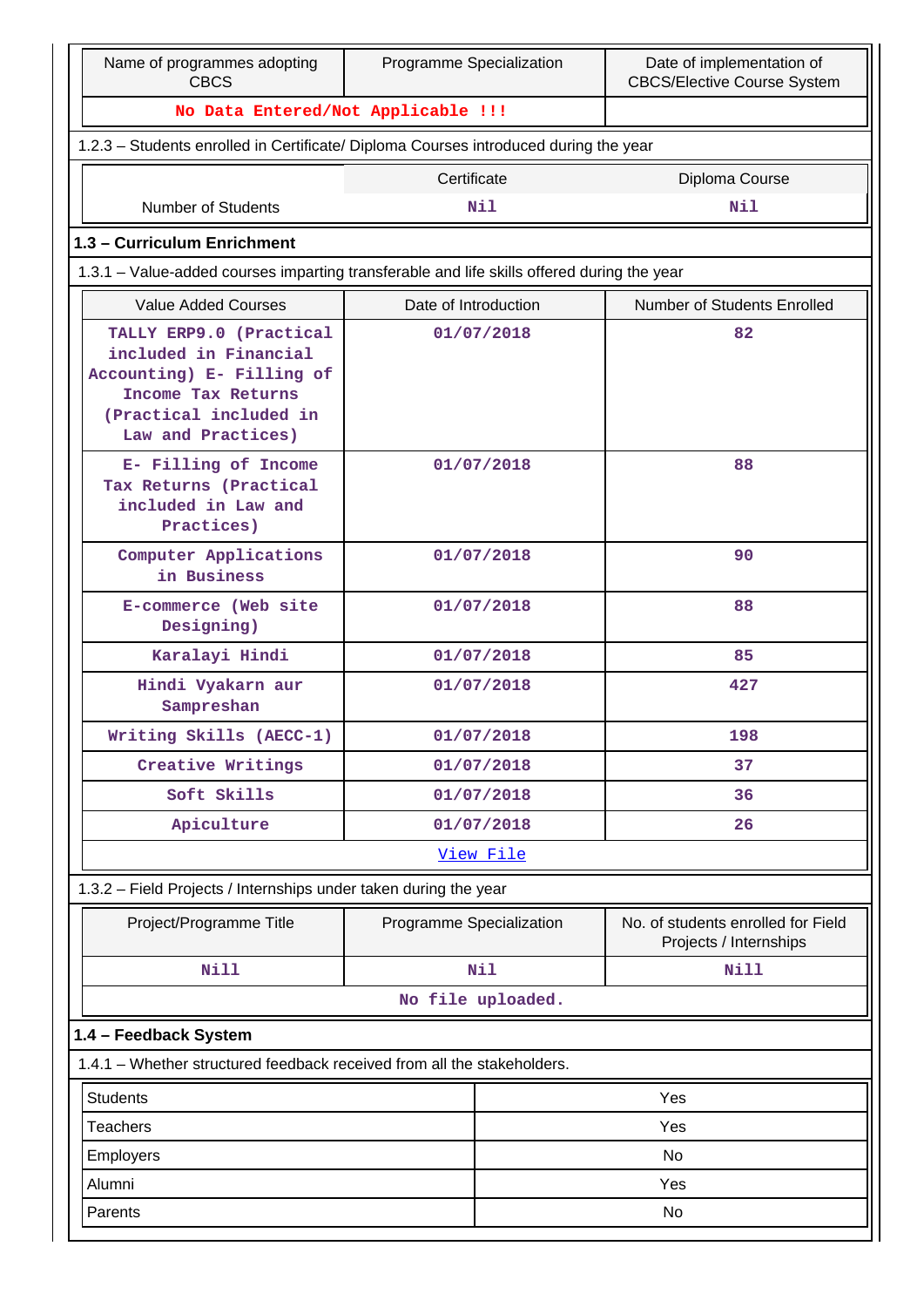| Name of programmes adopting<br><b>CBCS</b>                                                                                                          | Programme Specialization |                   | Date of implementation of<br><b>CBCS/Elective Course System</b> |  |  |  |
|-----------------------------------------------------------------------------------------------------------------------------------------------------|--------------------------|-------------------|-----------------------------------------------------------------|--|--|--|
| No Data Entered/Not Applicable !!!                                                                                                                  |                          |                   |                                                                 |  |  |  |
| 1.2.3 - Students enrolled in Certificate/ Diploma Courses introduced during the year                                                                |                          |                   |                                                                 |  |  |  |
|                                                                                                                                                     | Certificate              |                   | Diploma Course                                                  |  |  |  |
| Number of Students                                                                                                                                  |                          | <b>Nil</b>        | Nil                                                             |  |  |  |
| 1.3 - Curriculum Enrichment                                                                                                                         |                          |                   |                                                                 |  |  |  |
| 1.3.1 - Value-added courses imparting transferable and life skills offered during the year                                                          |                          |                   |                                                                 |  |  |  |
| <b>Value Added Courses</b>                                                                                                                          | Date of Introduction     |                   | Number of Students Enrolled                                     |  |  |  |
| TALLY ERP9.0 (Practical<br>included in Financial<br>Accounting) E- Filling of<br>Income Tax Returns<br>(Practical included in<br>Law and Practices) | 01/07/2018               |                   | 82                                                              |  |  |  |
| E- Filling of Income<br>Tax Returns (Practical<br>included in Law and<br>Practices)                                                                 | 01/07/2018               |                   | 88                                                              |  |  |  |
| Computer Applications<br>in Business                                                                                                                |                          | 01/07/2018        | 90                                                              |  |  |  |
| E-commerce (Web site<br>Designing)                                                                                                                  | 01/07/2018               |                   | 88                                                              |  |  |  |
| Karalayi Hindi                                                                                                                                      |                          | 01/07/2018        | 85                                                              |  |  |  |
| Hindi Vyakarn aur<br>Sampreshan                                                                                                                     | 01/07/2018               |                   | 427                                                             |  |  |  |
| Writing Skills (AECC-1)                                                                                                                             |                          | 01/07/2018        | 198                                                             |  |  |  |
| Creative Writings                                                                                                                                   |                          | 01/07/2018        | 37                                                              |  |  |  |
| Soft Skills                                                                                                                                         |                          | 01/07/2018        | 36                                                              |  |  |  |
| Apiculture                                                                                                                                          |                          | 01/07/2018        | 26                                                              |  |  |  |
|                                                                                                                                                     |                          | View File         |                                                                 |  |  |  |
| 1.3.2 - Field Projects / Internships under taken during the year                                                                                    |                          |                   |                                                                 |  |  |  |
| Project/Programme Title                                                                                                                             | Programme Specialization |                   | No. of students enrolled for Field<br>Projects / Internships    |  |  |  |
| <b>Nill</b>                                                                                                                                         |                          | Nil               | <b>Nill</b>                                                     |  |  |  |
|                                                                                                                                                     |                          | No file uploaded. |                                                                 |  |  |  |
| 1.4 - Feedback System                                                                                                                               |                          |                   |                                                                 |  |  |  |
| 1.4.1 - Whether structured feedback received from all the stakeholders.                                                                             |                          |                   |                                                                 |  |  |  |
| <b>Students</b>                                                                                                                                     |                          |                   | Yes                                                             |  |  |  |
| <b>Teachers</b>                                                                                                                                     |                          |                   | Yes                                                             |  |  |  |
| Employers                                                                                                                                           |                          | No                |                                                                 |  |  |  |
| Alumni                                                                                                                                              |                          | Yes               |                                                                 |  |  |  |
| Parents                                                                                                                                             |                          |                   | No                                                              |  |  |  |
|                                                                                                                                                     |                          |                   |                                                                 |  |  |  |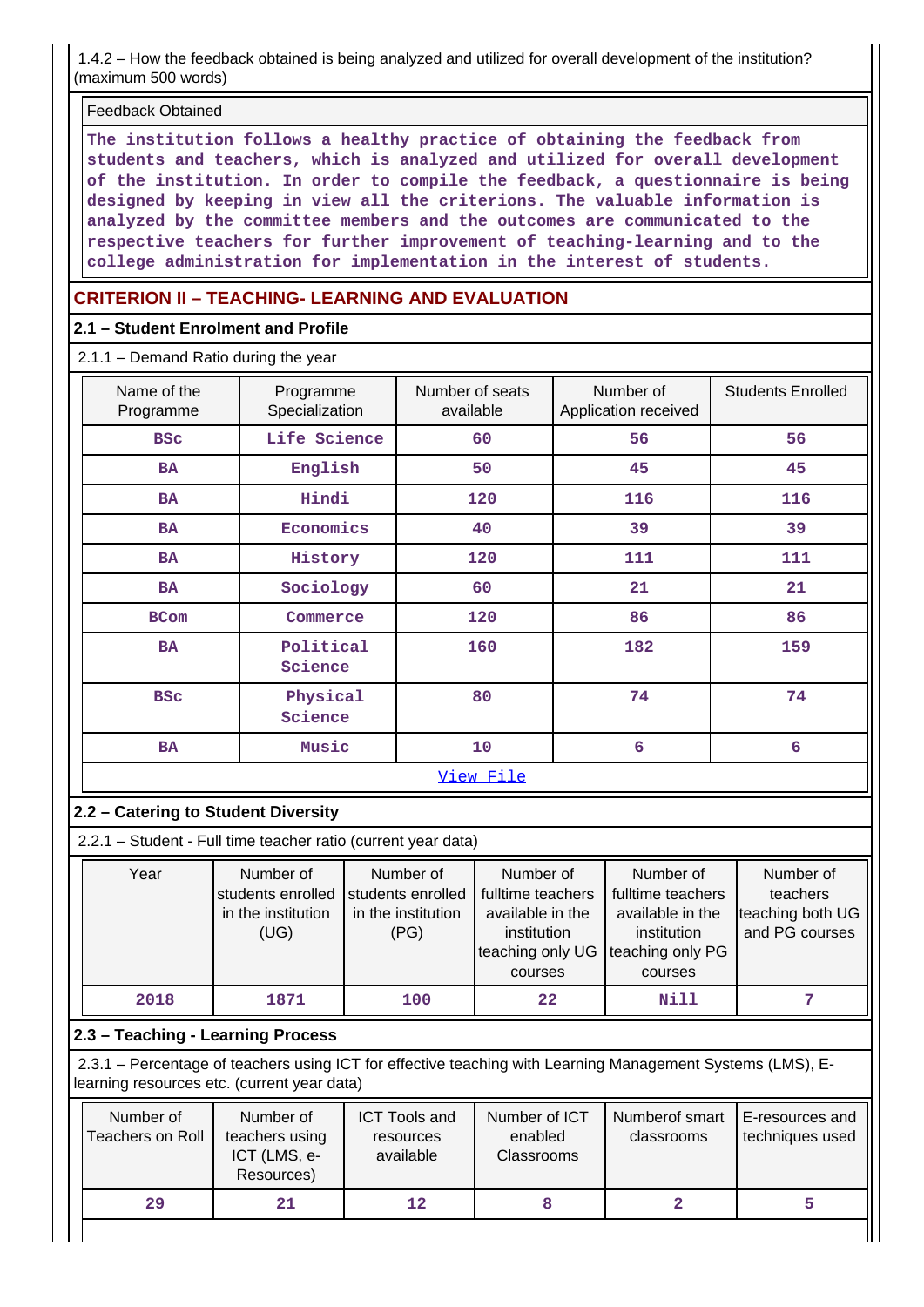1.4.2 – How the feedback obtained is being analyzed and utilized for overall development of the institution? (maximum 500 words)

#### Feedback Obtained

**The institution follows a healthy practice of obtaining the feedback from students and teachers, which is analyzed and utilized for overall development of the institution. In order to compile the feedback, a questionnaire is being designed by keeping in view all the criterions. The valuable information is analyzed by the committee members and the outcomes are communicated to the respective teachers for further improvement of teaching-learning and to the college administration for implementation in the interest of students.**

## **CRITERION II – TEACHING- LEARNING AND EVALUATION**

#### **2.1 – Student Enrolment and Profile**

2.1.1 – Demand Ratio during the year

| Name of the<br>Programme | Programme<br>Specialization | Number of seats<br>available | Number of<br>Application received | <b>Students Enrolled</b> |
|--------------------------|-----------------------------|------------------------------|-----------------------------------|--------------------------|
| <b>BSC</b>               | Life Science                | 60                           | 56                                | 56                       |
| <b>BA</b>                | English                     | 50                           | 45                                | 45                       |
| <b>BA</b>                | Hindi                       | 120                          | 116                               | 116                      |
| <b>BA</b>                | Economics                   | 40                           | 39                                | 39                       |
| <b>BA</b>                | History                     | 120                          | 111                               | 111                      |
| <b>BA</b>                | Sociology                   | 60                           | 21                                | 21                       |
| <b>BCom</b>              | Commerce                    | 120                          | 86                                | 86                       |
| <b>BA</b>                | Political<br>Science        | 160                          | 182                               | 159                      |
| <b>BSC</b>               | Physical<br>Science         | 80                           | 74                                | 74                       |
| <b>BA</b>                | Music                       | 10                           | $6\phantom{1}6$                   | 6                        |
|                          |                             | View File                    |                                   |                          |

## **2.2 – Catering to Student Diversity**

2.2.1 – Student - Full time teacher ratio (current year data)

| Year | Number of          | Number of          | Number of                          | Number of         | Number of        |
|------|--------------------|--------------------|------------------------------------|-------------------|------------------|
|      | students enrolled  | students enrolled  | fulltime teachers                  | fulltime teachers | teachers         |
|      | in the institution | in the institution | available in the                   | available in the  | teaching both UG |
|      | (UG)               | (PG)               | institution                        | institution       | and PG courses   |
|      |                    |                    | teaching only UG Iteaching only PG |                   |                  |
|      |                    |                    | courses                            | courses           |                  |
| 2018 | 1871               | 100                | 22                                 | Nill              |                  |

## **2.3 – Teaching - Learning Process**

 2.3.1 – Percentage of teachers using ICT for effective teaching with Learning Management Systems (LMS), Elearning resources etc. (current year data)

| Number of<br>Teachers on Roll | Number of<br>teachers using<br>ICT (LMS, e-<br>Resources) | <b>ICT Tools and</b><br>resources<br>available | Number of ICT<br>enabled<br><b>Classrooms</b> | Numberof smart<br>classrooms | E-resources and<br>techniques used |
|-------------------------------|-----------------------------------------------------------|------------------------------------------------|-----------------------------------------------|------------------------------|------------------------------------|
| 29                            | 21                                                        | 12                                             |                                               |                              |                                    |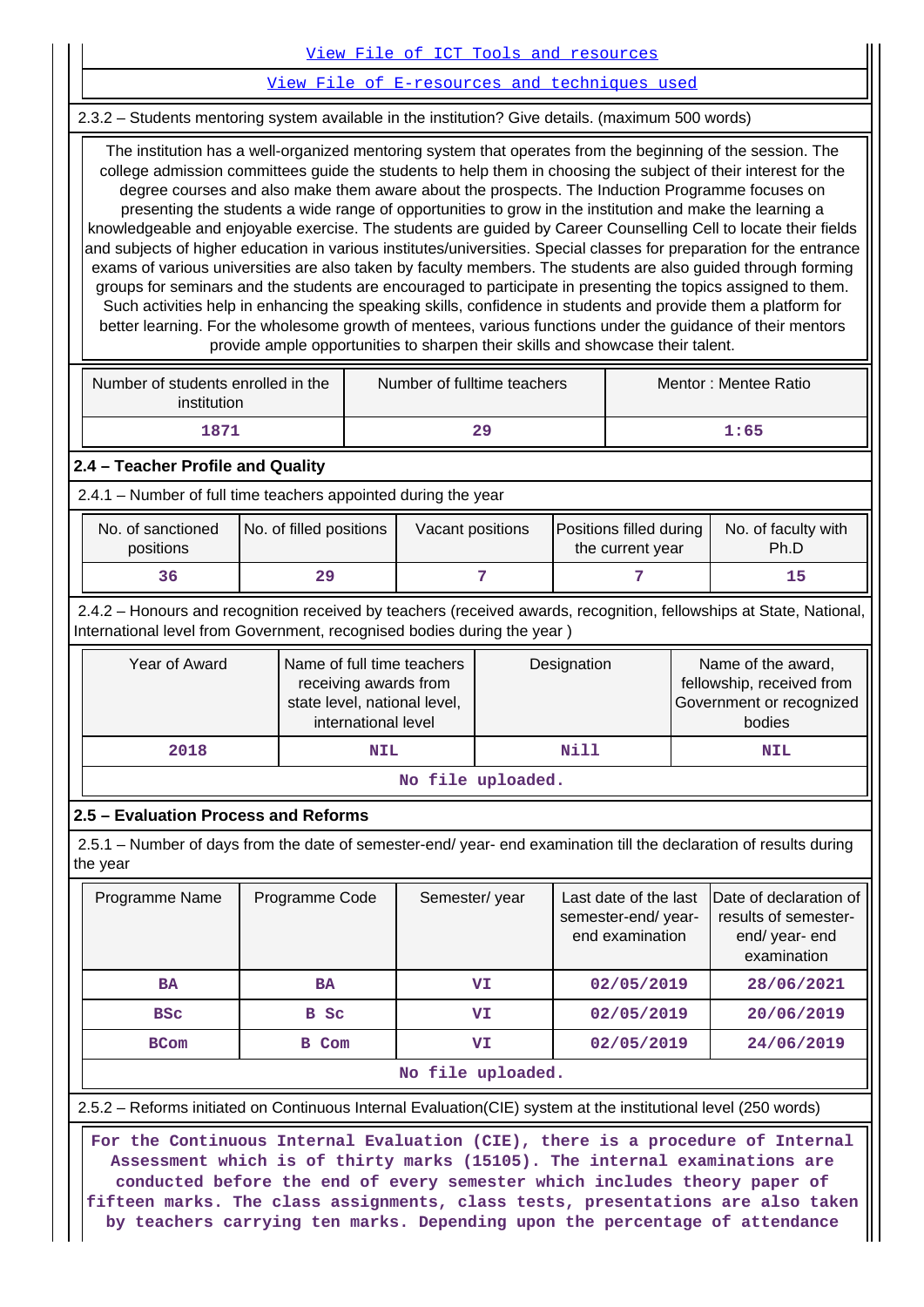|                                                                                                                                                                                                                                                                                                                                                                                                                                                                                                                                                                                                                                                                                                                                                                                                                                                                                                                                                                                                                                                                                                                                                                                                                                             |                                                                                                                                                                                                |              |                     | View File of ICT Tools and resources                                                |    |             |            |  |                                                                                       |  |  |
|---------------------------------------------------------------------------------------------------------------------------------------------------------------------------------------------------------------------------------------------------------------------------------------------------------------------------------------------------------------------------------------------------------------------------------------------------------------------------------------------------------------------------------------------------------------------------------------------------------------------------------------------------------------------------------------------------------------------------------------------------------------------------------------------------------------------------------------------------------------------------------------------------------------------------------------------------------------------------------------------------------------------------------------------------------------------------------------------------------------------------------------------------------------------------------------------------------------------------------------------|------------------------------------------------------------------------------------------------------------------------------------------------------------------------------------------------|--------------|---------------------|-------------------------------------------------------------------------------------|----|-------------|------------|--|---------------------------------------------------------------------------------------|--|--|
|                                                                                                                                                                                                                                                                                                                                                                                                                                                                                                                                                                                                                                                                                                                                                                                                                                                                                                                                                                                                                                                                                                                                                                                                                                             | View File of E-resources and techniques used                                                                                                                                                   |              |                     |                                                                                     |    |             |            |  |                                                                                       |  |  |
|                                                                                                                                                                                                                                                                                                                                                                                                                                                                                                                                                                                                                                                                                                                                                                                                                                                                                                                                                                                                                                                                                                                                                                                                                                             | 2.3.2 - Students mentoring system available in the institution? Give details. (maximum 500 words)                                                                                              |              |                     |                                                                                     |    |             |            |  |                                                                                       |  |  |
| The institution has a well-organized mentoring system that operates from the beginning of the session. The<br>college admission committees guide the students to help them in choosing the subject of their interest for the<br>degree courses and also make them aware about the prospects. The Induction Programme focuses on<br>presenting the students a wide range of opportunities to grow in the institution and make the learning a<br>knowledgeable and enjoyable exercise. The students are guided by Career Counselling Cell to locate their fields<br>and subjects of higher education in various institutes/universities. Special classes for preparation for the entrance<br>exams of various universities are also taken by faculty members. The students are also guided through forming<br>groups for seminars and the students are encouraged to participate in presenting the topics assigned to them.<br>Such activities help in enhancing the speaking skills, confidence in students and provide them a platform for<br>better learning. For the wholesome growth of mentees, various functions under the guidance of their mentors<br>provide ample opportunities to sharpen their skills and showcase their talent. |                                                                                                                                                                                                |              |                     |                                                                                     |    |             |            |  |                                                                                       |  |  |
| Number of students enrolled in the<br>Number of fulltime teachers<br>Mentor: Mentee Ratio<br>institution                                                                                                                                                                                                                                                                                                                                                                                                                                                                                                                                                                                                                                                                                                                                                                                                                                                                                                                                                                                                                                                                                                                                    |                                                                                                                                                                                                |              |                     |                                                                                     |    |             |            |  |                                                                                       |  |  |
| 1871<br>29<br>1:65                                                                                                                                                                                                                                                                                                                                                                                                                                                                                                                                                                                                                                                                                                                                                                                                                                                                                                                                                                                                                                                                                                                                                                                                                          |                                                                                                                                                                                                |              |                     |                                                                                     |    |             |            |  |                                                                                       |  |  |
|                                                                                                                                                                                                                                                                                                                                                                                                                                                                                                                                                                                                                                                                                                                                                                                                                                                                                                                                                                                                                                                                                                                                                                                                                                             | 2.4 - Teacher Profile and Quality                                                                                                                                                              |              |                     |                                                                                     |    |             |            |  |                                                                                       |  |  |
| 2.4.1 - Number of full time teachers appointed during the year                                                                                                                                                                                                                                                                                                                                                                                                                                                                                                                                                                                                                                                                                                                                                                                                                                                                                                                                                                                                                                                                                                                                                                              |                                                                                                                                                                                                |              |                     |                                                                                     |    |             |            |  |                                                                                       |  |  |
| No. of sanctioned<br>No. of filled positions<br>Positions filled during<br>No. of faculty with<br>Vacant positions<br>Ph.D<br>positions<br>the current year                                                                                                                                                                                                                                                                                                                                                                                                                                                                                                                                                                                                                                                                                                                                                                                                                                                                                                                                                                                                                                                                                 |                                                                                                                                                                                                |              |                     |                                                                                     |    |             |            |  |                                                                                       |  |  |
| 7<br>7<br>36<br>29<br>15                                                                                                                                                                                                                                                                                                                                                                                                                                                                                                                                                                                                                                                                                                                                                                                                                                                                                                                                                                                                                                                                                                                                                                                                                    |                                                                                                                                                                                                |              |                     |                                                                                     |    |             |            |  |                                                                                       |  |  |
|                                                                                                                                                                                                                                                                                                                                                                                                                                                                                                                                                                                                                                                                                                                                                                                                                                                                                                                                                                                                                                                                                                                                                                                                                                             | 2.4.2 - Honours and recognition received by teachers (received awards, recognition, fellowships at State, National,<br>International level from Government, recognised bodies during the year) |              |                     |                                                                                     |    |             |            |  |                                                                                       |  |  |
|                                                                                                                                                                                                                                                                                                                                                                                                                                                                                                                                                                                                                                                                                                                                                                                                                                                                                                                                                                                                                                                                                                                                                                                                                                             | Year of Award                                                                                                                                                                                  |              | international level | Name of full time teachers<br>receiving awards from<br>state level, national level, |    | Designation |            |  | Name of the award,<br>fellowship, received from<br>Government or recognized<br>bodies |  |  |
|                                                                                                                                                                                                                                                                                                                                                                                                                                                                                                                                                                                                                                                                                                                                                                                                                                                                                                                                                                                                                                                                                                                                                                                                                                             | 2018                                                                                                                                                                                           |              | <b>NIL</b>          |                                                                                     |    | <b>Nill</b> |            |  | <b>NIL</b>                                                                            |  |  |
|                                                                                                                                                                                                                                                                                                                                                                                                                                                                                                                                                                                                                                                                                                                                                                                                                                                                                                                                                                                                                                                                                                                                                                                                                                             |                                                                                                                                                                                                |              |                     | No file uploaded.                                                                   |    |             |            |  |                                                                                       |  |  |
|                                                                                                                                                                                                                                                                                                                                                                                                                                                                                                                                                                                                                                                                                                                                                                                                                                                                                                                                                                                                                                                                                                                                                                                                                                             | 2.5 - Evaluation Process and Reforms                                                                                                                                                           |              |                     |                                                                                     |    |             |            |  |                                                                                       |  |  |
|                                                                                                                                                                                                                                                                                                                                                                                                                                                                                                                                                                                                                                                                                                                                                                                                                                                                                                                                                                                                                                                                                                                                                                                                                                             | 2.5.1 – Number of days from the date of semester-end/ year- end examination till the declaration of results during<br>the year                                                                 |              |                     |                                                                                     |    |             |            |  |                                                                                       |  |  |
| Semester/year<br>Last date of the last<br>Date of declaration of<br>Programme Name<br>Programme Code<br>results of semester-<br>semester-end/year-<br>end examination<br>end/ year- end<br>examination                                                                                                                                                                                                                                                                                                                                                                                                                                                                                                                                                                                                                                                                                                                                                                                                                                                                                                                                                                                                                                      |                                                                                                                                                                                                |              |                     |                                                                                     |    |             |            |  |                                                                                       |  |  |
| 28/06/2021<br>VI<br>02/05/2019<br><b>BA</b><br><b>BA</b>                                                                                                                                                                                                                                                                                                                                                                                                                                                                                                                                                                                                                                                                                                                                                                                                                                                                                                                                                                                                                                                                                                                                                                                    |                                                                                                                                                                                                |              |                     |                                                                                     |    |             |            |  |                                                                                       |  |  |
| <b>BSC</b><br>B Sc<br>02/05/2019<br>20/06/2019<br>VI                                                                                                                                                                                                                                                                                                                                                                                                                                                                                                                                                                                                                                                                                                                                                                                                                                                                                                                                                                                                                                                                                                                                                                                        |                                                                                                                                                                                                |              |                     |                                                                                     |    |             |            |  |                                                                                       |  |  |
|                                                                                                                                                                                                                                                                                                                                                                                                                                                                                                                                                                                                                                                                                                                                                                                                                                                                                                                                                                                                                                                                                                                                                                                                                                             | <b>BCom</b>                                                                                                                                                                                    | <b>B</b> Com |                     |                                                                                     | VI |             | 02/05/2019 |  | 24/06/2019                                                                            |  |  |
|                                                                                                                                                                                                                                                                                                                                                                                                                                                                                                                                                                                                                                                                                                                                                                                                                                                                                                                                                                                                                                                                                                                                                                                                                                             |                                                                                                                                                                                                |              |                     | No file uploaded.                                                                   |    |             |            |  |                                                                                       |  |  |
|                                                                                                                                                                                                                                                                                                                                                                                                                                                                                                                                                                                                                                                                                                                                                                                                                                                                                                                                                                                                                                                                                                                                                                                                                                             | 2.5.2 - Reforms initiated on Continuous Internal Evaluation(CIE) system at the institutional level (250 words)                                                                                 |              |                     |                                                                                     |    |             |            |  |                                                                                       |  |  |
|                                                                                                                                                                                                                                                                                                                                                                                                                                                                                                                                                                                                                                                                                                                                                                                                                                                                                                                                                                                                                                                                                                                                                                                                                                             |                                                                                                                                                                                                |              |                     |                                                                                     |    |             |            |  |                                                                                       |  |  |

**Assessment which is of thirty marks (15105). The internal examinations are conducted before the end of every semester which includes theory paper of fifteen marks. The class assignments, class tests, presentations are also taken by teachers carrying ten marks. Depending upon the percentage of attendance**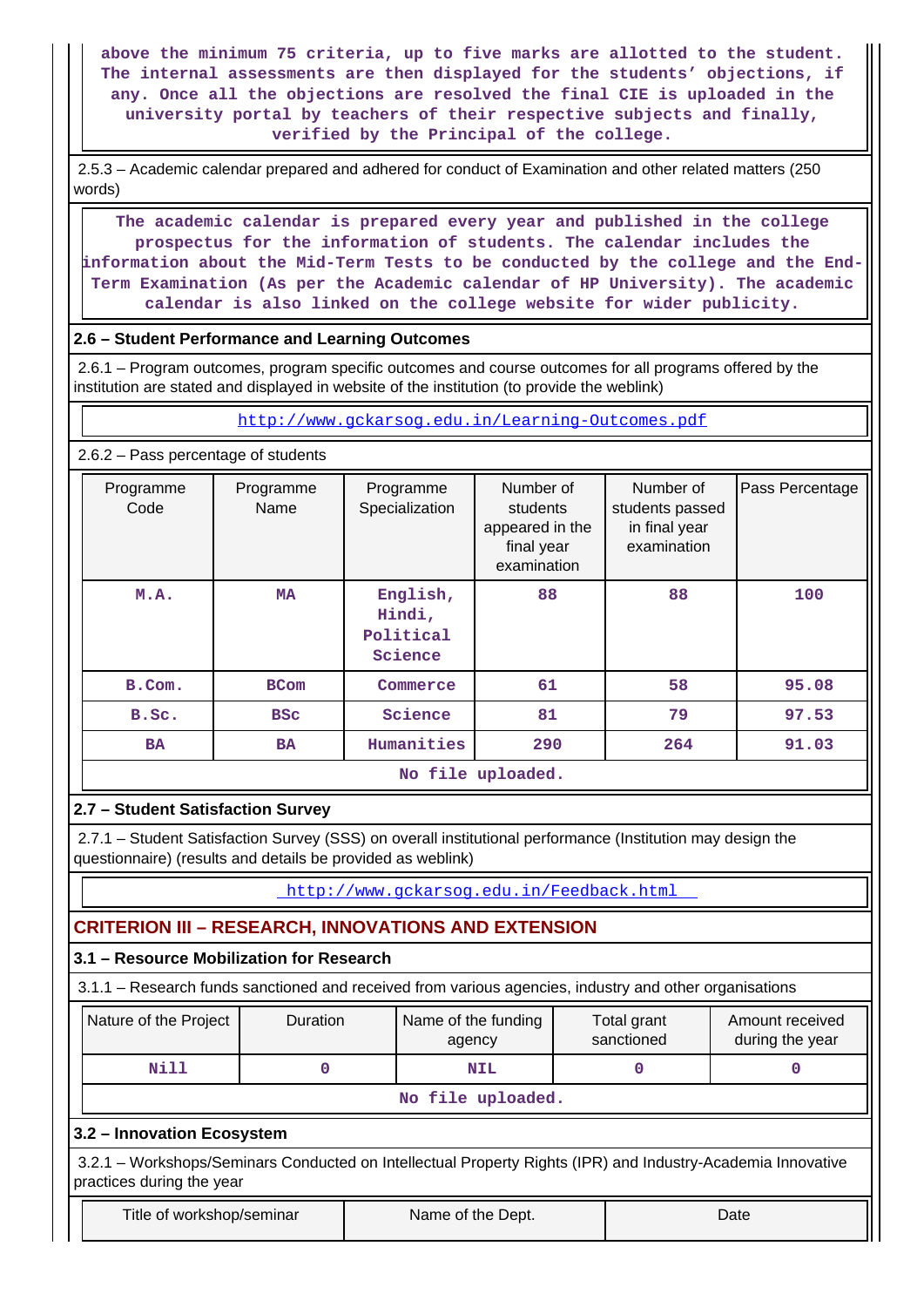**above the minimum 75 criteria, up to five marks are allotted to the student. The internal assessments are then displayed for the students' objections, if any. Once all the objections are resolved the final CIE is uploaded in the university portal by teachers of their respective subjects and finally, verified by the Principal of the college.**

 2.5.3 – Academic calendar prepared and adhered for conduct of Examination and other related matters (250 words)

 **The academic calendar is prepared every year and published in the college prospectus for the information of students. The calendar includes the information about the Mid-Term Tests to be conducted by the college and the End-Term Examination (As per the Academic calendar of HP University). The academic calendar is also linked on the college website for wider publicity.**

#### **2.6 – Student Performance and Learning Outcomes**

 2.6.1 – Program outcomes, program specific outcomes and course outcomes for all programs offered by the institution are stated and displayed in website of the institution (to provide the weblink)

<http://www.gckarsog.edu.in/Learning-Outcomes.pdf>

#### 2.6.2 – Pass percentage of students

| Programme<br>Code | Programme<br>Name | Programme<br>Specialization                | Number of<br>students<br>appeared in the<br>final year<br>examination | Number of<br>students passed<br>in final year<br>examination | Pass Percentage |
|-------------------|-------------------|--------------------------------------------|-----------------------------------------------------------------------|--------------------------------------------------------------|-----------------|
| M.A.              | <b>MA</b>         | English,<br>Hindi,<br>Political<br>Science | 88                                                                    | 88                                                           | 100             |
| B.Com.            | <b>BCom</b>       | Commerce                                   | 61                                                                    | 58                                                           | 95.08           |
| B.Sc.             | <b>BSC</b>        | Science                                    | 81                                                                    | 79                                                           | 97.53           |
| <b>BA</b>         | <b>BA</b>         | Humanities                                 | 290                                                                   | 264                                                          | 91.03           |
|                   |                   |                                            | No file uploaded.                                                     |                                                              |                 |

## **2.7 – Student Satisfaction Survey**

 2.7.1 – Student Satisfaction Survey (SSS) on overall institutional performance (Institution may design the questionnaire) (results and details be provided as weblink)

<http://www.gckarsog.edu.in/Feedback.html>

## **CRITERION III – RESEARCH, INNOVATIONS AND EXTENSION**

## **3.1 – Resource Mobilization for Research**

3.1.1 – Research funds sanctioned and received from various agencies, industry and other organisations

| Nature of the Project | <b>Duration</b> | Name of the funding<br>agency | Total grant<br>sanctioned | Amount received<br>during the year |  |  |  |  |
|-----------------------|-----------------|-------------------------------|---------------------------|------------------------------------|--|--|--|--|
| Nill                  | NIL             |                               |                           |                                    |  |  |  |  |
| No file uploaded.     |                 |                               |                           |                                    |  |  |  |  |

**3.2 – Innovation Ecosystem**

 3.2.1 – Workshops/Seminars Conducted on Intellectual Property Rights (IPR) and Industry-Academia Innovative practices during the year

Title of workshop/seminar The Name of the Dept. Name of the U.S. Name of the New York of the Dept.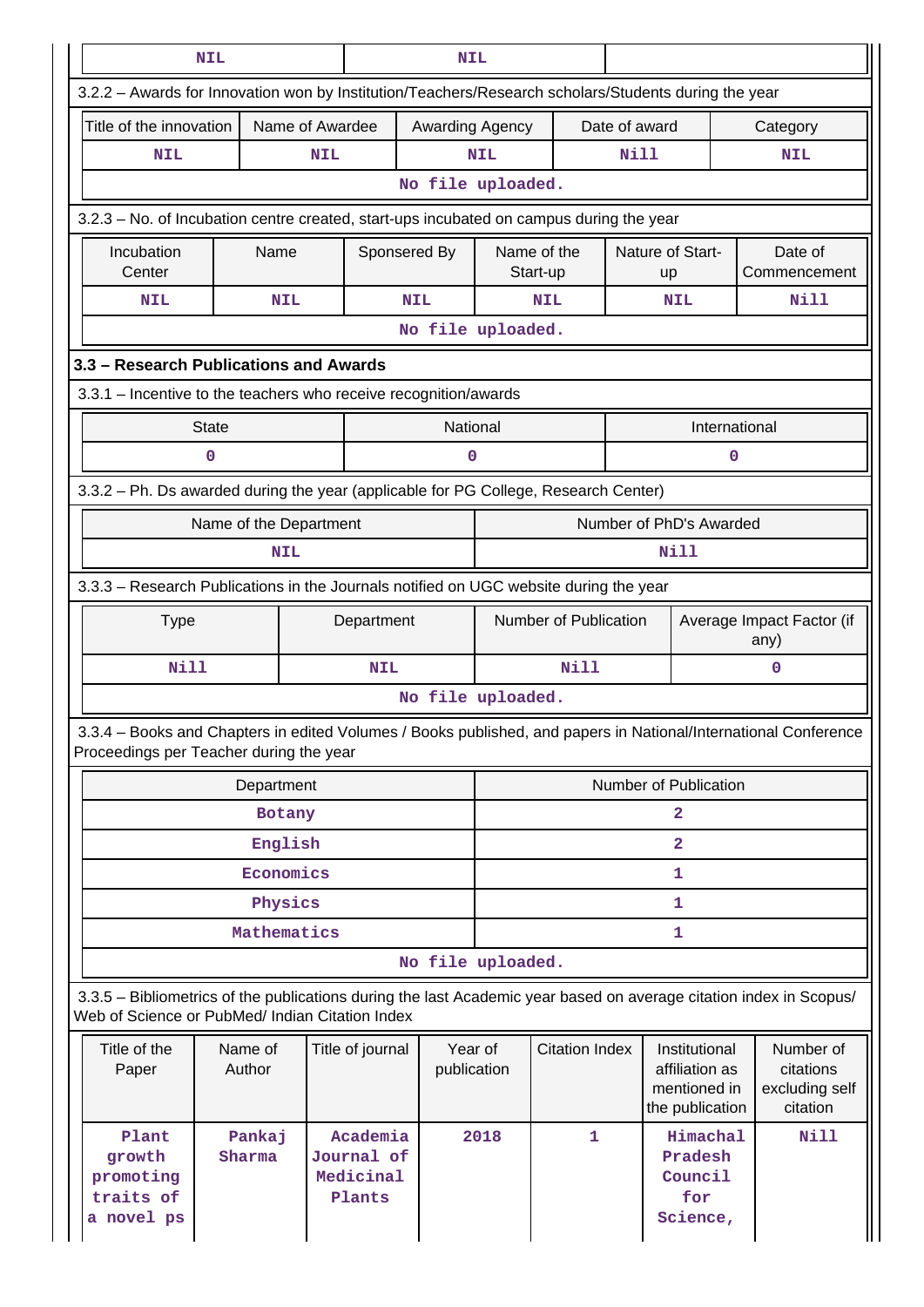|                                                                                                                                                                       | <b>NIL</b><br><b>NIL</b> |                 |                                               |                        |                   |                         |               |                                                                    |               |                                                      |
|-----------------------------------------------------------------------------------------------------------------------------------------------------------------------|--------------------------|-----------------|-----------------------------------------------|------------------------|-------------------|-------------------------|---------------|--------------------------------------------------------------------|---------------|------------------------------------------------------|
| 3.2.2 - Awards for Innovation won by Institution/Teachers/Research scholars/Students during the year                                                                  |                          |                 |                                               |                        |                   |                         |               |                                                                    |               |                                                      |
| Title of the innovation                                                                                                                                               |                          | Name of Awardee |                                               | Awarding Agency        |                   |                         | Date of award |                                                                    |               | Category                                             |
| <b>NIL</b>                                                                                                                                                            |                          | <b>NIL</b>      |                                               |                        | <b>NIL</b>        |                         | <b>Nill</b>   |                                                                    |               | <b>NIL</b>                                           |
|                                                                                                                                                                       |                          |                 |                                               |                        |                   | No file uploaded.       |               |                                                                    |               |                                                      |
| 3.2.3 – No. of Incubation centre created, start-ups incubated on campus during the year                                                                               |                          |                 |                                               |                        |                   |                         |               |                                                                    |               |                                                      |
| Incubation<br>Center                                                                                                                                                  | Name                     |                 | Sponsered By                                  |                        |                   | Name of the<br>Start-up |               | Nature of Start-<br><b>up</b>                                      |               | Date of<br>Commencement                              |
| <b>NIL</b>                                                                                                                                                            |                          | <b>NIL</b>      | <b>NIL</b>                                    |                        |                   | <b>NIL</b>              |               | <b>NIL</b>                                                         |               | <b>Nill</b>                                          |
|                                                                                                                                                                       |                          |                 |                                               | No file uploaded.      |                   |                         |               |                                                                    |               |                                                      |
| 3.3 - Research Publications and Awards                                                                                                                                |                          |                 |                                               |                        |                   |                         |               |                                                                    |               |                                                      |
| 3.3.1 - Incentive to the teachers who receive recognition/awards                                                                                                      |                          |                 |                                               |                        |                   |                         |               |                                                                    |               |                                                      |
| <b>State</b>                                                                                                                                                          |                          |                 |                                               | National               |                   |                         |               |                                                                    | International |                                                      |
| 0                                                                                                                                                                     |                          |                 |                                               | 0                      |                   |                         |               |                                                                    | 0             |                                                      |
| 3.3.2 - Ph. Ds awarded during the year (applicable for PG College, Research Center)                                                                                   |                          |                 |                                               |                        |                   |                         |               |                                                                    |               |                                                      |
|                                                                                                                                                                       | Name of the Department   |                 |                                               |                        |                   |                         |               | Number of PhD's Awarded                                            |               |                                                      |
| <b>NIL</b>                                                                                                                                                            |                          |                 |                                               |                        | Nill              |                         |               |                                                                    |               |                                                      |
| 3.3.3 - Research Publications in the Journals notified on UGC website during the year                                                                                 |                          |                 |                                               |                        |                   |                         |               |                                                                    |               |                                                      |
| <b>Type</b>                                                                                                                                                           |                          |                 | Department                                    |                        |                   | Number of Publication   |               |                                                                    |               | Average Impact Factor (if<br>any)                    |
| <b>Nill</b>                                                                                                                                                           |                          |                 | <b>NIL</b>                                    |                        |                   | Nill                    |               |                                                                    |               | 0                                                    |
|                                                                                                                                                                       |                          |                 |                                               |                        | No file uploaded. |                         |               |                                                                    |               |                                                      |
| 3.3.4 - Books and Chapters in edited Volumes / Books published, and papers in National/International Conference<br>Proceedings per Teacher during the year            |                          |                 |                                               |                        |                   |                         |               |                                                                    |               |                                                      |
|                                                                                                                                                                       | Department               |                 |                                               |                        |                   |                         |               | Number of Publication                                              |               |                                                      |
|                                                                                                                                                                       |                          | Botany          |                                               |                        |                   |                         |               | $\overline{a}$                                                     |               |                                                      |
|                                                                                                                                                                       |                          | English         |                                               |                        |                   |                         |               | $\overline{2}$                                                     |               |                                                      |
|                                                                                                                                                                       |                          | Economics       |                                               |                        |                   |                         |               | 1                                                                  |               |                                                      |
|                                                                                                                                                                       |                          | Physics         |                                               |                        |                   |                         |               | $\mathbf{1}$                                                       |               |                                                      |
|                                                                                                                                                                       | Mathematics              |                 |                                               |                        |                   |                         |               | 1                                                                  |               |                                                      |
|                                                                                                                                                                       |                          |                 |                                               | No file uploaded.      |                   |                         |               |                                                                    |               |                                                      |
| 3.3.5 - Bibliometrics of the publications during the last Academic year based on average citation index in Scopus/<br>Web of Science or PubMed/ Indian Citation Index |                          |                 |                                               |                        |                   |                         |               |                                                                    |               |                                                      |
| Title of the<br>Paper                                                                                                                                                 | Name of<br>Author        |                 | Title of journal                              | Year of<br>publication |                   | <b>Citation Index</b>   |               | Institutional<br>affiliation as<br>mentioned in<br>the publication |               | Number of<br>citations<br>excluding self<br>citation |
| Plant<br>growth<br>promoting<br>traits of<br>a novel ps                                                                                                               | Pankaj<br>Sharma         |                 | Academia<br>Journal of<br>Medicinal<br>Plants |                        | 2018              | $\mathbf{1}$            |               | Himachal<br>Pradesh<br>Council<br>for<br>Science,                  |               | Nill                                                 |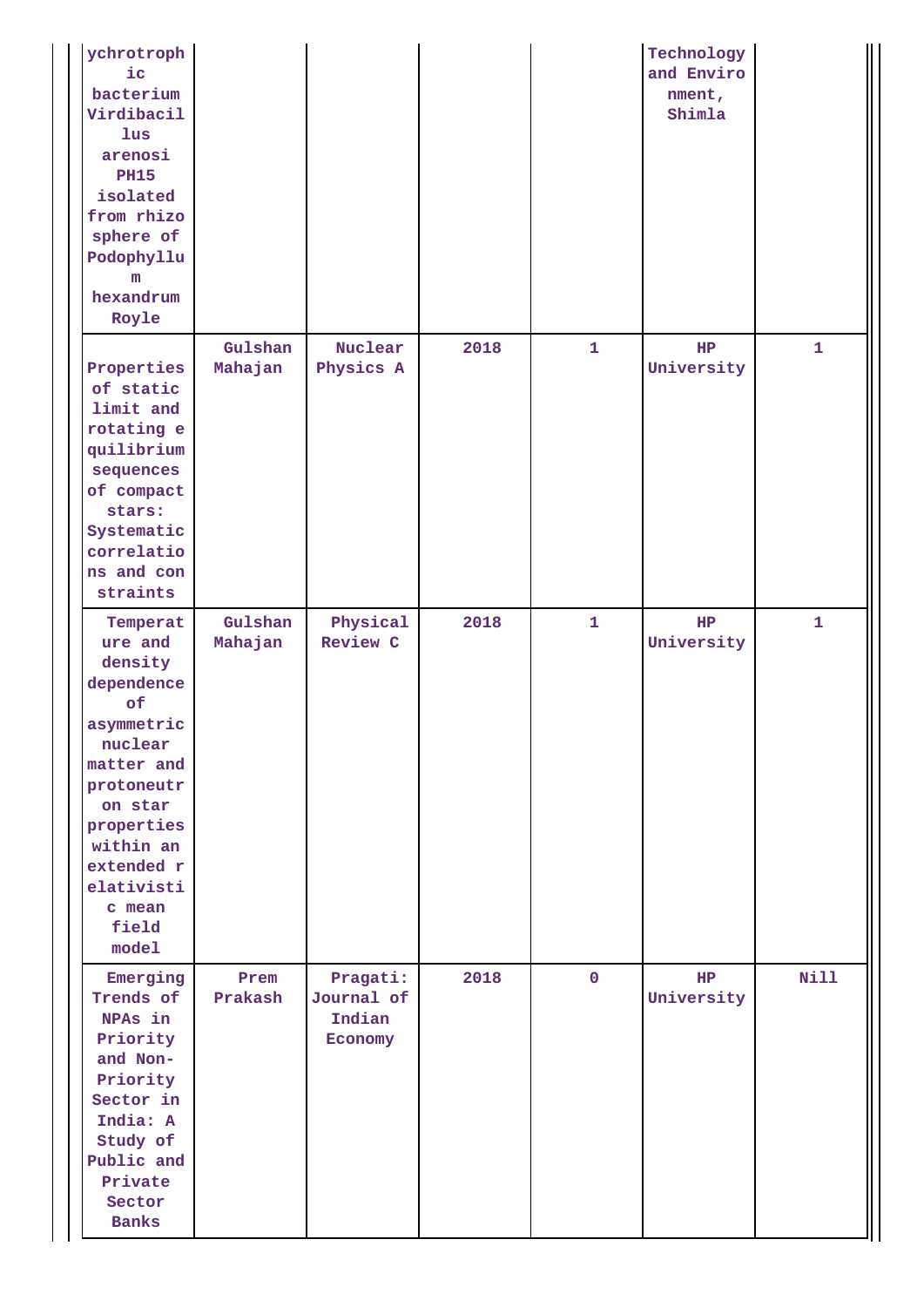| ychrotroph<br>$i$ c<br>bacterium<br>Virdibacil<br>$_{\text{lus}}$<br>arenosi<br><b>PH15</b><br>isolated<br>from rhizo<br>sphere of<br>Podophyllu<br>m<br>hexandrum<br>Royle                           |                    |                                             |      |              | Technology<br>and Enviro<br>nment,<br>Shimla |              |
|-------------------------------------------------------------------------------------------------------------------------------------------------------------------------------------------------------|--------------------|---------------------------------------------|------|--------------|----------------------------------------------|--------------|
| Properties<br>of static<br>limit and<br>rotating e<br>quilibrium<br>sequences<br>of compact<br>stars:<br>Systematic<br>correlatio<br>ns and con<br>straints                                           | Gulshan<br>Mahajan | Nuclear<br>Physics A                        | 2018 | $\mathbf{1}$ | HP<br>University                             | $\mathbf{1}$ |
| Temperat<br>ure and<br>density<br>dependence<br>of<br>asymmetric<br>nuclear<br>matter and<br>protoneutr<br>on star<br>properties<br>within an<br>extended r<br>elativisti<br>c mean<br>field<br>model | Gulshan<br>Mahajan | Physical<br>Review C                        | 2018 | $\mathbf{1}$ | HP<br>University                             | 1            |
| Emerging<br>Trends of<br>NPAs in<br>Priority<br>and Non-<br>Priority<br>Sector in<br>India: A<br>Study of<br>Public and<br>Private<br>Sector<br><b>Banks</b>                                          | Prem<br>Prakash    | Pragati:<br>Journal of<br>Indian<br>Economy | 2018 | $\mathbf 0$  | HP<br>University                             | <b>Nill</b>  |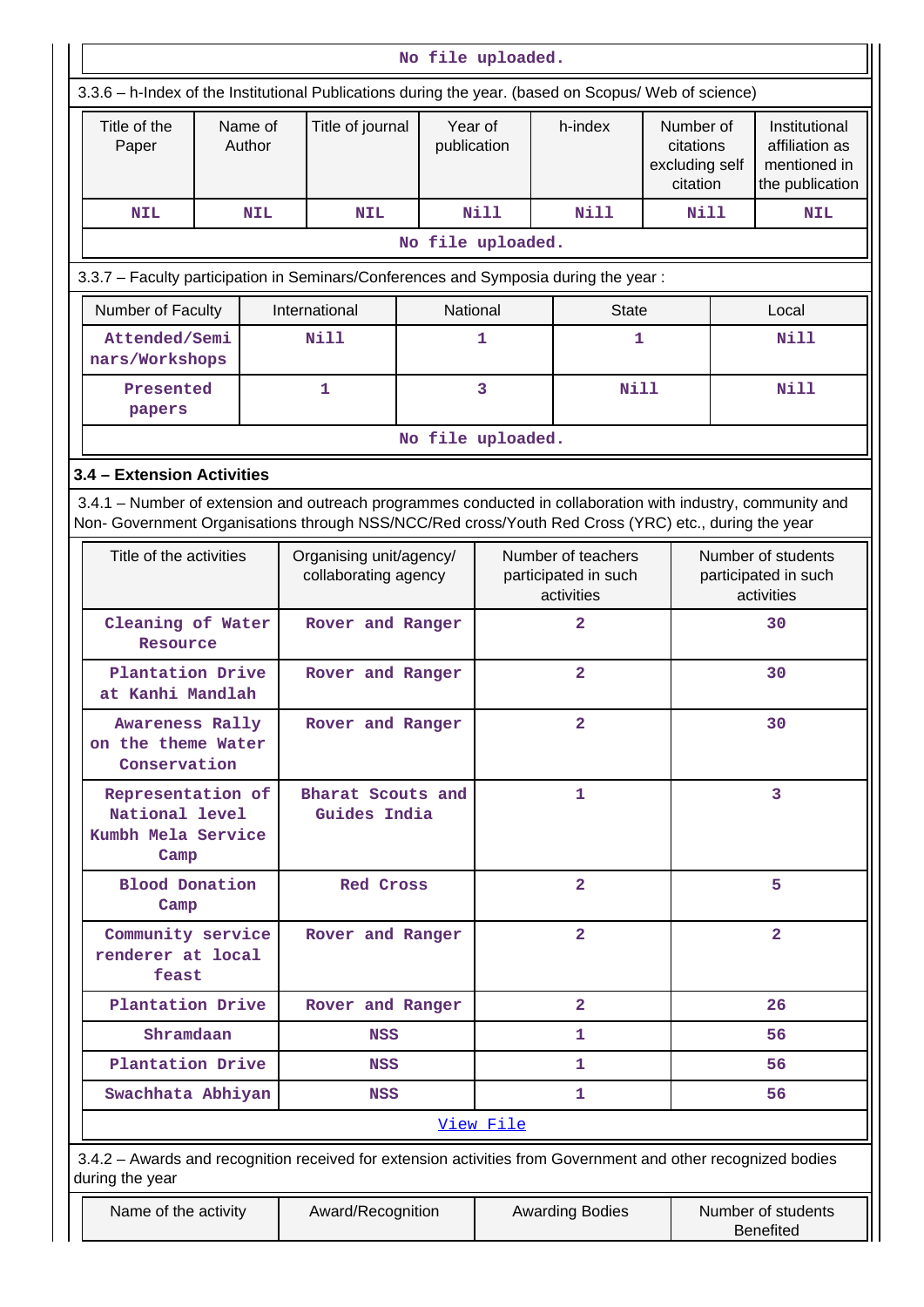|                            |                                                                                                                                                                                                                    |                   |                   |                                                          | No file uploaded. |                        |   |                                                          |                                                      |   |                                                                    |  |
|----------------------------|--------------------------------------------------------------------------------------------------------------------------------------------------------------------------------------------------------------------|-------------------|-------------------|----------------------------------------------------------|-------------------|------------------------|---|----------------------------------------------------------|------------------------------------------------------|---|--------------------------------------------------------------------|--|
|                            | 3.3.6 - h-Index of the Institutional Publications during the year. (based on Scopus/ Web of science)                                                                                                               |                   |                   |                                                          |                   |                        |   |                                                          |                                                      |   |                                                                    |  |
|                            | Title of the<br>Paper                                                                                                                                                                                              |                   | Name of<br>Author | Title of journal                                         |                   | Year of<br>publication |   | h-index                                                  | Number of<br>citations<br>excluding self<br>citation |   | Institutional<br>affiliation as<br>mentioned in<br>the publication |  |
|                            | <b>NIL</b>                                                                                                                                                                                                         |                   | <b>NIL</b>        | <b>NIL</b>                                               |                   | <b>Nill</b>            |   | Nill                                                     | Nill                                                 |   | <b>NIL</b>                                                         |  |
|                            |                                                                                                                                                                                                                    |                   |                   |                                                          | No file uploaded. |                        |   |                                                          |                                                      |   |                                                                    |  |
|                            | 3.3.7 - Faculty participation in Seminars/Conferences and Symposia during the year:                                                                                                                                |                   |                   |                                                          |                   |                        |   |                                                          |                                                      |   |                                                                    |  |
|                            | Number of Faculty                                                                                                                                                                                                  |                   |                   | International                                            |                   | National               |   | <b>State</b>                                             |                                                      |   | Local                                                              |  |
|                            | Attended/Semi<br>nars/Workshops                                                                                                                                                                                    |                   |                   | <b>Nill</b>                                              |                   | 1                      |   | 1                                                        |                                                      |   | Nill                                                               |  |
|                            | Presented<br>papers                                                                                                                                                                                                |                   |                   | 1                                                        |                   | 3                      |   | <b>Nill</b>                                              |                                                      |   | <b>Nill</b>                                                        |  |
|                            |                                                                                                                                                                                                                    | No file uploaded. |                   |                                                          |                   |                        |   |                                                          |                                                      |   |                                                                    |  |
| 3.4 – Extension Activities |                                                                                                                                                                                                                    |                   |                   |                                                          |                   |                        |   |                                                          |                                                      |   |                                                                    |  |
|                            | 3.4.1 – Number of extension and outreach programmes conducted in collaboration with industry, community and<br>Non- Government Organisations through NSS/NCC/Red cross/Youth Red Cross (YRC) etc., during the year |                   |                   |                                                          |                   |                        |   |                                                          |                                                      |   |                                                                    |  |
|                            | Title of the activities<br>Organising unit/agency/<br>collaborating agency                                                                                                                                         |                   |                   | Number of teachers<br>participated in such<br>activities |                   |                        |   | Number of students<br>participated in such<br>activities |                                                      |   |                                                                    |  |
|                            | Cleaning of Water<br>Resource                                                                                                                                                                                      |                   |                   | Rover and Ranger                                         |                   |                        |   | 2                                                        |                                                      |   | 30                                                                 |  |
|                            | Plantation Drive<br>at Kanhi Mandlah                                                                                                                                                                               |                   |                   | Rover and Ranger                                         |                   |                        |   | $\overline{a}$                                           |                                                      |   | 30                                                                 |  |
|                            | Awareness Rally<br>on the theme Water<br>Conservation                                                                                                                                                              |                   |                   | Rover and Ranger                                         |                   | $\overline{a}$         |   |                                                          |                                                      |   | 30                                                                 |  |
|                            | Representation of<br>National level<br>Kumbh Mela Service<br>Camp                                                                                                                                                  |                   |                   | Bharat Scouts and<br>Guides India                        |                   |                        | 1 |                                                          |                                                      | 3 |                                                                    |  |
|                            | Blood Donation<br>Camp                                                                                                                                                                                             |                   |                   | <b>Red Cross</b>                                         |                   |                        |   | $\overline{2}$                                           |                                                      |   | 5                                                                  |  |
|                            | Community service<br>renderer at local<br>feast                                                                                                                                                                    |                   |                   | Rover and Ranger                                         |                   |                        |   | $\overline{a}$                                           |                                                      |   | $\overline{\mathbf{2}}$                                            |  |
|                            | Plantation Drive                                                                                                                                                                                                   |                   |                   | Rover and Ranger                                         |                   |                        |   | $\overline{a}$                                           |                                                      |   | 26                                                                 |  |
|                            | Shramdaan                                                                                                                                                                                                          |                   |                   | <b>NSS</b>                                               |                   |                        |   | 1                                                        |                                                      |   | 56                                                                 |  |
|                            | Plantation Drive                                                                                                                                                                                                   |                   |                   | NSS                                                      |                   |                        |   | 1                                                        |                                                      |   | 56                                                                 |  |
|                            | Swachhata Abhiyan                                                                                                                                                                                                  |                   |                   | <b>NSS</b>                                               |                   |                        |   | 1                                                        |                                                      |   | 56                                                                 |  |
| View File                  |                                                                                                                                                                                                                    |                   |                   |                                                          |                   |                        |   |                                                          |                                                      |   |                                                                    |  |
|                            | 3.4.2 - Awards and recognition received for extension activities from Government and other recognized bodies<br>during the year                                                                                    |                   |                   |                                                          |                   |                        |   |                                                          |                                                      |   |                                                                    |  |
|                            | Name of the activity                                                                                                                                                                                               |                   |                   | Award/Recognition                                        |                   |                        |   | <b>Awarding Bodies</b>                                   |                                                      |   | Number of students<br><b>Benefited</b>                             |  |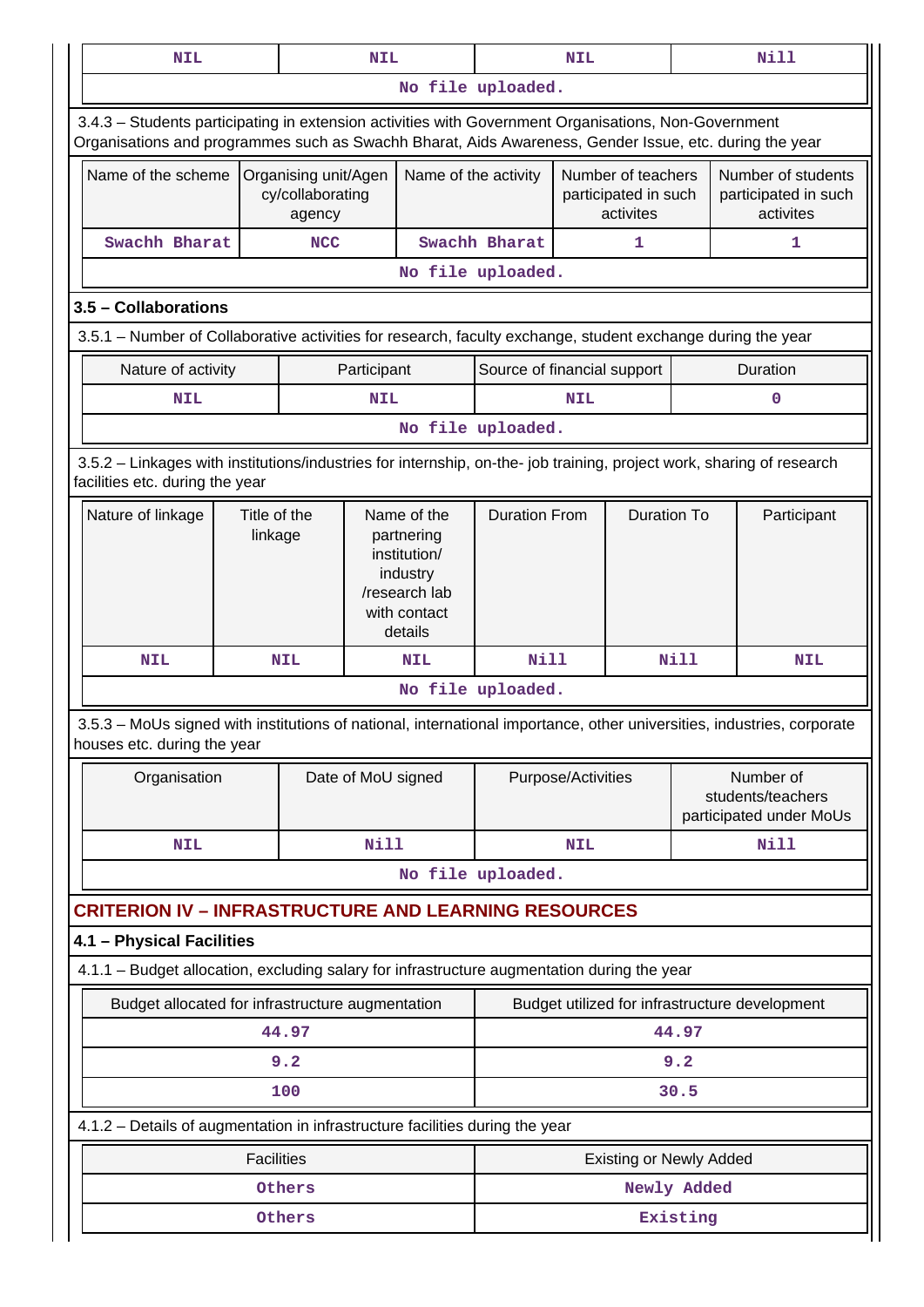| <b>NIL</b>                                                                                                                                                                                                     |                                                                                                                              |                   | <b>NIL</b>         |            |                                            | <b>NIL</b> |                                                         |                                                         | <b>Nill</b>                                               |  |
|----------------------------------------------------------------------------------------------------------------------------------------------------------------------------------------------------------------|------------------------------------------------------------------------------------------------------------------------------|-------------------|--------------------|------------|--------------------------------------------|------------|---------------------------------------------------------|---------------------------------------------------------|-----------------------------------------------------------|--|
|                                                                                                                                                                                                                |                                                                                                                              |                   |                    |            | No file uploaded.                          |            |                                                         |                                                         |                                                           |  |
| 3.4.3 - Students participating in extension activities with Government Organisations, Non-Government<br>Organisations and programmes such as Swachh Bharat, Aids Awareness, Gender Issue, etc. during the year |                                                                                                                              |                   |                    |            |                                            |            |                                                         |                                                         |                                                           |  |
|                                                                                                                                                                                                                | Name of the scheme<br>Name of the activity<br>Organising unit/Agen<br>cy/collaborating<br>agency                             |                   |                    |            |                                            |            | Number of teachers<br>participated in such<br>activites | Number of students<br>participated in such<br>activites |                                                           |  |
| Swachh Bharat                                                                                                                                                                                                  |                                                                                                                              | <b>NCC</b>        |                    |            | Swachh Bharat                              |            | 1                                                       |                                                         | 1                                                         |  |
|                                                                                                                                                                                                                |                                                                                                                              |                   |                    |            | No file uploaded.                          |            |                                                         |                                                         |                                                           |  |
| 3.5 - Collaborations                                                                                                                                                                                           |                                                                                                                              |                   |                    |            |                                            |            |                                                         |                                                         |                                                           |  |
| 3.5.1 – Number of Collaborative activities for research, faculty exchange, student exchange during the year                                                                                                    |                                                                                                                              |                   |                    |            |                                            |            |                                                         |                                                         |                                                           |  |
| Nature of activity                                                                                                                                                                                             |                                                                                                                              |                   | Participant        |            | Source of financial support                |            |                                                         |                                                         | Duration                                                  |  |
| <b>NIL</b>                                                                                                                                                                                                     | NIL                                                                                                                          |                   |                    |            |                                            | <b>NIL</b> |                                                         |                                                         | 0                                                         |  |
|                                                                                                                                                                                                                |                                                                                                                              | No file uploaded. |                    |            |                                            |            |                                                         |                                                         |                                                           |  |
| 3.5.2 - Linkages with institutions/industries for internship, on-the- job training, project work, sharing of research<br>facilities etc. during the year                                                       |                                                                                                                              |                   |                    |            |                                            |            |                                                         |                                                         |                                                           |  |
| Nature of linkage                                                                                                                                                                                              | Title of the<br>Name of the<br>linkage<br>partnering<br>institution/<br>industry<br>/research lab<br>with contact<br>details |                   |                    |            | <b>Duration From</b><br><b>Duration To</b> |            |                                                         | Participant                                             |                                                           |  |
| <b>NIL</b>                                                                                                                                                                                                     |                                                                                                                              | <b>NIL</b>        |                    | <b>NIL</b> | <b>Nill</b>                                |            |                                                         | <b>Nill</b>                                             | <b>NIL</b>                                                |  |
|                                                                                                                                                                                                                |                                                                                                                              |                   |                    |            | No file uploaded.                          |            |                                                         |                                                         |                                                           |  |
| 3.5.3 - MoUs signed with institutions of national, international importance, other universities, industries, corporate<br>houses etc. during the year                                                          |                                                                                                                              |                   |                    |            |                                            |            |                                                         |                                                         |                                                           |  |
| Organisation                                                                                                                                                                                                   |                                                                                                                              |                   | Date of MoU signed |            | Purpose/Activities                         |            |                                                         |                                                         | Number of<br>students/teachers<br>participated under MoUs |  |
| <b>NIL</b>                                                                                                                                                                                                     |                                                                                                                              |                   | Nill               |            | <b>Nill</b><br><b>NIL</b>                  |            |                                                         |                                                         |                                                           |  |
|                                                                                                                                                                                                                |                                                                                                                              |                   |                    |            | No file uploaded.                          |            |                                                         |                                                         |                                                           |  |
| <b>CRITERION IV - INFRASTRUCTURE AND LEARNING RESOURCES</b>                                                                                                                                                    |                                                                                                                              |                   |                    |            |                                            |            |                                                         |                                                         |                                                           |  |
| 4.1 - Physical Facilities                                                                                                                                                                                      |                                                                                                                              |                   |                    |            |                                            |            |                                                         |                                                         |                                                           |  |
| 4.1.1 - Budget allocation, excluding salary for infrastructure augmentation during the year                                                                                                                    |                                                                                                                              |                   |                    |            |                                            |            |                                                         |                                                         |                                                           |  |
| Budget allocated for infrastructure augmentation                                                                                                                                                               |                                                                                                                              |                   |                    |            |                                            |            |                                                         |                                                         | Budget utilized for infrastructure development            |  |
|                                                                                                                                                                                                                |                                                                                                                              |                   |                    |            | 44.97                                      |            |                                                         |                                                         |                                                           |  |
|                                                                                                                                                                                                                |                                                                                                                              |                   |                    |            | 9.2                                        |            |                                                         |                                                         |                                                           |  |
|                                                                                                                                                                                                                | 100                                                                                                                          |                   |                    |            |                                            |            |                                                         | 30.5                                                    |                                                           |  |
| 4.1.2 - Details of augmentation in infrastructure facilities during the year                                                                                                                                   |                                                                                                                              |                   |                    |            |                                            |            |                                                         |                                                         |                                                           |  |
|                                                                                                                                                                                                                | <b>Facilities</b>                                                                                                            |                   |                    |            | Existing or Newly Added                    |            |                                                         |                                                         |                                                           |  |
|                                                                                                                                                                                                                |                                                                                                                              | Others            |                    |            |                                            |            |                                                         | Newly Added                                             |                                                           |  |
|                                                                                                                                                                                                                |                                                                                                                              | Others            |                    |            |                                            |            |                                                         | Existing                                                |                                                           |  |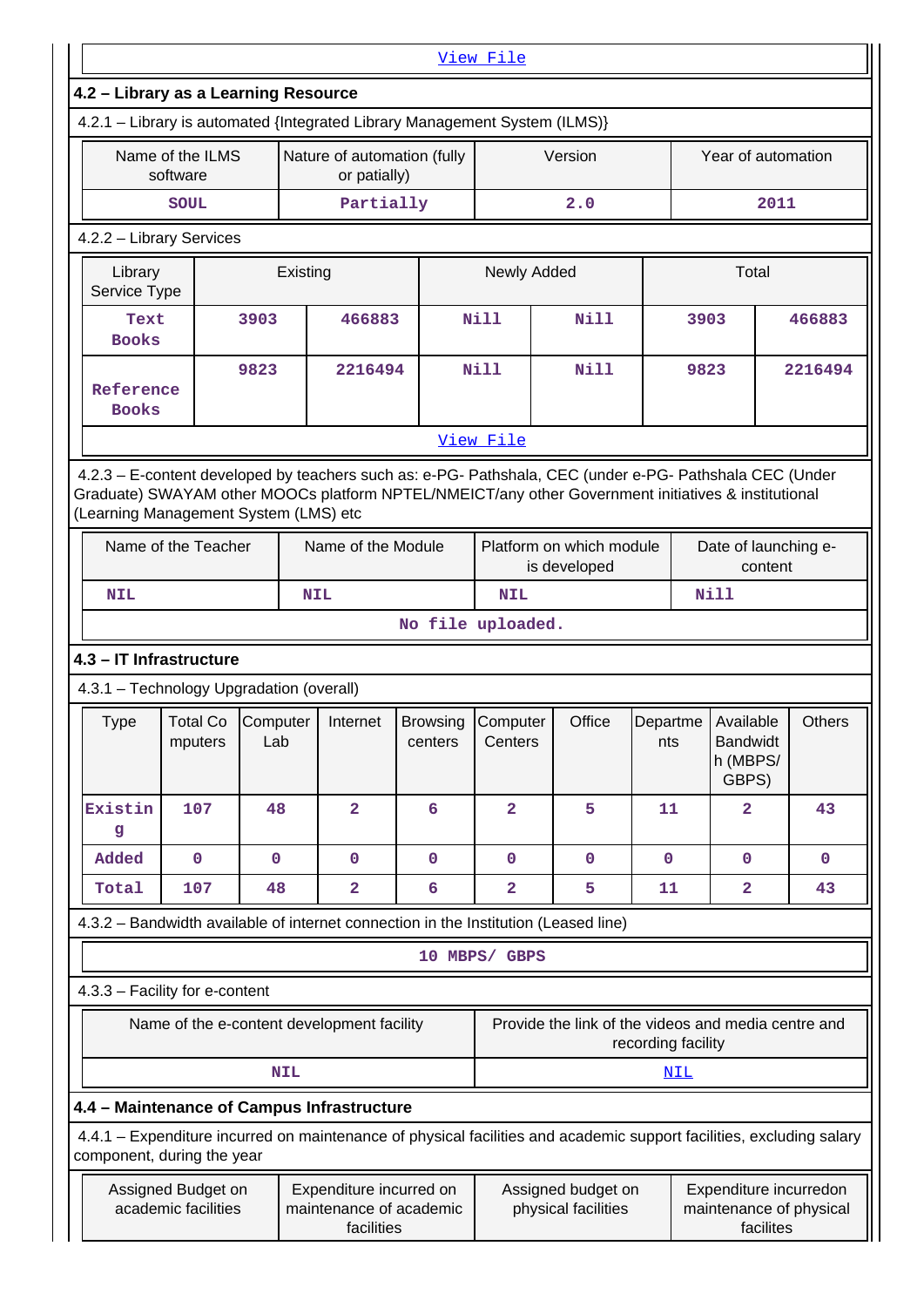|                                                                                                                                              |                                            |                   |            |                                                                  |                            | View File           |                                                                                                                      |                    |      |                                                   |         |                                                   |
|----------------------------------------------------------------------------------------------------------------------------------------------|--------------------------------------------|-------------------|------------|------------------------------------------------------------------|----------------------------|---------------------|----------------------------------------------------------------------------------------------------------------------|--------------------|------|---------------------------------------------------|---------|---------------------------------------------------|
| 4.2 - Library as a Learning Resource                                                                                                         |                                            |                   |            |                                                                  |                            |                     |                                                                                                                      |                    |      |                                                   |         |                                                   |
| 4.2.1 - Library is automated {Integrated Library Management System (ILMS)}                                                                   |                                            |                   |            |                                                                  |                            |                     |                                                                                                                      |                    |      |                                                   |         |                                                   |
|                                                                                                                                              | Name of the ILMS<br>software               |                   |            | Nature of automation (fully<br>or patially)                      |                            |                     | Version                                                                                                              |                    |      | Year of automation                                |         |                                                   |
|                                                                                                                                              | <b>SOUL</b>                                |                   |            | Partially                                                        |                            |                     | 2.0                                                                                                                  |                    |      |                                                   | 2011    |                                                   |
| 4.2.2 - Library Services                                                                                                                     |                                            |                   |            |                                                                  |                            |                     |                                                                                                                      |                    |      |                                                   |         |                                                   |
|                                                                                                                                              | Library<br>Existing<br>Service Type        |                   |            |                                                                  |                            |                     | Newly Added                                                                                                          |                    |      | Total                                             |         |                                                   |
| Text<br><b>Books</b>                                                                                                                         |                                            | 3903              |            | 466883                                                           |                            | <b>Nill</b>         | Nill                                                                                                                 |                    | 3903 |                                                   |         | 466883                                            |
| Reference<br><b>Books</b>                                                                                                                    |                                            | 9823              |            | 2216494                                                          |                            | <b>Nill</b>         | <b>Nill</b>                                                                                                          | 9823               |      |                                                   | 2216494 |                                                   |
|                                                                                                                                              |                                            |                   |            |                                                                  |                            | View File           |                                                                                                                      |                    |      |                                                   |         |                                                   |
| Graduate) SWAYAM other MOOCs platform NPTEL/NMEICT/any other Government initiatives & institutional<br>(Learning Management System (LMS) etc |                                            |                   |            |                                                                  |                            |                     | 4.2.3 - E-content developed by teachers such as: e-PG- Pathshala, CEC (under e-PG- Pathshala CEC (Under              |                    |      |                                                   |         |                                                   |
|                                                                                                                                              | Name of the Teacher                        |                   |            | Name of the Module                                               |                            |                     | Platform on which module<br>is developed                                                                             |                    |      | Date of launching e-<br>content                   |         |                                                   |
| <b>NIL</b>                                                                                                                                   |                                            |                   | <b>NIL</b> |                                                                  |                            | <b>NIL</b>          |                                                                                                                      |                    |      | <b>Nill</b>                                       |         |                                                   |
|                                                                                                                                              |                                            |                   |            |                                                                  | No file uploaded.          |                     |                                                                                                                      |                    |      |                                                   |         |                                                   |
| 4.3 - IT Infrastructure                                                                                                                      |                                            |                   |            |                                                                  |                            |                     |                                                                                                                      |                    |      |                                                   |         |                                                   |
| 4.3.1 - Technology Upgradation (overall)                                                                                                     |                                            |                   |            |                                                                  |                            |                     |                                                                                                                      |                    |      |                                                   |         |                                                   |
| Type                                                                                                                                         | <b>Total Co</b><br>mputers                 | Computer  <br>Lab |            | Internet                                                         | <b>Browsing</b><br>centers | Computer<br>Centers | Office                                                                                                               | Departme<br>nts    |      | Available<br><b>Bandwidt</b><br>h (MBPS/<br>GBPS) |         | <b>Others</b>                                     |
| Existin<br>g                                                                                                                                 | 107                                        | 48                |            | $\overline{\mathbf{2}}$                                          | 6                          | $\overline{2}$      | 5                                                                                                                    | 11                 |      | $\mathbf{2}$                                      |         | 43                                                |
| Added                                                                                                                                        | $\mathbf 0$                                | $\mathbf 0$       |            | $\mathbf 0$                                                      | $\mathbf 0$                | $\mathbf 0$         | $\mathbf 0$                                                                                                          | $\mathbf 0$        |      | $\mathbf{0}$                                      |         | $\mathbf 0$                                       |
| Total                                                                                                                                        | 107                                        | 48                |            | $\overline{\mathbf{2}}$                                          | 6                          | 2                   | 5                                                                                                                    | 11                 |      | $\overline{\mathbf{2}}$                           |         | 43                                                |
|                                                                                                                                              |                                            |                   |            |                                                                  |                            |                     | 4.3.2 – Bandwidth available of internet connection in the Institution (Leased line)                                  |                    |      |                                                   |         |                                                   |
|                                                                                                                                              |                                            |                   |            |                                                                  |                            | 10 MBPS/ GBPS       |                                                                                                                      |                    |      |                                                   |         |                                                   |
| 4.3.3 - Facility for e-content                                                                                                               |                                            |                   |            |                                                                  |                            |                     |                                                                                                                      |                    |      |                                                   |         |                                                   |
|                                                                                                                                              | Name of the e-content development facility |                   |            |                                                                  |                            |                     | Provide the link of the videos and media centre and                                                                  | recording facility |      |                                                   |         |                                                   |
|                                                                                                                                              |                                            |                   | <b>NIL</b> |                                                                  |                            |                     |                                                                                                                      |                    | NIL  |                                                   |         |                                                   |
| 4.4 - Maintenance of Campus Infrastructure                                                                                                   |                                            |                   |            |                                                                  |                            |                     |                                                                                                                      |                    |      |                                                   |         |                                                   |
| component, during the year                                                                                                                   |                                            |                   |            |                                                                  |                            |                     | 4.4.1 – Expenditure incurred on maintenance of physical facilities and academic support facilities, excluding salary |                    |      |                                                   |         |                                                   |
|                                                                                                                                              | Assigned Budget on<br>academic facilities  |                   |            | Expenditure incurred on<br>maintenance of academic<br>facilities |                            |                     | Assigned budget on<br>physical facilities                                                                            |                    |      | facilites                                         |         | Expenditure incurredon<br>maintenance of physical |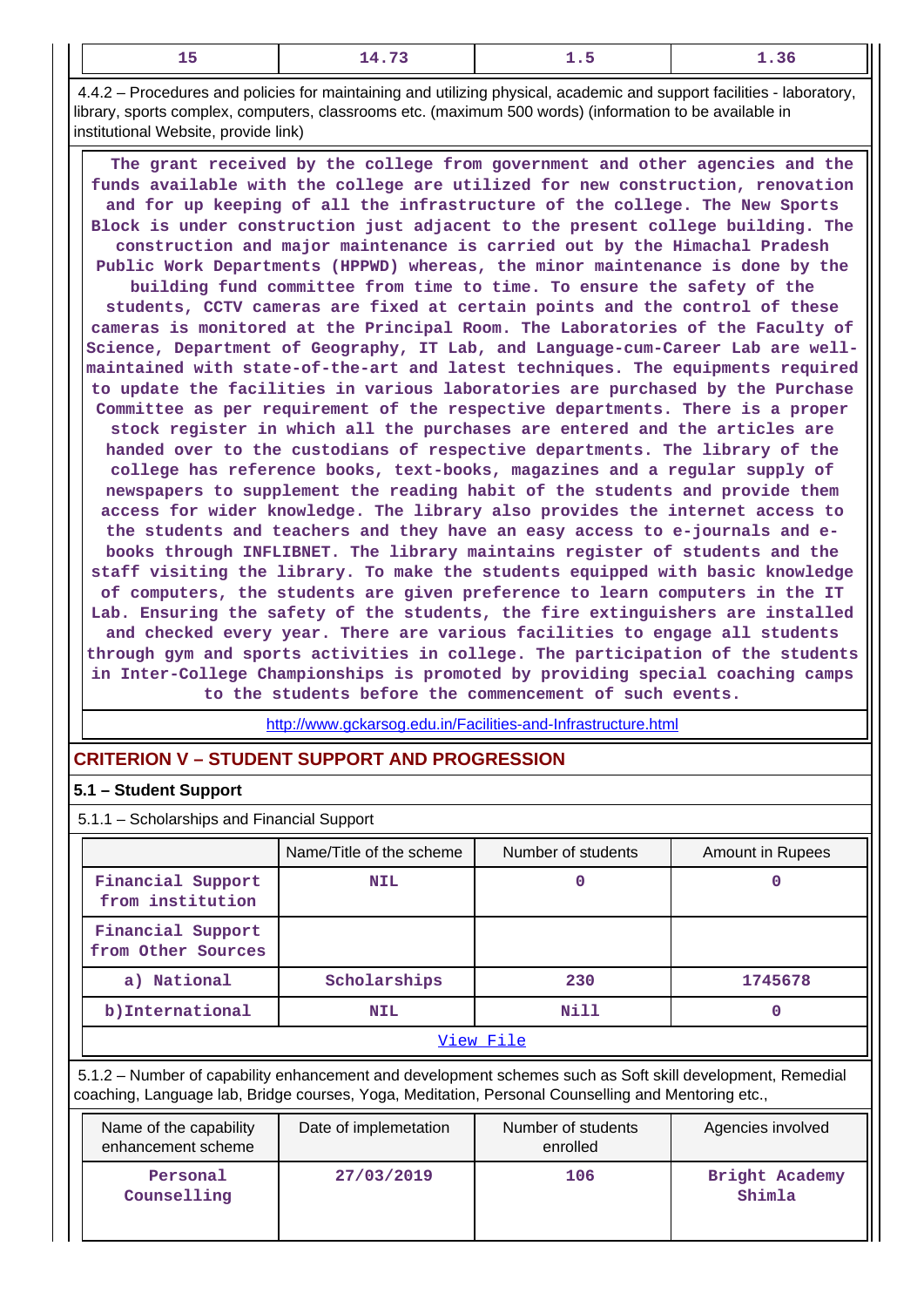| $\sim$<br>-- | ---- |  |
|--------------|------|--|
|              |      |  |

 4.4.2 – Procedures and policies for maintaining and utilizing physical, academic and support facilities - laboratory, library, sports complex, computers, classrooms etc. (maximum 500 words) (information to be available in institutional Website, provide link)

 **The grant received by the college from government and other agencies and the funds available with the college are utilized for new construction, renovation and for up keeping of all the infrastructure of the college. The New Sports Block is under construction just adjacent to the present college building. The construction and major maintenance is carried out by the Himachal Pradesh Public Work Departments (HPPWD) whereas, the minor maintenance is done by the building fund committee from time to time. To ensure the safety of the students, CCTV cameras are fixed at certain points and the control of these cameras is monitored at the Principal Room. The Laboratories of the Faculty of Science, Department of Geography, IT Lab, and Language-cum-Career Lab are wellmaintained with state-of-the-art and latest techniques. The equipments required to update the facilities in various laboratories are purchased by the Purchase Committee as per requirement of the respective departments. There is a proper stock register in which all the purchases are entered and the articles are handed over to the custodians of respective departments. The library of the college has reference books, text-books, magazines and a regular supply of newspapers to supplement the reading habit of the students and provide them access for wider knowledge. The library also provides the internet access to the students and teachers and they have an easy access to e-journals and ebooks through INFLIBNET. The library maintains register of students and the staff visiting the library. To make the students equipped with basic knowledge of computers, the students are given preference to learn computers in the IT Lab. Ensuring the safety of the students, the fire extinguishers are installed and checked every year. There are various facilities to engage all students through gym and sports activities in college. The participation of the students in Inter-College Championships is promoted by providing special coaching camps to the students before the commencement of such events.**

<http://www.gckarsog.edu.in/Facilities-and-Infrastructure.html>

## **CRITERION V – STUDENT SUPPORT AND PROGRESSION**

## **5.1 – Student Support**

5.1.1 – Scholarships and Financial Support

|                                         | Name/Title of the scheme | Number of students | Amount in Rupees |  |
|-----------------------------------------|--------------------------|--------------------|------------------|--|
| Financial Support<br>from institution   | <b>NIL</b>               |                    |                  |  |
| Financial Support<br>from Other Sources |                          |                    |                  |  |
| a) National                             | Scholarships             | 230                | 1745678          |  |
| b) International                        | <b>NIL</b>               | Nill               |                  |  |
| View File                               |                          |                    |                  |  |

 5.1.2 – Number of capability enhancement and development schemes such as Soft skill development, Remedial coaching, Language lab, Bridge courses, Yoga, Meditation, Personal Counselling and Mentoring etc.,

| Name of the capability<br>enhancement scheme | Date of implemetation | Number of students<br>enrolled | Agencies involved        |
|----------------------------------------------|-----------------------|--------------------------------|--------------------------|
| Personal<br>Counselling                      | 27/03/2019            | 106                            | Bright Academy<br>Shimla |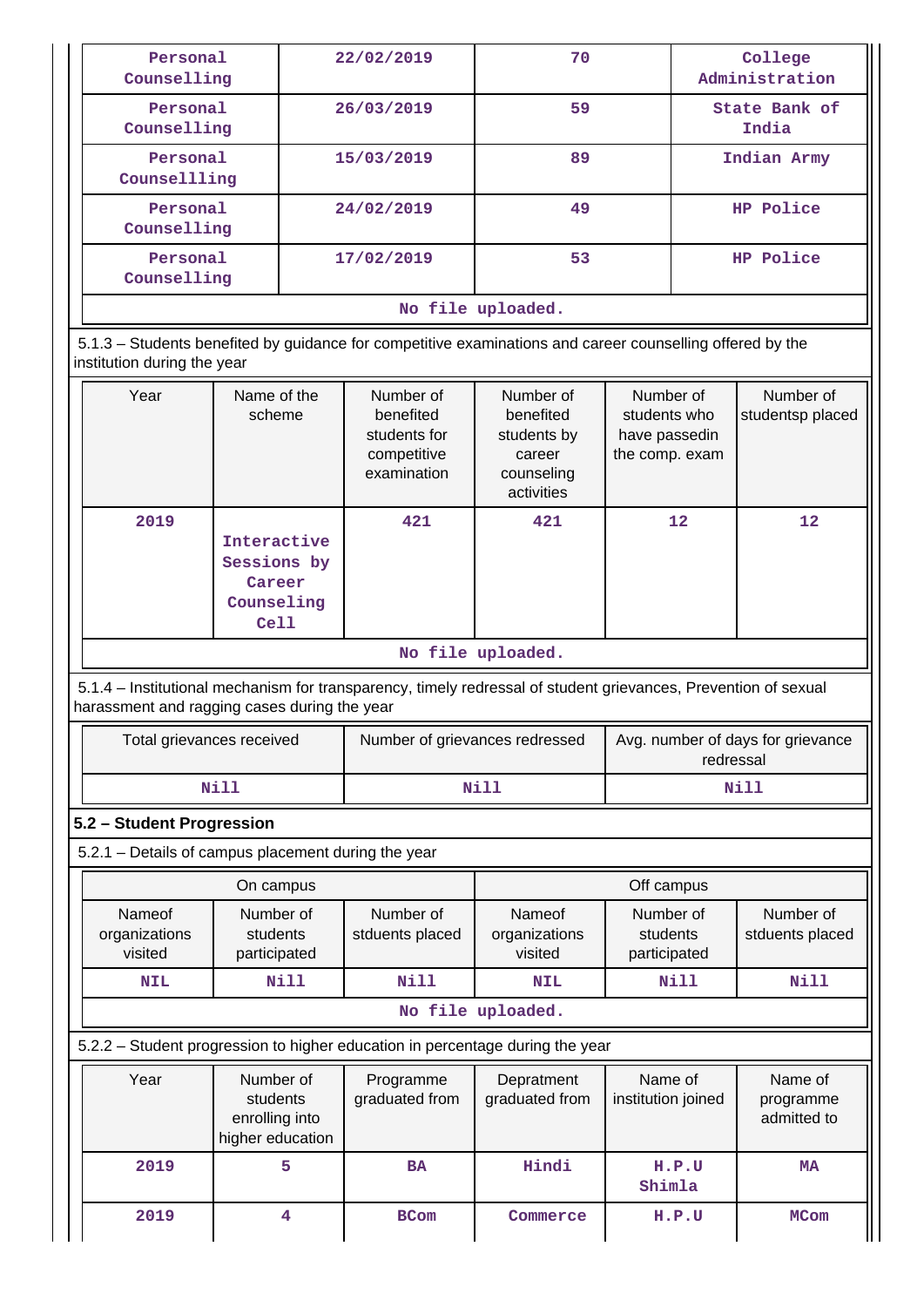| Personal<br>Counselling     |                            |            | 22/02/2019                                                           | 70                                                                                                        |                                                              |                        | College<br>Administration     |
|-----------------------------|----------------------------|------------|----------------------------------------------------------------------|-----------------------------------------------------------------------------------------------------------|--------------------------------------------------------------|------------------------|-------------------------------|
|                             | Personal<br>Counselling    |            | 26/03/2019                                                           | 59                                                                                                        |                                                              | State Bank of<br>India |                               |
| Personal<br>Counsellling    |                            |            | 15/03/2019                                                           | 89                                                                                                        |                                                              |                        | Indian Army                   |
| Personal<br>Counselling     |                            | 24/02/2019 |                                                                      | 49                                                                                                        |                                                              | HP Police              |                               |
| Personal<br>Counselling     |                            | 17/02/2019 | 53                                                                   |                                                                                                           | HP Police                                                    |                        |                               |
|                             |                            |            |                                                                      | No file uploaded.                                                                                         |                                                              |                        |                               |
| institution during the year |                            |            |                                                                      | 5.1.3 – Students benefited by guidance for competitive examinations and career counselling offered by the |                                                              |                        |                               |
| Year                        | Name of the<br>scheme      |            | Number of<br>benefited<br>students for<br>competitive<br>examination | Number of<br>benefited<br>students by<br>career<br>counseling<br>activities                               | Number of<br>students who<br>have passedin<br>the comp. exam |                        | Number of<br>studentsp placed |
| 2019                        | Interactive<br>Sessions by |            | 421                                                                  | 421                                                                                                       | 12                                                           |                        | 12                            |

|  | No file uploaded |
|--|------------------|

 5.1.4 – Institutional mechanism for transparency, timely redressal of student grievances, Prevention of sexual harassment and ragging cases during the year

| Total grievances received | Number of grievances redressed | Avg. number of days for grievance<br>redressal |
|---------------------------|--------------------------------|------------------------------------------------|
| Nill                      | Nill                           | Nill                                           |

#### **5.2 – Student Progression**

5.2.1 – Details of campus placement during the year

**Career Counseling Cell**

| On campus                          |                                       |                              |                                    | Off campus                            |                              |
|------------------------------------|---------------------------------------|------------------------------|------------------------------------|---------------------------------------|------------------------------|
| Nameof<br>organizations<br>visited | Number of<br>students<br>participated | Number of<br>stduents placed | Nameof<br>organizations<br>visited | Number of<br>students<br>participated | Number of<br>stduents placed |
| <b>NIL</b>                         | Nill                                  | Nill                         | <b>NIL</b>                         | Nill                                  | Nill                         |
| ara 1947 a cuata a Sad             |                                       |                              |                                    |                                       |                              |

#### **No file uploaded.**

5.2.2 – Student progression to higher education in percentage during the year

| Year | Number of<br>students<br>enrolling into<br>higher education | Programme<br>graduated from | Depratment<br>graduated from | Name of<br>institution joined | Name of<br>programme<br>admitted to |
|------|-------------------------------------------------------------|-----------------------------|------------------------------|-------------------------------|-------------------------------------|
| 2019 | 5                                                           | <b>BA</b>                   | Hindi                        | H.P.U<br>Shimla               | MA                                  |
| 2019 | 4                                                           | <b>BCom</b>                 | Commerce                     | H.P.U                         | <b>MCom</b>                         |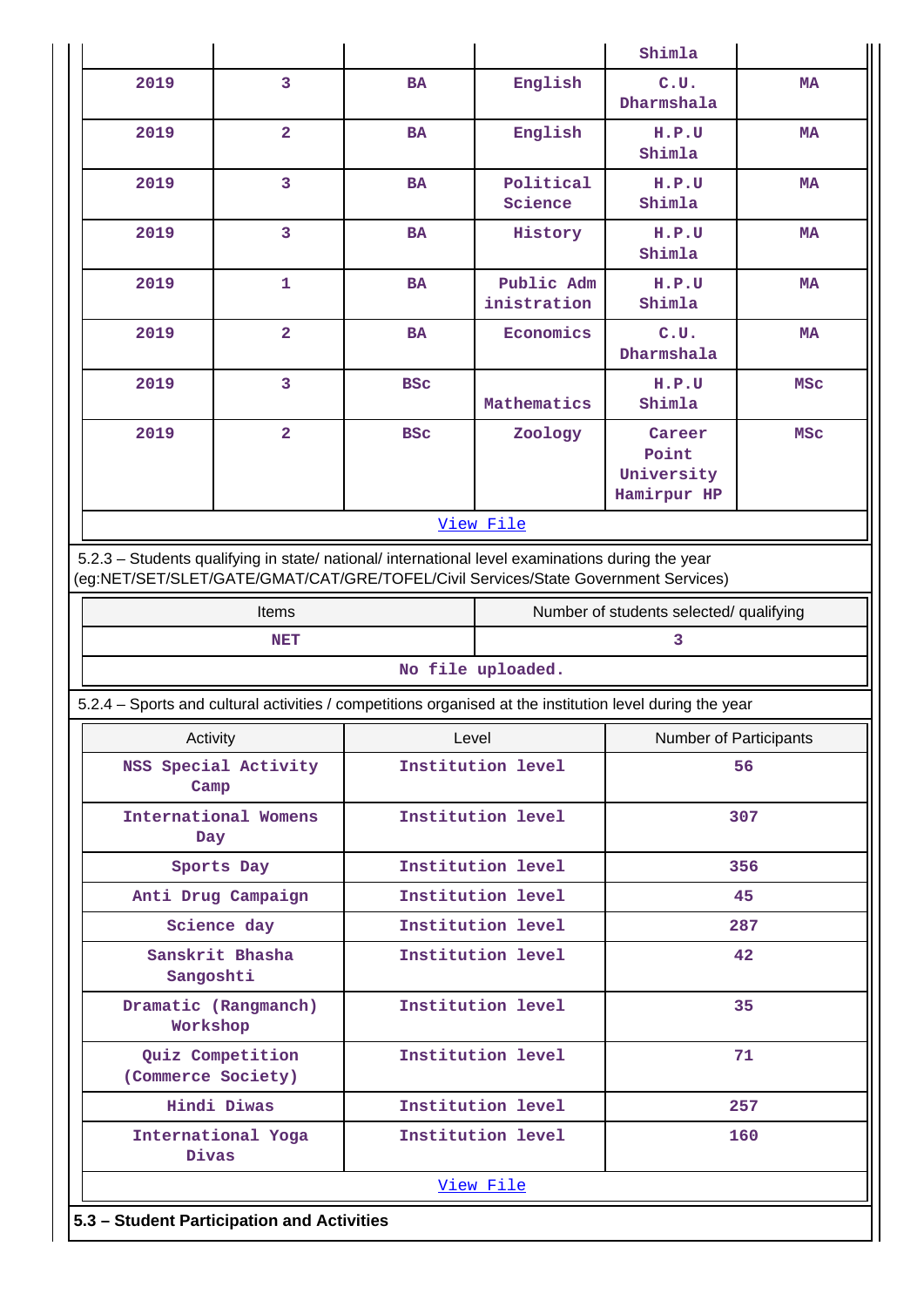|                                                                                                          |                                                                                                                                                                                        |                   |                           | Shimla                                       |            |  |  |
|----------------------------------------------------------------------------------------------------------|----------------------------------------------------------------------------------------------------------------------------------------------------------------------------------------|-------------------|---------------------------|----------------------------------------------|------------|--|--|
| 2019                                                                                                     | 3                                                                                                                                                                                      | <b>BA</b>         | English                   | C.U.<br>Dharmshala                           | MA         |  |  |
| 2019                                                                                                     | $\overline{2}$                                                                                                                                                                         | <b>BA</b>         | English                   | H.P.U<br>Shimla                              | MA         |  |  |
| 2019                                                                                                     | 3                                                                                                                                                                                      | <b>BA</b>         | Political<br>Science      | H.P.U<br>Shimla                              | <b>MA</b>  |  |  |
| 2019                                                                                                     | 3                                                                                                                                                                                      | <b>BA</b>         | History                   | H.P.U<br>Shimla                              | <b>MA</b>  |  |  |
| 2019                                                                                                     | 1                                                                                                                                                                                      | <b>BA</b>         | Public Adm<br>inistration | H.P.U<br>Shimla                              | MA         |  |  |
| 2019                                                                                                     | $\overline{a}$                                                                                                                                                                         | <b>BA</b>         | Economics                 | C.U.<br>Dharmshala                           | <b>MA</b>  |  |  |
| 2019                                                                                                     | 3                                                                                                                                                                                      | <b>BSC</b>        | Mathematics               | H.P.U<br>Shimla                              | <b>MSC</b> |  |  |
| 2019                                                                                                     | $\overline{a}$                                                                                                                                                                         | <b>BSC</b>        | Zoology                   | Career<br>Point<br>University<br>Hamirpur HP | <b>MSC</b> |  |  |
|                                                                                                          |                                                                                                                                                                                        |                   | View File                 |                                              |            |  |  |
|                                                                                                          | 5.2.3 - Students qualifying in state/ national/ international level examinations during the year<br>(eg:NET/SET/SLET/GATE/GMAT/CAT/GRE/TOFEL/Civil Services/State Government Services) |                   |                           |                                              |            |  |  |
|                                                                                                          | Items                                                                                                                                                                                  |                   |                           | Number of students selected/ qualifying      |            |  |  |
|                                                                                                          | <b>NET</b>                                                                                                                                                                             |                   | 3                         |                                              |            |  |  |
|                                                                                                          |                                                                                                                                                                                        |                   | No file uploaded.         |                                              |            |  |  |
| 5.2.4 - Sports and cultural activities / competitions organised at the institution level during the year |                                                                                                                                                                                        |                   |                           |                                              |            |  |  |
| Activity                                                                                                 |                                                                                                                                                                                        |                   | Level                     | Number of Participants                       |            |  |  |
| Camp                                                                                                     | NSS Special Activity                                                                                                                                                                   | Institution level |                           |                                              | 56         |  |  |
| Day                                                                                                      | International Womens                                                                                                                                                                   | Institution level |                           |                                              | 307        |  |  |
|                                                                                                          | Sports Day                                                                                                                                                                             | Institution level |                           | 356                                          |            |  |  |
|                                                                                                          | Anti Drug Campaign                                                                                                                                                                     |                   | Institution level         |                                              | 45         |  |  |
|                                                                                                          | Science day                                                                                                                                                                            |                   | Institution level         |                                              | 287        |  |  |
|                                                                                                          | Sanskrit Bhasha<br>Sangoshti                                                                                                                                                           |                   | Institution level         |                                              | 42         |  |  |
|                                                                                                          | Dramatic (Rangmanch)<br>Workshop                                                                                                                                                       |                   | Institution level         |                                              | 35         |  |  |
|                                                                                                          | Quiz Competition<br>(Commerce Society)                                                                                                                                                 |                   | Institution level         |                                              | 71         |  |  |
|                                                                                                          | Hindi Diwas                                                                                                                                                                            |                   | Institution level         |                                              | 257        |  |  |
|                                                                                                          | International Yoga<br>Divas                                                                                                                                                            |                   | Institution level         |                                              | 160        |  |  |
| View File                                                                                                |                                                                                                                                                                                        |                   |                           |                                              |            |  |  |
|                                                                                                          |                                                                                                                                                                                        |                   |                           |                                              |            |  |  |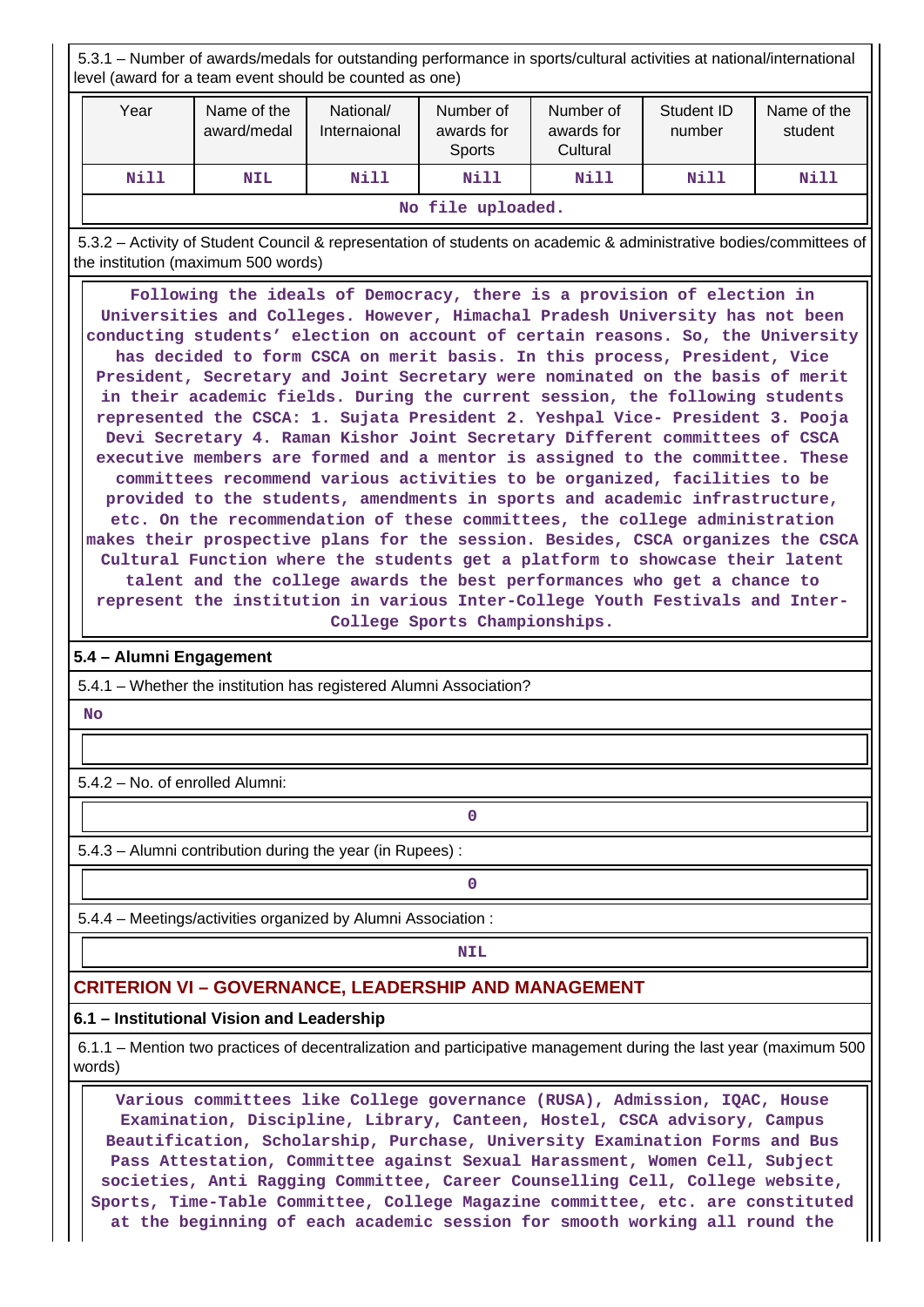5.3.1 – Number of awards/medals for outstanding performance in sports/cultural activities at national/international level (award for a team event should be counted as one)

| Year              | Name of the<br>award/medal | National/<br>Internaional | Number of<br>awards for<br>Sports | Number of<br>awards for<br>Cultural | Student ID<br>number | Name of the<br>student |
|-------------------|----------------------------|---------------------------|-----------------------------------|-------------------------------------|----------------------|------------------------|
| Nill              | <b>NIL</b>                 | Nill                      | Nill                              | Nill                                | Nill                 | Nill                   |
| No file uploaded. |                            |                           |                                   |                                     |                      |                        |

 5.3.2 – Activity of Student Council & representation of students on academic & administrative bodies/committees of the institution (maximum 500 words)

 **Following the ideals of Democracy, there is a provision of election in Universities and Colleges. However, Himachal Pradesh University has not been conducting students' election on account of certain reasons. So, the University has decided to form CSCA on merit basis. In this process, President, Vice President, Secretary and Joint Secretary were nominated on the basis of merit in their academic fields. During the current session, the following students represented the CSCA: 1. Sujata President 2. Yeshpal Vice- President 3. Pooja Devi Secretary 4. Raman Kishor Joint Secretary Different committees of CSCA executive members are formed and a mentor is assigned to the committee. These committees recommend various activities to be organized, facilities to be provided to the students, amendments in sports and academic infrastructure, etc. On the recommendation of these committees, the college administration makes their prospective plans for the session. Besides, CSCA organizes the CSCA Cultural Function where the students get a platform to showcase their latent talent and the college awards the best performances who get a chance to represent the institution in various Inter-College Youth Festivals and Inter-College Sports Championships.**

#### **5.4 – Alumni Engagement**

5.4.1 – Whether the institution has registered Alumni Association?

 **No**

5.4.2 – No. of enrolled Alumni:

**0**

5.4.3 – Alumni contribution during the year (in Rupees) :

**0**

5.4.4 – Meetings/activities organized by Alumni Association :

## **NIL**

#### **CRITERION VI – GOVERNANCE, LEADERSHIP AND MANAGEMENT**

#### **6.1 – Institutional Vision and Leadership**

 6.1.1 – Mention two practices of decentralization and participative management during the last year (maximum 500 words)

 **Various committees like College governance (RUSA), Admission, IQAC, House Examination, Discipline, Library, Canteen, Hostel, CSCA advisory, Campus Beautification, Scholarship, Purchase, University Examination Forms and Bus Pass Attestation, Committee against Sexual Harassment, Women Cell, Subject societies, Anti Ragging Committee, Career Counselling Cell, College website, Sports, Time-Table Committee, College Magazine committee, etc. are constituted at the beginning of each academic session for smooth working all round the**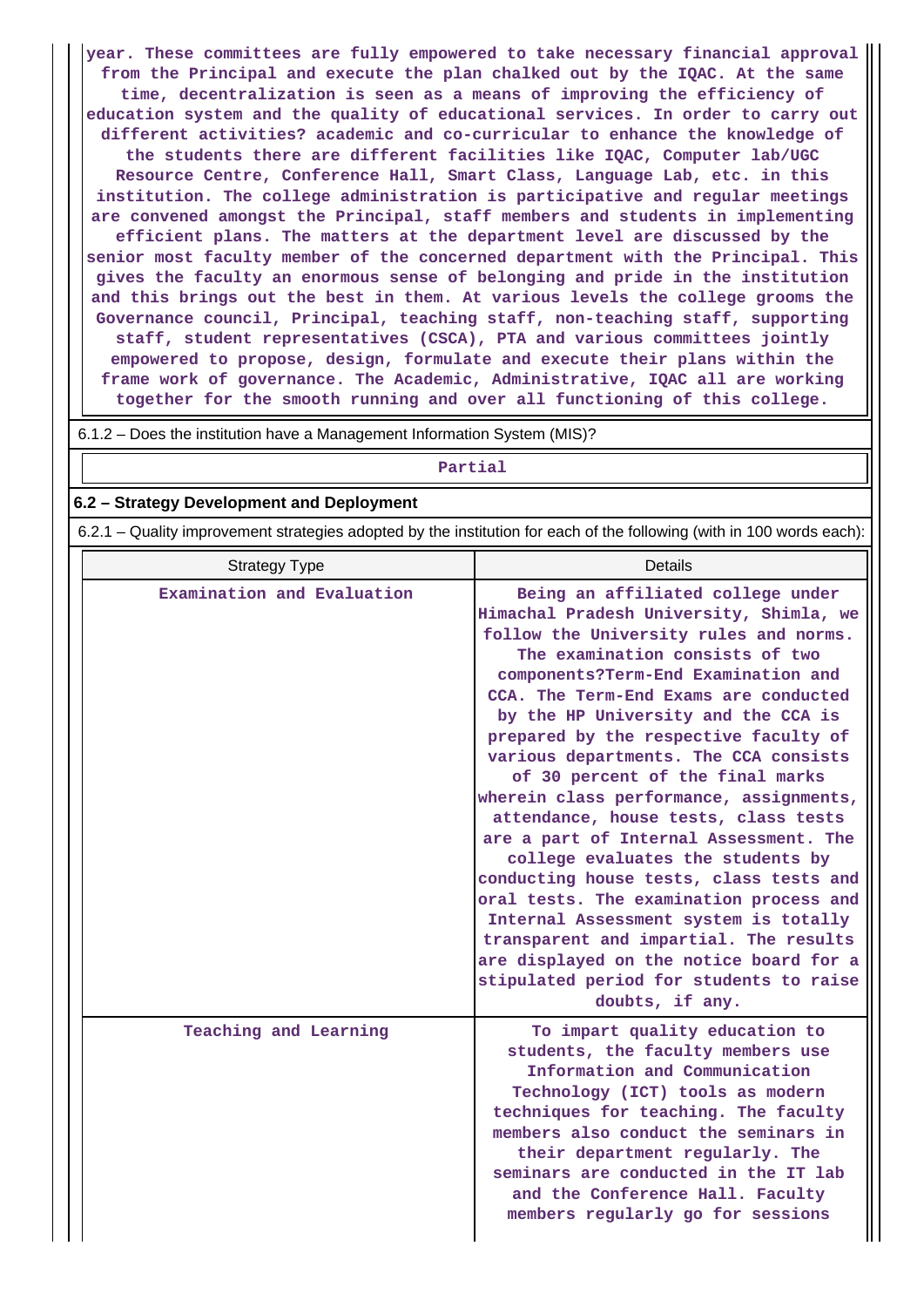**year. These committees are fully empowered to take necessary financial approval from the Principal and execute the plan chalked out by the IQAC. At the same time, decentralization is seen as a means of improving the efficiency of education system and the quality of educational services. In order to carry out different activities? academic and co-curricular to enhance the knowledge of the students there are different facilities like IQAC, Computer lab/UGC Resource Centre, Conference Hall, Smart Class, Language Lab, etc. in this institution. The college administration is participative and regular meetings are convened amongst the Principal, staff members and students in implementing efficient plans. The matters at the department level are discussed by the senior most faculty member of the concerned department with the Principal. This gives the faculty an enormous sense of belonging and pride in the institution and this brings out the best in them. At various levels the college grooms the Governance council, Principal, teaching staff, non-teaching staff, supporting staff, student representatives (CSCA), PTA and various committees jointly empowered to propose, design, formulate and execute their plans within the frame work of governance. The Academic, Administrative, IQAC all are working together for the smooth running and over all functioning of this college.**

6.1.2 – Does the institution have a Management Information System (MIS)?

#### **Partial**

#### **6.2 – Strategy Development and Deployment**

6.2.1 – Quality improvement strategies adopted by the institution for each of the following (with in 100 words each):

| <b>Strategy Type</b>       | Details                                                                                                                                                                                                                                                                                                                                                                                                                                                                                                                                                                                                                                                                                                                                                                                                                                                    |
|----------------------------|------------------------------------------------------------------------------------------------------------------------------------------------------------------------------------------------------------------------------------------------------------------------------------------------------------------------------------------------------------------------------------------------------------------------------------------------------------------------------------------------------------------------------------------------------------------------------------------------------------------------------------------------------------------------------------------------------------------------------------------------------------------------------------------------------------------------------------------------------------|
| Examination and Evaluation | Being an affiliated college under<br>Himachal Pradesh University, Shimla, we<br>follow the University rules and norms.<br>The examination consists of two<br>components?Term-End Examination and<br>CCA. The Term-End Exams are conducted<br>by the HP University and the CCA is<br>prepared by the respective faculty of<br>various departments. The CCA consists<br>of 30 percent of the final marks<br>wherein class performance, assignments,<br>attendance, house tests, class tests<br>are a part of Internal Assessment. The<br>college evaluates the students by<br>conducting house tests, class tests and<br>oral tests. The examination process and<br>Internal Assessment system is totally<br>transparent and impartial. The results<br>are displayed on the notice board for a<br>stipulated period for students to raise<br>doubts, if any. |
| Teaching and Learning      | To impart quality education to<br>students, the faculty members use<br>Information and Communication<br>Technology (ICT) tools as modern<br>techniques for teaching. The faculty<br>members also conduct the seminars in<br>their department regularly. The<br>seminars are conducted in the IT lab<br>and the Conference Hall. Faculty<br>members regularly go for sessions                                                                                                                                                                                                                                                                                                                                                                                                                                                                               |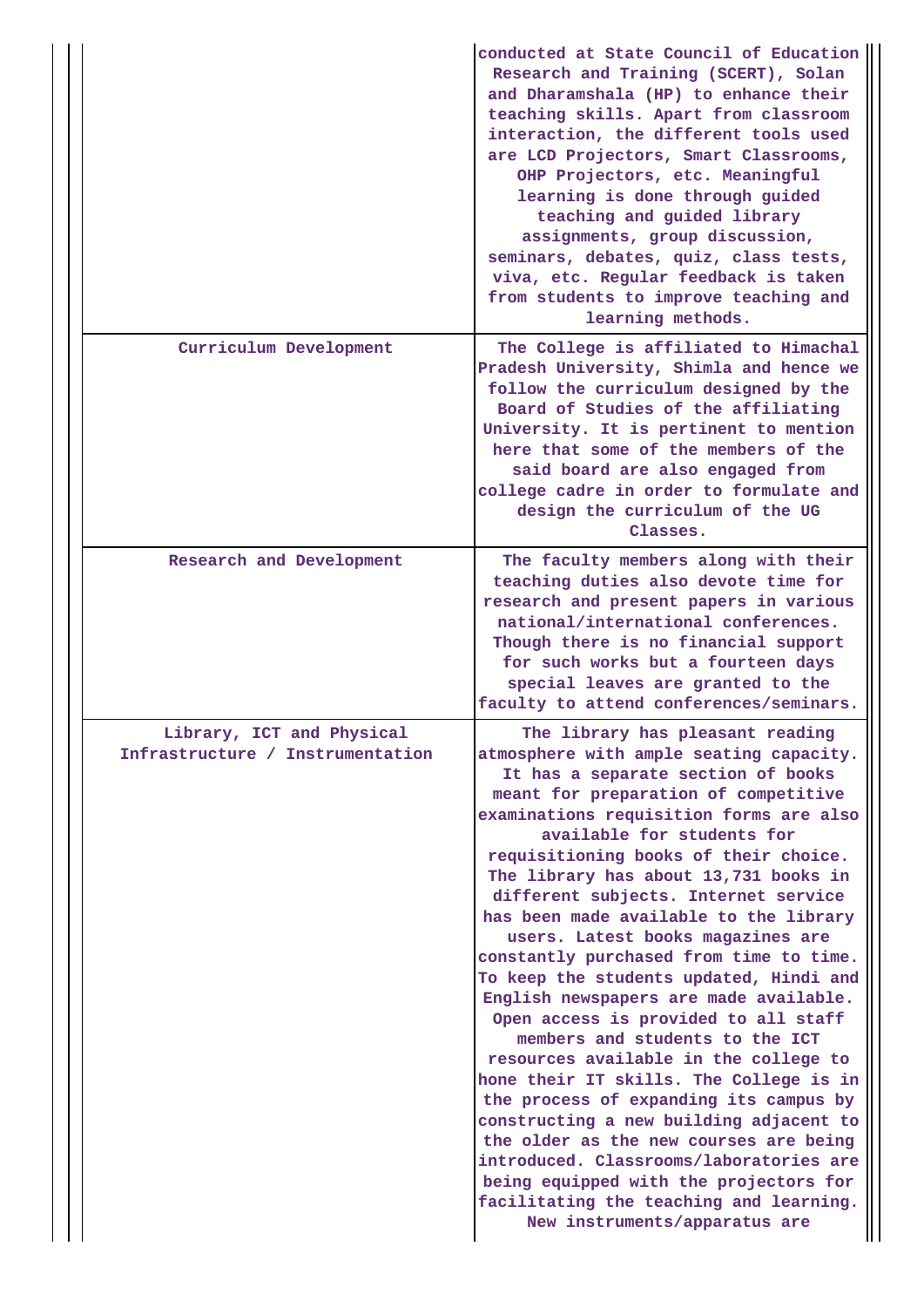|                                                               | conducted at State Council of Education<br>Research and Training (SCERT), Solan<br>and Dharamshala (HP) to enhance their<br>teaching skills. Apart from classroom<br>interaction, the different tools used<br>are LCD Projectors, Smart Classrooms,<br>OHP Projectors, etc. Meaningful<br>learning is done through guided<br>teaching and guided library<br>assignments, group discussion,<br>seminars, debates, quiz, class tests,<br>viva, etc. Regular feedback is taken<br>from students to improve teaching and<br>learning methods.                                                                                                                                                                                                                                                                                                                                                                                                                                                                                                  |
|---------------------------------------------------------------|--------------------------------------------------------------------------------------------------------------------------------------------------------------------------------------------------------------------------------------------------------------------------------------------------------------------------------------------------------------------------------------------------------------------------------------------------------------------------------------------------------------------------------------------------------------------------------------------------------------------------------------------------------------------------------------------------------------------------------------------------------------------------------------------------------------------------------------------------------------------------------------------------------------------------------------------------------------------------------------------------------------------------------------------|
| Curriculum Development                                        | The College is affiliated to Himachal<br>Pradesh University, Shimla and hence we<br>follow the curriculum designed by the<br>Board of Studies of the affiliating<br>University. It is pertinent to mention<br>here that some of the members of the<br>said board are also engaged from<br>college cadre in order to formulate and<br>design the curriculum of the UG<br>Classes.                                                                                                                                                                                                                                                                                                                                                                                                                                                                                                                                                                                                                                                           |
| Research and Development                                      | The faculty members along with their<br>teaching duties also devote time for<br>research and present papers in various<br>national/international conferences.<br>Though there is no financial support<br>for such works but a fourteen days<br>special leaves are granted to the<br>faculty to attend conferences/seminars.                                                                                                                                                                                                                                                                                                                                                                                                                                                                                                                                                                                                                                                                                                                |
| Library, ICT and Physical<br>Infrastructure / Instrumentation | The library has pleasant reading<br>atmosphere with ample seating capacity.<br>It has a separate section of books<br>meant for preparation of competitive<br>examinations requisition forms are also<br>available for students for<br>requisitioning books of their choice.<br>The library has about 13,731 books in<br>different subjects. Internet service<br>has been made available to the library<br>users. Latest books magazines are<br>constantly purchased from time to time.<br>To keep the students updated, Hindi and<br>English newspapers are made available.<br>Open access is provided to all staff<br>members and students to the ICT<br>resources available in the college to<br>hone their IT skills. The College is in<br>the process of expanding its campus by<br>constructing a new building adjacent to<br>the older as the new courses are being<br>introduced. Classrooms/laboratories are<br>being equipped with the projectors for<br>facilitating the teaching and learning.<br>New instruments/apparatus are |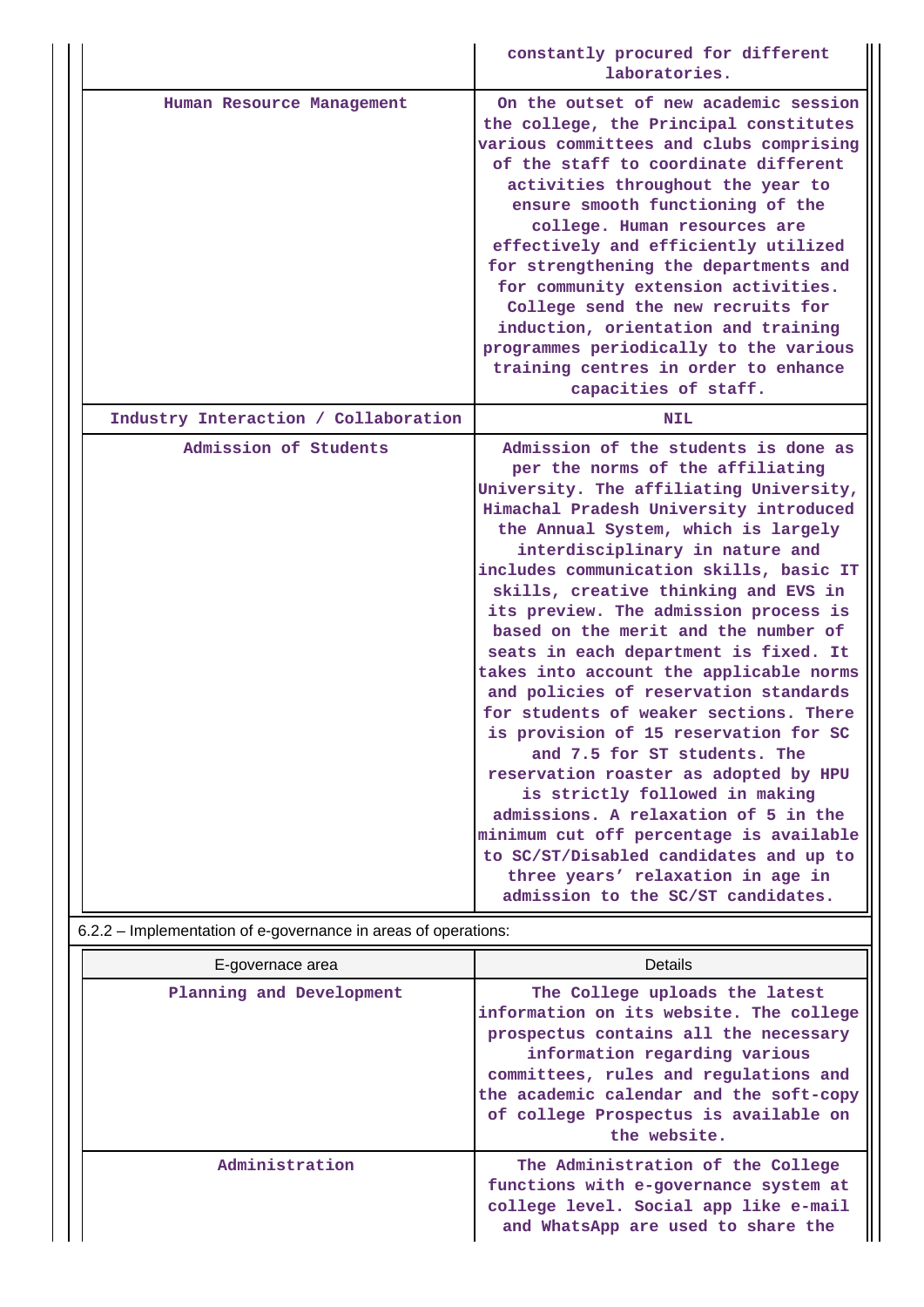|                                                                                         | constantly procured for different<br>laboratories.                                                                                                                                                                                                                                                                                                                                                                                                                                                                                                                                                                                                                                                                                                                                                                                                                                                                                             |
|-----------------------------------------------------------------------------------------|------------------------------------------------------------------------------------------------------------------------------------------------------------------------------------------------------------------------------------------------------------------------------------------------------------------------------------------------------------------------------------------------------------------------------------------------------------------------------------------------------------------------------------------------------------------------------------------------------------------------------------------------------------------------------------------------------------------------------------------------------------------------------------------------------------------------------------------------------------------------------------------------------------------------------------------------|
| Human Resource Management                                                               | On the outset of new academic session<br>the college, the Principal constitutes<br>various committees and clubs comprising<br>of the staff to coordinate different<br>activities throughout the year to<br>ensure smooth functioning of the<br>college. Human resources are<br>effectively and efficiently utilized<br>for strengthening the departments and<br>for community extension activities.<br>College send the new recruits for<br>induction, orientation and training<br>programmes periodically to the various<br>training centres in order to enhance<br>capacities of staff.                                                                                                                                                                                                                                                                                                                                                      |
| Industry Interaction / Collaboration                                                    | NIL                                                                                                                                                                                                                                                                                                                                                                                                                                                                                                                                                                                                                                                                                                                                                                                                                                                                                                                                            |
| Admission of Students<br>6.2.2 - Implementation of e-governance in areas of operations: | Admission of the students is done as<br>per the norms of the affiliating<br>University. The affiliating University,<br>Himachal Pradesh University introduced<br>the Annual System, which is largely<br>interdisciplinary in nature and<br>includes communication skills, basic IT<br>skills, creative thinking and EVS in<br>its preview. The admission process is<br>based on the merit and the number of<br>seats in each department is fixed. It<br>takes into account the applicable norms<br>and policies of reservation standards<br>for students of weaker sections. There<br>is provision of 15 reservation for SC<br>and 7.5 for ST students. The<br>reservation roaster as adopted by HPU<br>is strictly followed in making<br>admissions. A relaxation of 5 in the<br>minimum cut off percentage is available<br>to SC/ST/Disabled candidates and up to<br>three years' relaxation in age in<br>admission to the SC/ST candidates. |

| E-governace area         | <b>Details</b>                                                                                                                                                                                                                                                                                   |
|--------------------------|--------------------------------------------------------------------------------------------------------------------------------------------------------------------------------------------------------------------------------------------------------------------------------------------------|
| Planning and Development | The College uploads the latest<br>information on its website. The college<br>prospectus contains all the necessary<br>information regarding various<br>committees, rules and regulations and<br>the academic calendar and the soft-copy<br>of college Prospectus is available on<br>the website. |
| Administration           | The Administration of the College<br>functions with e-governance system at<br>college level. Social app like e-mail<br>and WhatsApp are used to share the                                                                                                                                        |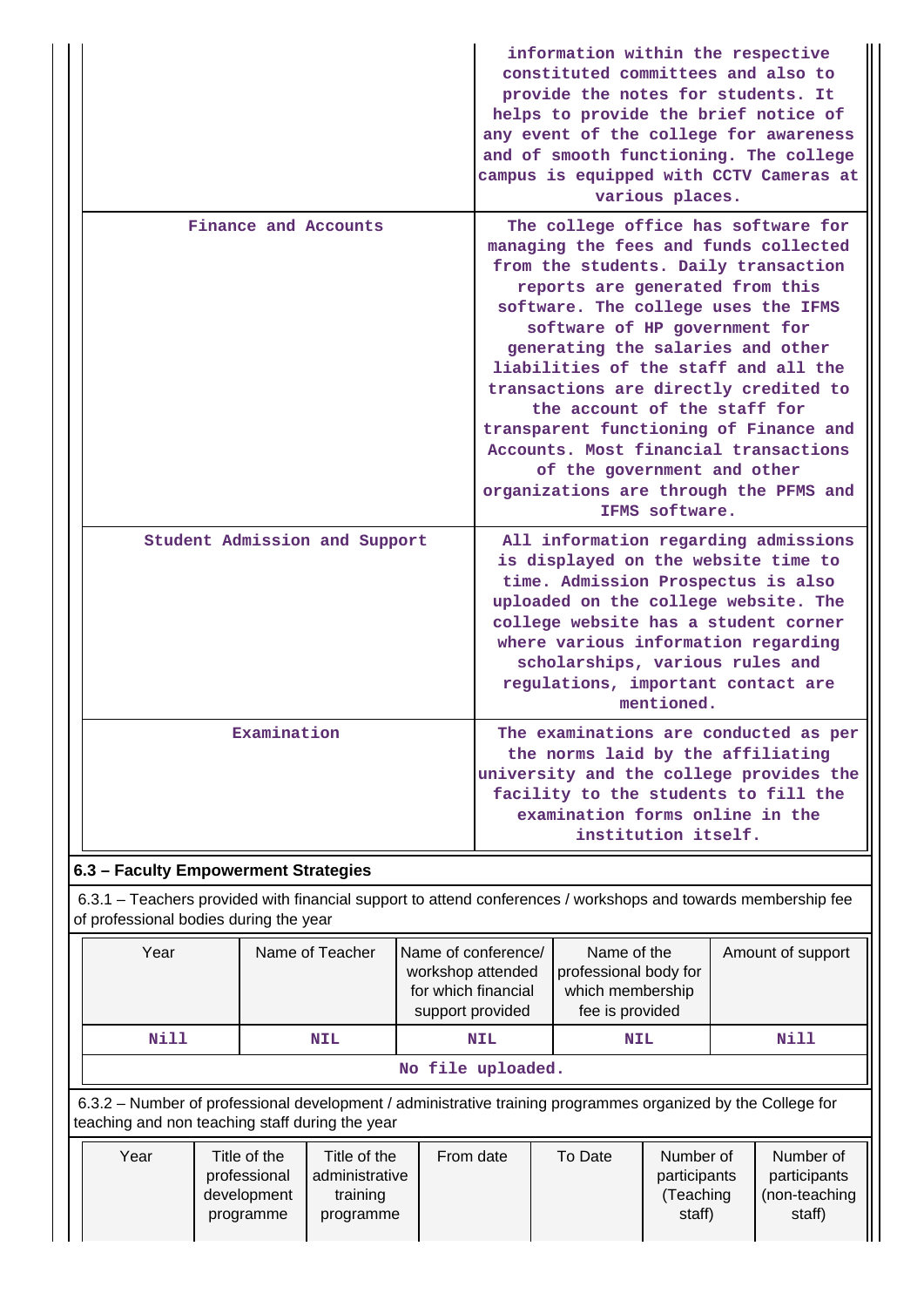|                                                                                                                                                         |                               |                   |                                                                                                                                                                                                                                                                                                                                                                                                                                                                                                                                                                     | information within the respective<br>constituted committees and also to<br>provide the notes for students. It<br>helps to provide the brief notice of<br>any event of the college for awareness<br>and of smooth functioning. The college<br>campus is equipped with CCTV Cameras at<br>various places.                         |                   |  |  |  |
|---------------------------------------------------------------------------------------------------------------------------------------------------------|-------------------------------|-------------------|---------------------------------------------------------------------------------------------------------------------------------------------------------------------------------------------------------------------------------------------------------------------------------------------------------------------------------------------------------------------------------------------------------------------------------------------------------------------------------------------------------------------------------------------------------------------|---------------------------------------------------------------------------------------------------------------------------------------------------------------------------------------------------------------------------------------------------------------------------------------------------------------------------------|-------------------|--|--|--|
|                                                                                                                                                         | Finance and Accounts          |                   | The college office has software for<br>managing the fees and funds collected<br>from the students. Daily transaction<br>reports are generated from this<br>software. The college uses the IFMS<br>software of HP government for<br>generating the salaries and other<br>liabilities of the staff and all the<br>transactions are directly credited to<br>the account of the staff for<br>transparent functioning of Finance and<br>Accounts. Most financial transactions<br>of the government and other<br>organizations are through the PFMS and<br>IFMS software. |                                                                                                                                                                                                                                                                                                                                 |                   |  |  |  |
|                                                                                                                                                         | Student Admission and Support |                   |                                                                                                                                                                                                                                                                                                                                                                                                                                                                                                                                                                     | All information regarding admissions<br>is displayed on the website time to<br>time. Admission Prospectus is also<br>uploaded on the college website. The<br>college website has a student corner<br>where various information regarding<br>scholarships, various rules and<br>regulations, important contact are<br>mentioned. |                   |  |  |  |
|                                                                                                                                                         | Examination                   |                   | The examinations are conducted as per<br>the norms laid by the affiliating<br>university and the college provides the<br>facility to the students to fill the<br>examination forms online in the<br>institution itself.                                                                                                                                                                                                                                                                                                                                             |                                                                                                                                                                                                                                                                                                                                 |                   |  |  |  |
| 6.3 - Faculty Empowerment Strategies                                                                                                                    |                               |                   |                                                                                                                                                                                                                                                                                                                                                                                                                                                                                                                                                                     |                                                                                                                                                                                                                                                                                                                                 |                   |  |  |  |
| 6.3.1 – Teachers provided with financial support to attend conferences / workshops and towards membership fee<br>of professional bodies during the year |                               |                   |                                                                                                                                                                                                                                                                                                                                                                                                                                                                                                                                                                     |                                                                                                                                                                                                                                                                                                                                 |                   |  |  |  |
| Year                                                                                                                                                    | Name of Teacher               | workshop attended | Name of conference/<br>for which financial                                                                                                                                                                                                                                                                                                                                                                                                                                                                                                                          | Name of the<br>professional body for<br>which membership                                                                                                                                                                                                                                                                        | Amount of support |  |  |  |

|                                         |                                                                                                                                                                 | fee is provided<br>support provided |                                |                   |         |                           |                           |
|-----------------------------------------|-----------------------------------------------------------------------------------------------------------------------------------------------------------------|-------------------------------------|--------------------------------|-------------------|---------|---------------------------|---------------------------|
| Nill<br><b>NIL</b><br><b>NIL</b><br>NIL |                                                                                                                                                                 |                                     |                                |                   |         |                           | Nill                      |
|                                         |                                                                                                                                                                 |                                     |                                | No file uploaded. |         |                           |                           |
|                                         | 6.3.2 – Number of professional development / administrative training programmes organized by the College for<br>teaching and non teaching staff during the year |                                     |                                |                   |         |                           |                           |
|                                         | Year                                                                                                                                                            | Title of the<br>professional        | Title of the<br>administrative | From date         | To Date | Number of<br>participants | Number of<br>participants |

| Year | Title of the | Title of the   | From date | To Date | Number of    | Number of     |
|------|--------------|----------------|-----------|---------|--------------|---------------|
|      | professional | administrative |           |         | participants | participants  |
|      | development  | training       |           |         | Teaching     | (non-teaching |
|      | programme    | programme      |           |         | staff)       | staff)        |
|      |              |                |           |         |              |               |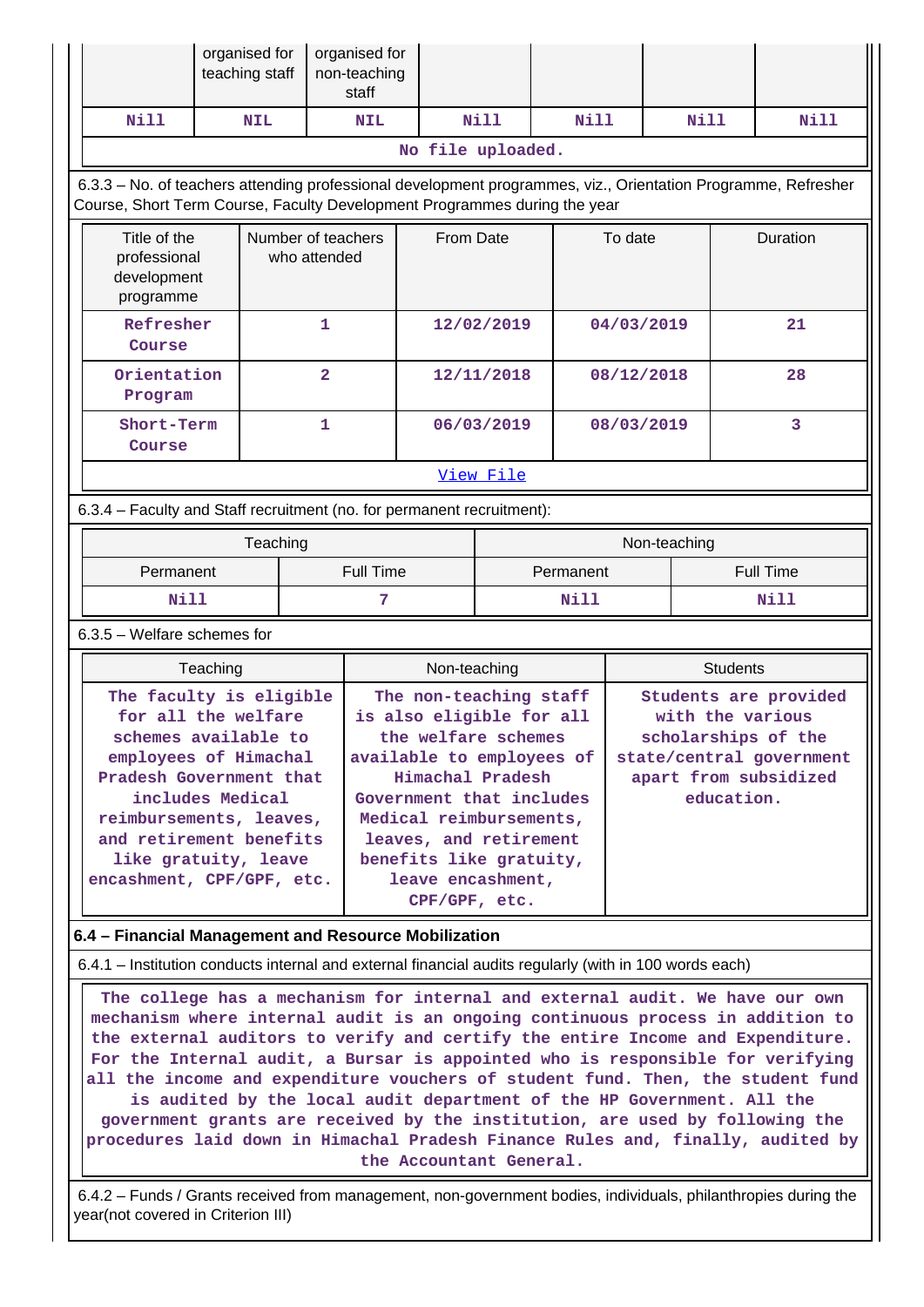|                                                                                                                                                                                                                                                                                                                                                                                                                                                                                                                                                                                                           | organised for<br>teaching staff |  | organised for<br>non-teaching<br>staff |                   |             |             |            |                                                                                |                                                   |
|-----------------------------------------------------------------------------------------------------------------------------------------------------------------------------------------------------------------------------------------------------------------------------------------------------------------------------------------------------------------------------------------------------------------------------------------------------------------------------------------------------------------------------------------------------------------------------------------------------------|---------------------------------|--|----------------------------------------|-------------------|-------------|-------------|------------|--------------------------------------------------------------------------------|---------------------------------------------------|
| Nill                                                                                                                                                                                                                                                                                                                                                                                                                                                                                                                                                                                                      | NIL                             |  | <b>NIL</b>                             |                   | <b>Nill</b> | <b>Nill</b> |            | Nill                                                                           | Nill                                              |
|                                                                                                                                                                                                                                                                                                                                                                                                                                                                                                                                                                                                           |                                 |  |                                        | No file uploaded. |             |             |            |                                                                                |                                                   |
| 6.3.3 - No. of teachers attending professional development programmes, viz., Orientation Programme, Refresher<br>Course, Short Term Course, Faculty Development Programmes during the year                                                                                                                                                                                                                                                                                                                                                                                                                |                                 |  |                                        |                   |             |             |            |                                                                                |                                                   |
| Title of the<br>Number of teachers<br>professional<br>who attended<br>development<br>programme                                                                                                                                                                                                                                                                                                                                                                                                                                                                                                            |                                 |  | From Date                              |                   |             | To date     |            | Duration                                                                       |                                                   |
| Refresher<br>1<br>Course                                                                                                                                                                                                                                                                                                                                                                                                                                                                                                                                                                                  |                                 |  |                                        |                   | 12/02/2019  |             | 04/03/2019 |                                                                                | 21                                                |
| Orientation<br>$\overline{\mathbf{2}}$<br>Program                                                                                                                                                                                                                                                                                                                                                                                                                                                                                                                                                         |                                 |  |                                        |                   | 12/11/2018  |             | 08/12/2018 |                                                                                | 28                                                |
| Course                                                                                                                                                                                                                                                                                                                                                                                                                                                                                                                                                                                                    | Short-Term<br>1                 |  |                                        |                   | 06/03/2019  |             | 08/03/2019 |                                                                                | 3                                                 |
|                                                                                                                                                                                                                                                                                                                                                                                                                                                                                                                                                                                                           |                                 |  | View File                              |                   |             |             |            |                                                                                |                                                   |
| 6.3.4 - Faculty and Staff recruitment (no. for permanent recruitment):                                                                                                                                                                                                                                                                                                                                                                                                                                                                                                                                    |                                 |  |                                        |                   |             |             |            |                                                                                |                                                   |
|                                                                                                                                                                                                                                                                                                                                                                                                                                                                                                                                                                                                           | Teaching                        |  |                                        |                   |             |             |            | Non-teaching                                                                   |                                                   |
| Permanent                                                                                                                                                                                                                                                                                                                                                                                                                                                                                                                                                                                                 |                                 |  | <b>Full Time</b>                       | Permanent         |             |             |            |                                                                                | <b>Full Time</b>                                  |
| Nill                                                                                                                                                                                                                                                                                                                                                                                                                                                                                                                                                                                                      |                                 |  | 7                                      | Nill              |             |             |            |                                                                                | Nill                                              |
| $6.3.5$ – Welfare schemes for                                                                                                                                                                                                                                                                                                                                                                                                                                                                                                                                                                             |                                 |  |                                        |                   |             |             |            |                                                                                |                                                   |
|                                                                                                                                                                                                                                                                                                                                                                                                                                                                                                                                                                                                           | Teaching                        |  |                                        | Non-teaching      |             |             |            | <b>Students</b>                                                                |                                                   |
| The faculty is eligible<br>The non-teaching staff<br>is also eligible for all<br>for all the welfare<br>schemes available to<br>the welfare schemes<br>employees of Himachal<br>available to employees of<br>Pradesh Government that<br>Himachal Pradesh<br>includes Medical<br>Government that includes<br>Medical reimbursements,<br>reimbursements, leaves,<br>and retirement benefits<br>leaves, and retirement<br>like gratuity, leave<br>benefits like gratuity,<br>encashment, CPF/GPF, etc.<br>leave encashment,<br>CPF/GPF, etc.                                                                 |                                 |  |                                        |                   |             |             |            | with the various<br>scholarships of the<br>apart from subsidized<br>education. | Students are provided<br>state/central government |
| 6.4 - Financial Management and Resource Mobilization                                                                                                                                                                                                                                                                                                                                                                                                                                                                                                                                                      |                                 |  |                                        |                   |             |             |            |                                                                                |                                                   |
|                                                                                                                                                                                                                                                                                                                                                                                                                                                                                                                                                                                                           |                                 |  |                                        |                   |             |             |            |                                                                                |                                                   |
| 6.4.1 – Institution conducts internal and external financial audits regularly (with in 100 words each)<br>The college has a mechanism for internal and external audit. We have our own<br>mechanism where internal audit is an ongoing continuous process in addition to<br>the external auditors to verify and certify the entire Income and Expenditure.<br>For the Internal audit, a Bursar is appointed who is responsible for verifying<br>all the income and expenditure vouchers of student fund. Then, the student fund<br>is audited by the local audit department of the HP Government. All the |                                 |  |                                        |                   |             |             |            |                                                                                |                                                   |

**government grants are received by the institution, are used by following the procedures laid down in Himachal Pradesh Finance Rules and, finally, audited by the Accountant General.**

 6.4.2 – Funds / Grants received from management, non-government bodies, individuals, philanthropies during the year(not covered in Criterion III)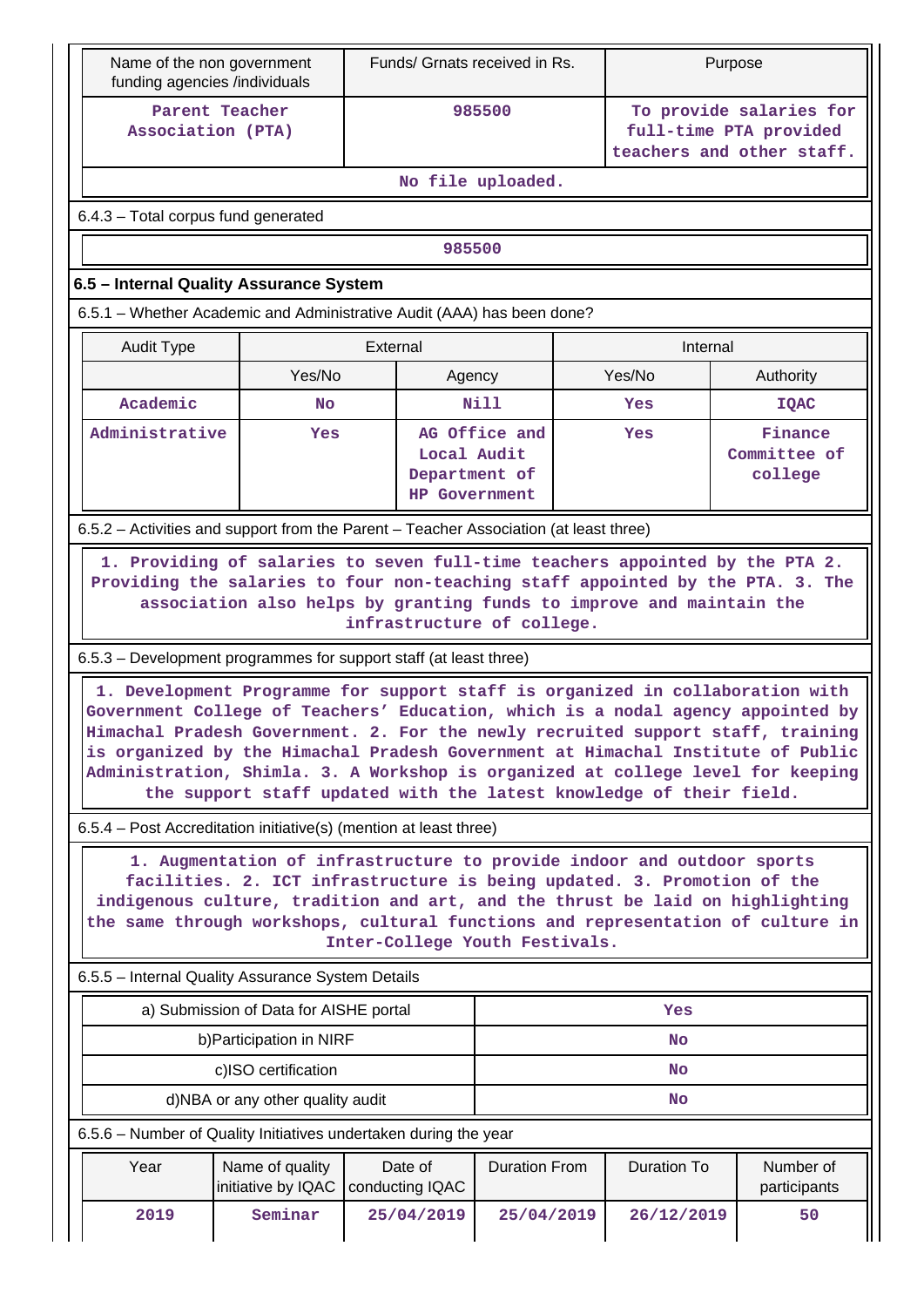| Name of the non government<br>funding agencies /individuals                           |                                                                                                                                                   |                            |                                                      | Funds/ Grnats received in Rs.  |  |                    | Purpose                                                                                                                                                                                                                                                                                                                                                                                                                   |  |  |  |
|---------------------------------------------------------------------------------------|---------------------------------------------------------------------------------------------------------------------------------------------------|----------------------------|------------------------------------------------------|--------------------------------|--|--------------------|---------------------------------------------------------------------------------------------------------------------------------------------------------------------------------------------------------------------------------------------------------------------------------------------------------------------------------------------------------------------------------------------------------------------------|--|--|--|
| Parent Teacher<br>Association (PTA)                                                   |                                                                                                                                                   |                            |                                                      | 985500                         |  |                    | To provide salaries for<br>full-time PTA provided<br>teachers and other staff.                                                                                                                                                                                                                                                                                                                                            |  |  |  |
|                                                                                       |                                                                                                                                                   |                            |                                                      | No file uploaded.              |  |                    |                                                                                                                                                                                                                                                                                                                                                                                                                           |  |  |  |
| 6.4.3 - Total corpus fund generated                                                   |                                                                                                                                                   |                            |                                                      |                                |  |                    |                                                                                                                                                                                                                                                                                                                                                                                                                           |  |  |  |
|                                                                                       |                                                                                                                                                   |                            | 985500                                               |                                |  |                    |                                                                                                                                                                                                                                                                                                                                                                                                                           |  |  |  |
| 6.5 - Internal Quality Assurance System                                               |                                                                                                                                                   |                            |                                                      |                                |  |                    |                                                                                                                                                                                                                                                                                                                                                                                                                           |  |  |  |
| 6.5.1 - Whether Academic and Administrative Audit (AAA) has been done?                |                                                                                                                                                   |                            |                                                      |                                |  |                    |                                                                                                                                                                                                                                                                                                                                                                                                                           |  |  |  |
| <b>Audit Type</b>                                                                     |                                                                                                                                                   | External                   |                                                      |                                |  | Internal           |                                                                                                                                                                                                                                                                                                                                                                                                                           |  |  |  |
|                                                                                       | Yes/No                                                                                                                                            |                            | Agency                                               |                                |  | Yes/No             | Authority                                                                                                                                                                                                                                                                                                                                                                                                                 |  |  |  |
| Academic                                                                              | <b>No</b>                                                                                                                                         |                            |                                                      | Nill                           |  | Yes                | <b>IQAC</b>                                                                                                                                                                                                                                                                                                                                                                                                               |  |  |  |
|                                                                                       | Administrative<br><b>Yes</b>                                                                                                                      |                            | Local Audit<br>Department of<br><b>HP Government</b> | AG Office and                  |  | Yes                | Finance<br>Committee of<br>college                                                                                                                                                                                                                                                                                                                                                                                        |  |  |  |
| 6.5.2 - Activities and support from the Parent - Teacher Association (at least three) |                                                                                                                                                   |                            |                                                      |                                |  |                    |                                                                                                                                                                                                                                                                                                                                                                                                                           |  |  |  |
|                                                                                       | association also helps by granting funds to improve and maintain the                                                                              |                            |                                                      | infrastructure of college.     |  |                    | 1. Providing of salaries to seven full-time teachers appointed by the PTA 2.<br>Providing the salaries to four non-teaching staff appointed by the PTA. 3. The                                                                                                                                                                                                                                                            |  |  |  |
| 6.5.3 – Development programmes for support staff (at least three)                     |                                                                                                                                                   |                            |                                                      |                                |  |                    |                                                                                                                                                                                                                                                                                                                                                                                                                           |  |  |  |
|                                                                                       | the support staff updated with the latest knowledge of their field.                                                                               |                            |                                                      |                                |  |                    | 1. Development Programme for support staff is organized in collaboration with<br>Government College of Teachers' Education, which is a nodal agency appointed by<br>Himachal Pradesh Government. 2. For the newly recruited support staff, training<br>is organized by the Himachal Pradesh Government at Himachal Institute of Public<br>Administration, Shimla. 3. A Workshop is organized at college level for keeping |  |  |  |
| 6.5.4 – Post Accreditation initiative(s) (mention at least three)                     |                                                                                                                                                   |                            |                                                      |                                |  |                    |                                                                                                                                                                                                                                                                                                                                                                                                                           |  |  |  |
|                                                                                       | 1. Augmentation of infrastructure to provide indoor and outdoor sports<br>facilities. 2. ICT infrastructure is being updated. 3. Promotion of the |                            |                                                      | Inter-College Youth Festivals. |  |                    | indigenous culture, tradition and art, and the thrust be laid on highlighting<br>the same through workshops, cultural functions and representation of culture in                                                                                                                                                                                                                                                          |  |  |  |
| 6.5.5 - Internal Quality Assurance System Details                                     |                                                                                                                                                   |                            |                                                      |                                |  |                    |                                                                                                                                                                                                                                                                                                                                                                                                                           |  |  |  |
|                                                                                       | a) Submission of Data for AISHE portal                                                                                                            |                            |                                                      |                                |  | Yes                |                                                                                                                                                                                                                                                                                                                                                                                                                           |  |  |  |
|                                                                                       | b) Participation in NIRF                                                                                                                          |                            |                                                      |                                |  | <b>No</b>          |                                                                                                                                                                                                                                                                                                                                                                                                                           |  |  |  |
|                                                                                       | c)ISO certification                                                                                                                               |                            |                                                      |                                |  | <b>No</b>          |                                                                                                                                                                                                                                                                                                                                                                                                                           |  |  |  |
|                                                                                       | d)NBA or any other quality audit                                                                                                                  |                            |                                                      |                                |  | <b>No</b>          |                                                                                                                                                                                                                                                                                                                                                                                                                           |  |  |  |
| 6.5.6 – Number of Quality Initiatives undertaken during the year                      |                                                                                                                                                   |                            |                                                      |                                |  |                    |                                                                                                                                                                                                                                                                                                                                                                                                                           |  |  |  |
| Year                                                                                  | Name of quality<br>initiative by IQAC                                                                                                             | Date of<br>conducting IQAC |                                                      | <b>Duration From</b>           |  | <b>Duration To</b> | Number of<br>participants                                                                                                                                                                                                                                                                                                                                                                                                 |  |  |  |
| 2019                                                                                  | Seminar                                                                                                                                           |                            | 25/04/2019                                           | 25/04/2019                     |  | 26/12/2019         | 50                                                                                                                                                                                                                                                                                                                                                                                                                        |  |  |  |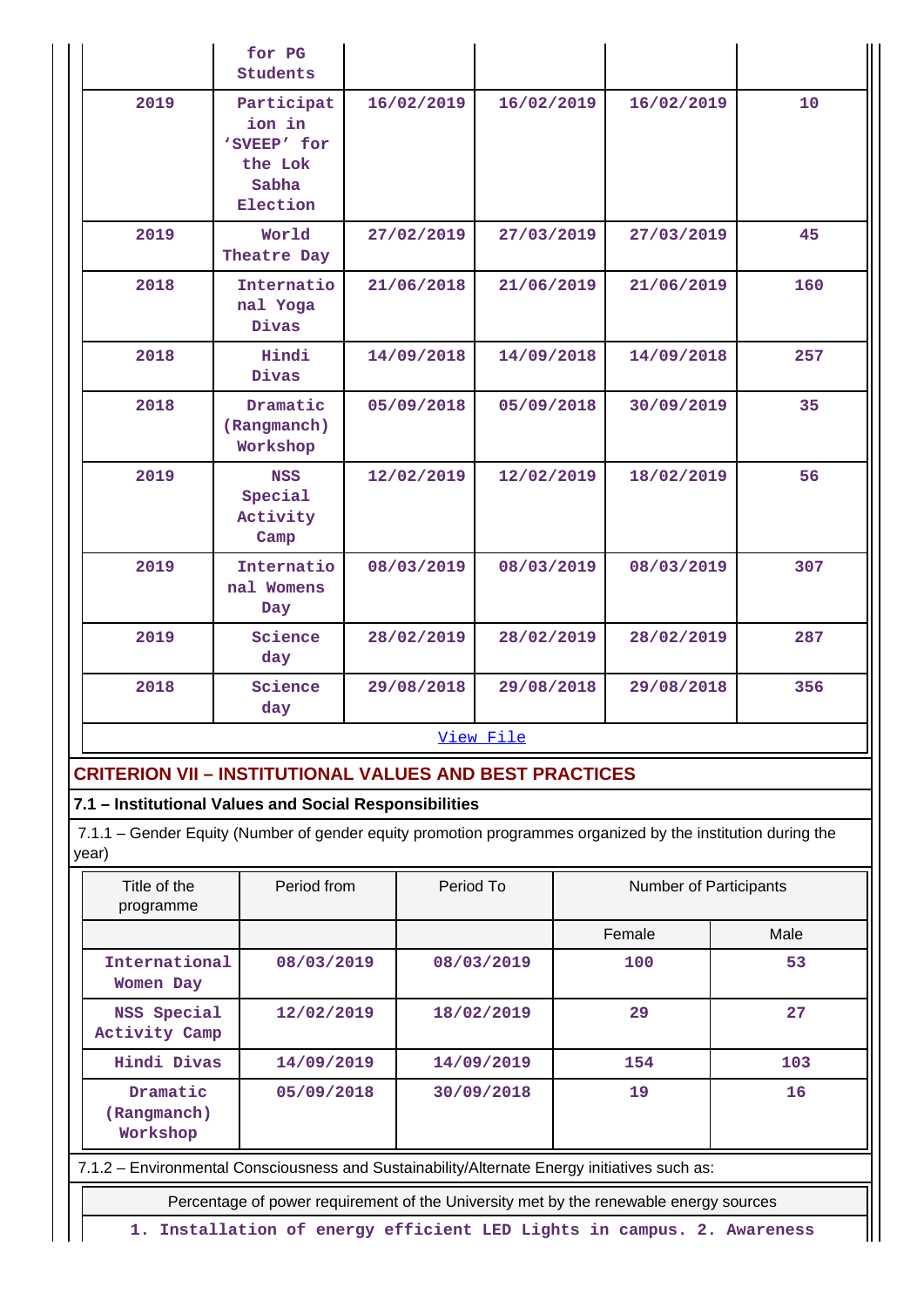|      | for PG<br><b>Students</b>                                           |            |            |            |     |
|------|---------------------------------------------------------------------|------------|------------|------------|-----|
| 2019 | Participat<br>ion in<br>'SVEEP' for<br>the Lok<br>Sabha<br>Election | 16/02/2019 | 16/02/2019 | 16/02/2019 | 10  |
| 2019 | World<br>Theatre Day                                                | 27/02/2019 | 27/03/2019 | 27/03/2019 | 45  |
| 2018 | Internatio<br>nal Yoga<br>Divas                                     | 21/06/2018 | 21/06/2019 | 21/06/2019 | 160 |
| 2018 | Hindi<br>Divas                                                      | 14/09/2018 | 14/09/2018 | 14/09/2018 | 257 |
| 2018 | Dramatic<br>(Rangmanch)<br>Workshop                                 | 05/09/2018 | 05/09/2018 | 30/09/2019 | 35  |
| 2019 | <b>NSS</b><br>Special<br>Activity<br>Camp                           | 12/02/2019 | 12/02/2019 | 18/02/2019 | 56  |
| 2019 | Internatio<br>nal Womens<br>Day                                     | 08/03/2019 | 08/03/2019 | 08/03/2019 | 307 |
| 2019 | Science<br>day                                                      | 28/02/2019 | 28/02/2019 | 28/02/2019 | 287 |
| 2018 | Science<br>day                                                      | 29/08/2018 | 29/08/2018 | 29/08/2018 | 356 |
|      |                                                                     |            | View File  |            |     |

## **CRITERION VII – INSTITUTIONAL VALUES AND BEST PRACTICES**

#### **7.1 – Institutional Values and Social Responsibilities**

 7.1.1 – Gender Equity (Number of gender equity promotion programmes organized by the institution during the year)

| Title of the<br>programme                                                                    | Period from                                                                           | Period To  | <b>Number of Participants</b> |      |  |  |  |  |  |
|----------------------------------------------------------------------------------------------|---------------------------------------------------------------------------------------|------------|-------------------------------|------|--|--|--|--|--|
|                                                                                              |                                                                                       |            | Female                        | Male |  |  |  |  |  |
| International<br>Women Day                                                                   | 08/03/2019                                                                            | 08/03/2019 | 100                           | 53   |  |  |  |  |  |
| NSS Special<br>Activity Camp                                                                 | 12/02/2019                                                                            | 18/02/2019 | 29                            | 27   |  |  |  |  |  |
| Hindi Divas                                                                                  | 14/09/2019                                                                            | 14/09/2019 | 154                           | 103  |  |  |  |  |  |
| Dramatic<br>(Rangmanch)<br>Workshop                                                          | 05/09/2018                                                                            | 30/09/2018 | 19                            | 16   |  |  |  |  |  |
| 7.1.2 - Environmental Consciousness and Sustainability/Alternate Energy initiatives such as: |                                                                                       |            |                               |      |  |  |  |  |  |
|                                                                                              | Percentage of power requirement of the University met by the renewable energy sources |            |                               |      |  |  |  |  |  |

**1. Installation of energy efficient LED Lights in campus. 2. Awareness**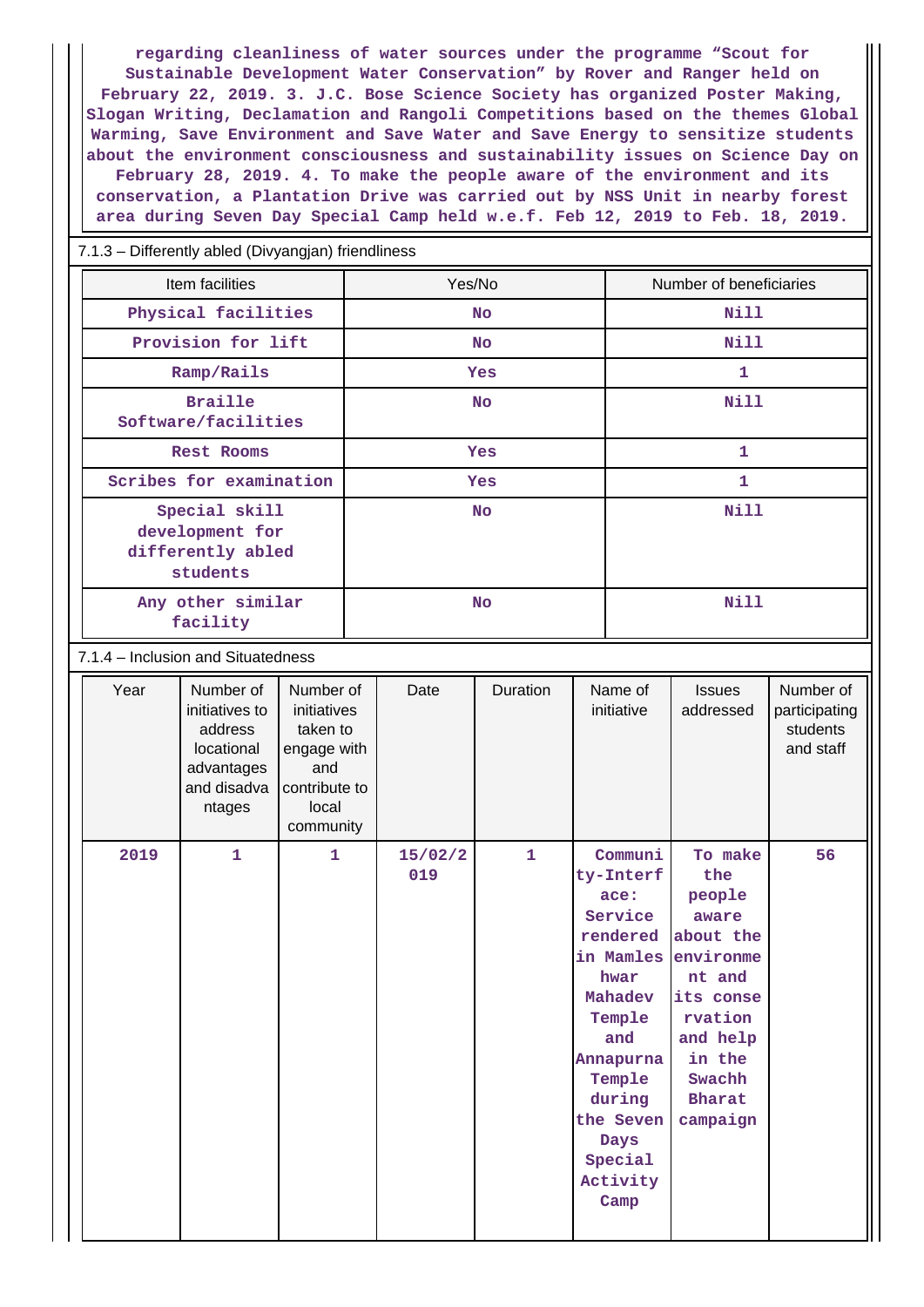**regarding cleanliness of water sources under the programme "Scout for Sustainable Development Water Conservation" by Rover and Ranger held on February 22, 2019. 3. J.C. Bose Science Society has organized Poster Making, Slogan Writing, Declamation and Rangoli Competitions based on the themes Global Warming, Save Environment and Save Water and Save Energy to sensitize students about the environment consciousness and sustainability issues on Science Day on February 28, 2019. 4. To make the people aware of the environment and its conservation, a Plantation Drive was carried out by NSS Unit in nearby forest area during Seven Day Special Camp held w.e.f. Feb 12, 2019 to Feb. 18, 2019.**

#### 7.1.3 – Differently abled (Divyangjan) friendliness

| Item facilities                                                   | Yes/No     | Number of beneficiaries |
|-------------------------------------------------------------------|------------|-------------------------|
| Physical facilities                                               | <b>No</b>  | Nill                    |
| Provision for lift                                                | <b>No</b>  | Nill                    |
| Ramp/Rails                                                        | <b>Yes</b> | 1                       |
| <b>Braille</b><br>Software/facilities                             | <b>No</b>  | Nill                    |
| Rest Rooms                                                        | <b>Yes</b> | 1                       |
| Scribes for examination                                           | <b>Yes</b> | 1                       |
| Special skill<br>development for<br>differently abled<br>students | <b>No</b>  | Nill                    |
| Any other similar<br>facility                                     | <b>No</b>  | Nill                    |

7.1.4 – Inclusion and Situatedness

| Year | Number of<br>initiatives to<br>address<br>locational<br>advantages<br>and disadva<br>ntages | Number of<br>initiatives<br>taken to<br>engage with<br>and<br>contribute to<br>local<br>community | Date           | Duration     | Name of<br>initiative                                                                                                                                                                               | <b>Issues</b><br>addressed                                                                                                                    | Number of<br>participating<br>students<br>and staff |
|------|---------------------------------------------------------------------------------------------|---------------------------------------------------------------------------------------------------|----------------|--------------|-----------------------------------------------------------------------------------------------------------------------------------------------------------------------------------------------------|-----------------------------------------------------------------------------------------------------------------------------------------------|-----------------------------------------------------|
| 2019 | $\mathbf{1}$                                                                                | $\mathbf{1}$                                                                                      | 15/02/2<br>019 | $\mathbf{1}$ | Communi<br>ty-Interf<br>ace:<br>Service<br>rendered<br>in Mamles environme<br>hwar<br>Mahadev<br>Temple<br>and<br>Annapurna<br>Temple<br>during<br>the Seven<br>Days<br>Special<br>Activity<br>Camp | To make<br>the<br>people<br>aware<br>about the<br>nt and<br>its conse<br>rvation<br>and help<br>in the<br>Swachh<br><b>Bharat</b><br>campaign | 56                                                  |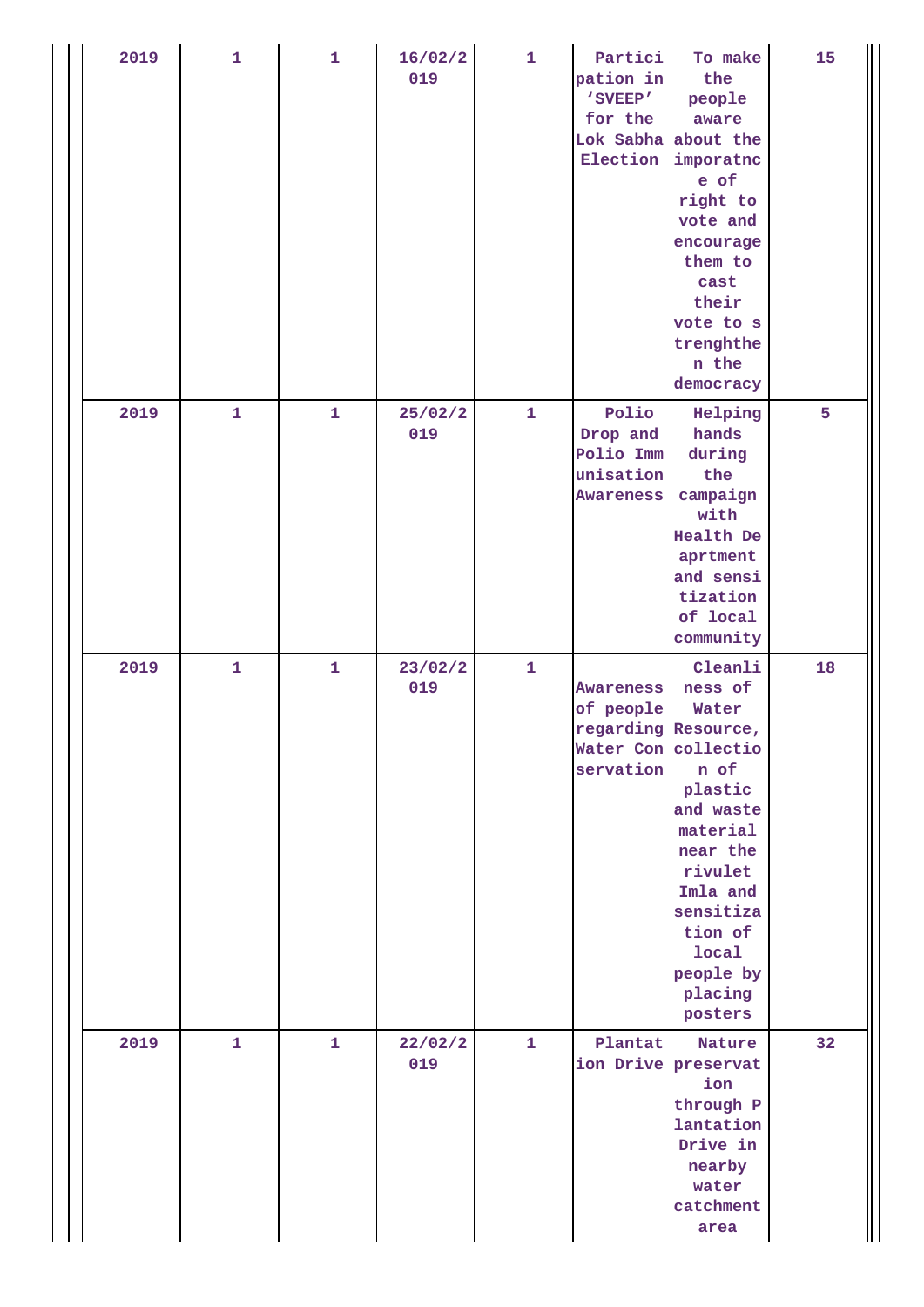| 2019 | $\mathbf{1}$ | $\mathbf{1}$ | 16/02/2<br>019 | $\mathbf{1}$ | Partici<br>pation in<br>'SVEEP'<br>for the<br>Lok Sabha<br>Election               | To make<br>the<br>people<br>aware<br>about the<br>imporatno<br>e of<br>right to<br>vote and<br>encourage<br>them to<br>cast<br>their<br>vote to s<br>trenghthe<br>n the<br>democracy  | 15 |
|------|--------------|--------------|----------------|--------------|-----------------------------------------------------------------------------------|---------------------------------------------------------------------------------------------------------------------------------------------------------------------------------------|----|
| 2019 | $\mathbf{1}$ | $\mathbf{1}$ | 25/02/2<br>019 | $\mathbf{1}$ | Polio<br>Drop and<br>Polio Imm<br>unisation<br>Awareness                          | Helping<br>hands<br>during<br>the<br>campaign<br>with<br>Health De<br>aprtment<br>and sensi<br>tization<br>of local<br>community                                                      | 5  |
| 2019 | $\mathbf{1}$ | $\mathbf{1}$ | 23/02/2<br>019 | $\mathbf{1}$ | Awareness<br>of people<br>regarding Resource,<br>Water Con collectio<br>servation | Cleanli<br>ness of<br>Water<br>n of<br>plastic<br>and waste<br>material<br>near the<br>rivulet<br>Imla and<br>sensitiza<br>tion of<br><b>local</b><br>people by<br>placing<br>posters | 18 |
| 2019 | $\mathbf{1}$ | $\mathbf{1}$ | 22/02/2<br>019 | $\mathbf{1}$ | Plantat<br>ion Drive                                                              | Nature<br>preservat<br>ion<br>through P<br>lantation<br>Drive in<br>nearby<br>water<br>catchment<br>area                                                                              | 32 |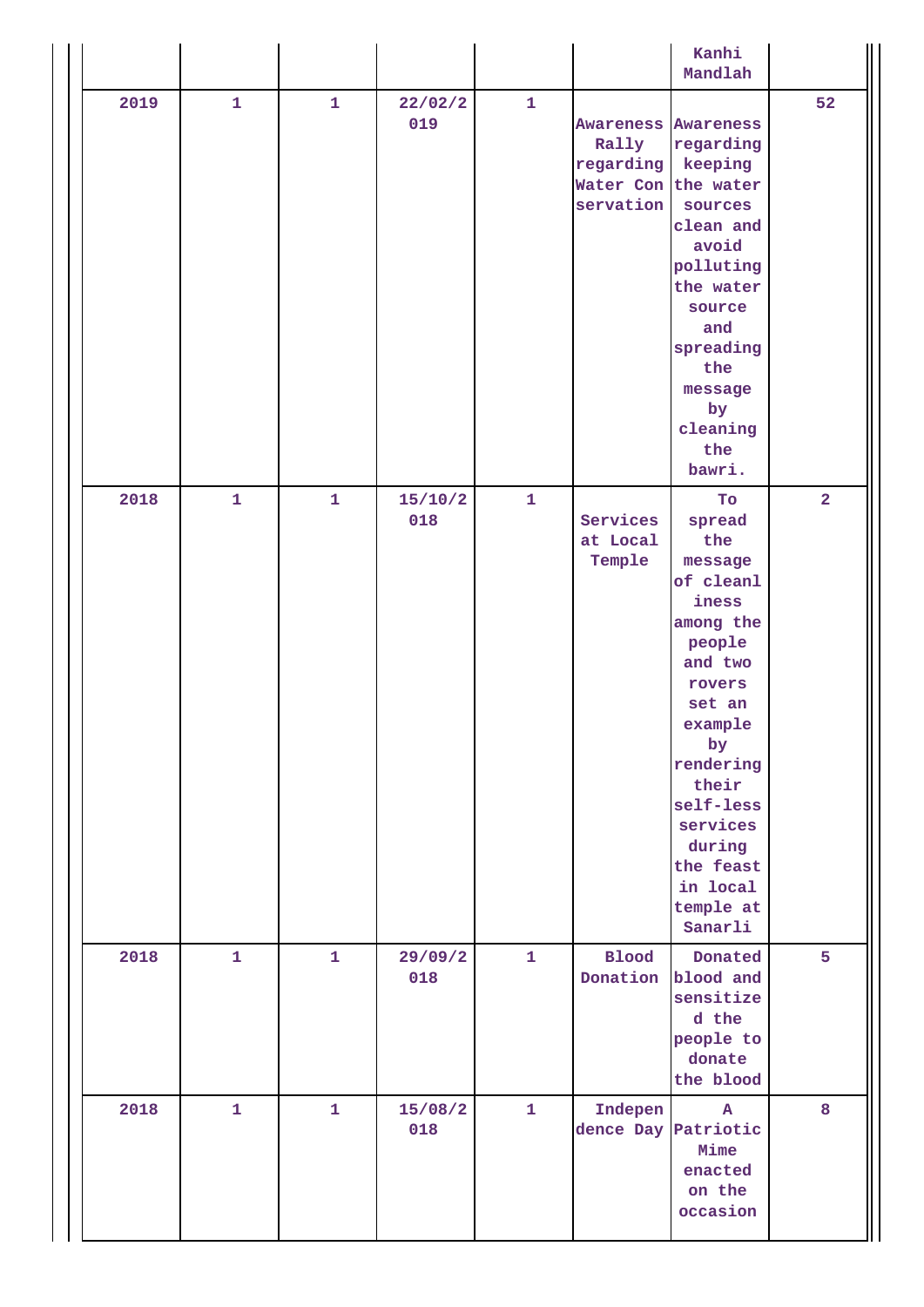|      |              |              |                |              |                                                                                      | Kanhi<br>Mandlah                                                                                                                                                                                                                      |                         |
|------|--------------|--------------|----------------|--------------|--------------------------------------------------------------------------------------|---------------------------------------------------------------------------------------------------------------------------------------------------------------------------------------------------------------------------------------|-------------------------|
| 2019 | $\mathbf{1}$ | $\mathbf{1}$ | 22/02/2<br>019 | $\mathbf{1}$ | <b>Awareness Awareness</b><br>Rally<br>regarding<br>Water Con the water<br>servation | regarding<br>keeping<br>sources<br>clean and<br>avoid<br>polluting<br>the water<br>source<br>and<br>spreading<br>the<br>message<br>by<br>cleaning<br>the<br>bawri.                                                                    | 52                      |
| 2018 | $\mathbf{1}$ | $\mathbf{1}$ | 15/10/2<br>018 | $\mathbf{1}$ | Services<br>at Local<br>Temple                                                       | To<br>spread<br>the<br>message<br>of cleanl<br>iness<br>among the<br>people<br>and two<br>rovers<br>set an<br>example<br>by<br>rendering<br>their<br>self-less<br>services<br>during<br>the feast<br>in local<br>temple at<br>Sanarli | $\overline{\mathbf{2}}$ |
| 2018 | $\mathbf{1}$ | $\mathbf{1}$ | 29/09/2<br>018 | $\mathbf 1$  | <b>Blood</b>                                                                         | Donated<br>Donation blood and<br>sensitize<br>d the<br>people to<br>donate<br>the blood                                                                                                                                               | 5                       |
| 2018 | $\mathbf{1}$ | $\mathbf{1}$ | 15/08/2<br>018 | $\mathbf 1$  | Indepen<br>dence Day                                                                 | ${\bf A}$<br>Patriotic<br>Mime<br>enacted<br>on the<br>occasion                                                                                                                                                                       | 8                       |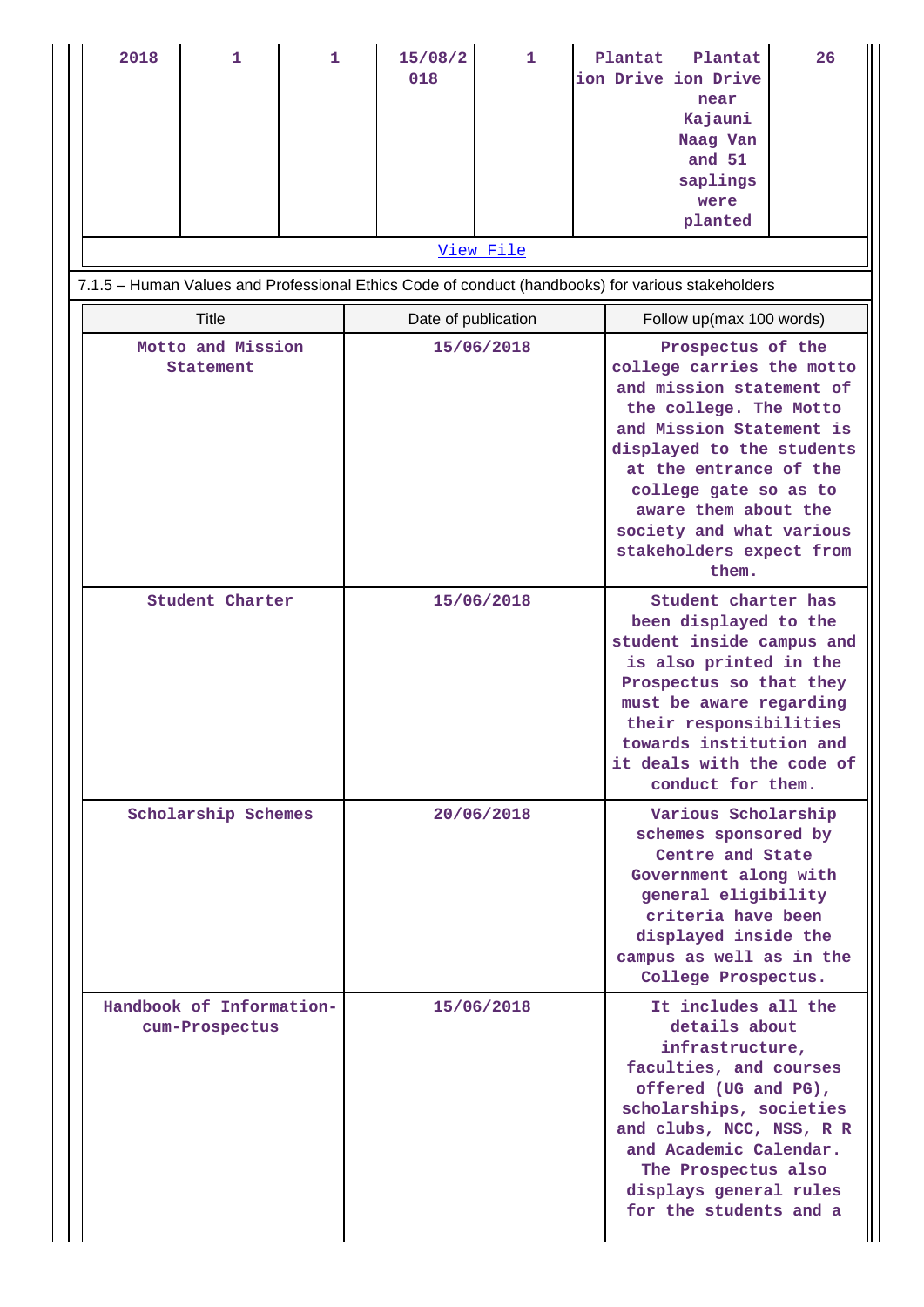| 2018                                                                                                                  | 1                                          | 1 |                     | 15/08/2<br>018 | $\mathbf{1}$ |  | Plantat                                                                                                                                                                                                                                                          | Plantat<br>ion Drive ion Drive<br>near<br>Kajauni<br>Naag Van<br>and 51<br>saplings<br>were<br>planted                                                                                                                                                                                                    | 26 |  |
|-----------------------------------------------------------------------------------------------------------------------|--------------------------------------------|---|---------------------|----------------|--------------|--|------------------------------------------------------------------------------------------------------------------------------------------------------------------------------------------------------------------------------------------------------------------|-----------------------------------------------------------------------------------------------------------------------------------------------------------------------------------------------------------------------------------------------------------------------------------------------------------|----|--|
| <u>View File</u><br>7.1.5 - Human Values and Professional Ethics Code of conduct (handbooks) for various stakeholders |                                            |   |                     |                |              |  |                                                                                                                                                                                                                                                                  |                                                                                                                                                                                                                                                                                                           |    |  |
|                                                                                                                       | <b>Title</b>                               |   | Date of publication |                |              |  | Follow up(max 100 words)                                                                                                                                                                                                                                         |                                                                                                                                                                                                                                                                                                           |    |  |
|                                                                                                                       | Motto and Mission<br>Statement             |   |                     |                | 15/06/2018   |  |                                                                                                                                                                                                                                                                  | Prospectus of the<br>college carries the motto<br>and mission statement of<br>the college. The Motto<br>and Mission Statement is<br>displayed to the students<br>at the entrance of the<br>college gate so as to<br>aware them about the<br>society and what various<br>stakeholders expect from<br>them. |    |  |
| Student Charter                                                                                                       |                                            |   | 15/06/2018          |                |              |  | Student charter has<br>been displayed to the<br>student inside campus and<br>is also printed in the<br>Prospectus so that they<br>must be aware regarding<br>their responsibilities<br>towards institution and<br>it deals with the code of<br>conduct for them. |                                                                                                                                                                                                                                                                                                           |    |  |
|                                                                                                                       | Scholarship Schemes                        |   |                     |                | 20/06/2018   |  |                                                                                                                                                                                                                                                                  | Various Scholarship<br>schemes sponsored by<br>Centre and State<br>Government along with<br>general eligibility<br>criteria have been<br>displayed inside the<br>campus as well as in the<br>College Prospectus.                                                                                          |    |  |
|                                                                                                                       | Handbook of Information-<br>cum-Prospectus |   |                     |                | 15/06/2018   |  |                                                                                                                                                                                                                                                                  | It includes all the<br>details about<br>infrastructure,<br>faculties, and courses<br>offered (UG and PG),<br>scholarships, societies<br>and clubs, NCC, NSS, R R<br>and Academic Calendar.<br>The Prospectus also<br>displays general rules<br>for the students and a                                     |    |  |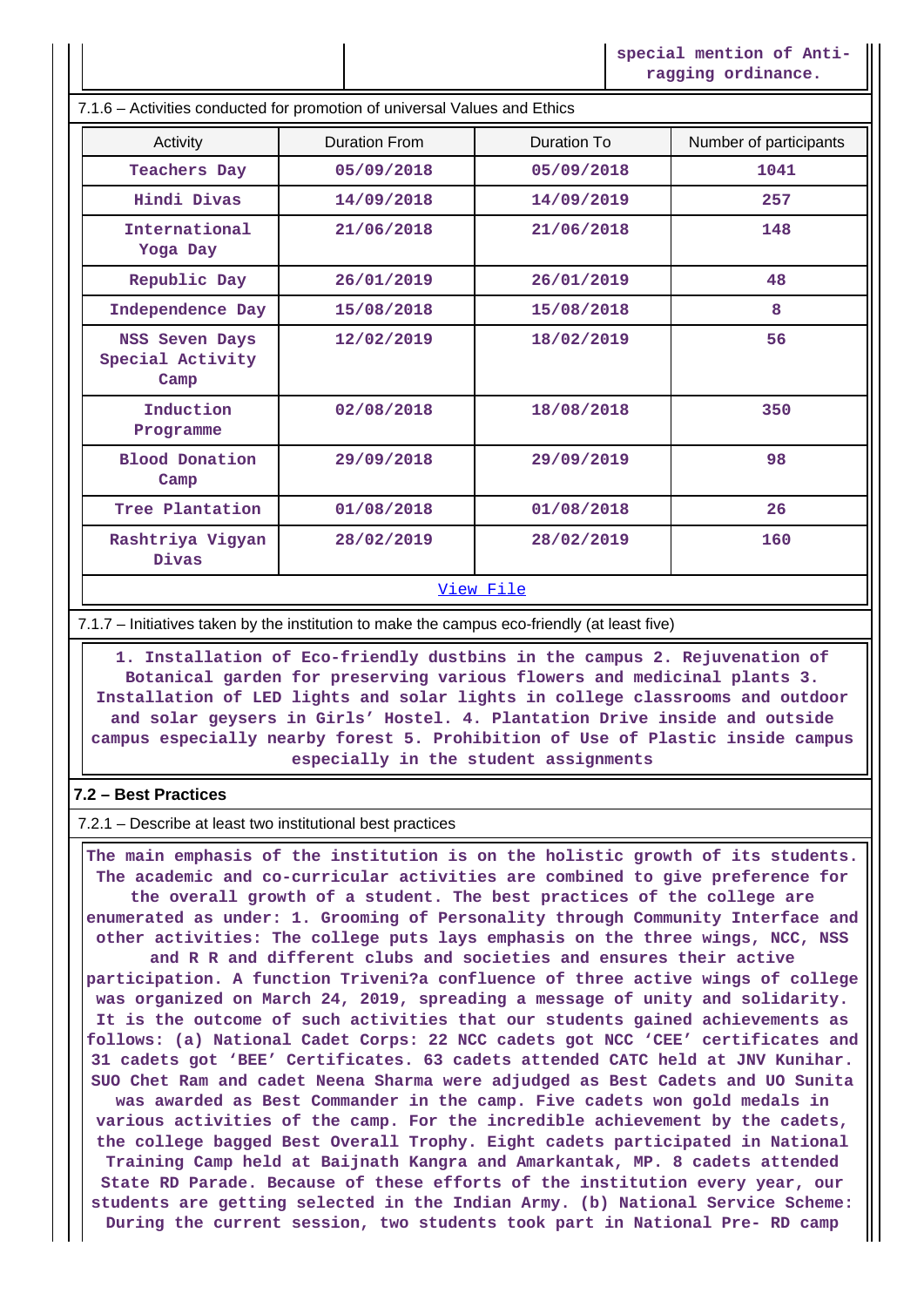**special mention of Antiragging ordinance.**

7.1.6 – Activities conducted for promotion of universal Values and Ethics

| Activity                                   | <b>Duration From</b> | Duration To | Number of participants |
|--------------------------------------------|----------------------|-------------|------------------------|
| Teachers Day                               | 05/09/2018           | 05/09/2018  | 1041                   |
| Hindi Divas                                | 14/09/2018           | 14/09/2019  | 257                    |
| International<br>Yoga Day                  | 21/06/2018           | 21/06/2018  | 148                    |
| Republic Day                               | 26/01/2019           | 26/01/2019  | 48                     |
| Independence Day                           | 15/08/2018           | 15/08/2018  | 8                      |
| NSS Seven Days<br>Special Activity<br>Camp | 12/02/2019           | 18/02/2019  | 56                     |
| Induction<br>Programme                     | 02/08/2018           | 18/08/2018  | 350                    |
| <b>Blood Donation</b><br>Camp              | 29/09/2018           | 29/09/2019  | 98                     |
| Tree Plantation                            | 01/08/2018           | 01/08/2018  | 26                     |
| Rashtriya Vigyan<br>Divas                  | 28/02/2019           | 28/02/2019  | 160                    |
|                                            |                      |             |                        |

#### [View File](https://assessmentonline.naac.gov.in/public/Postacc/promotion_activities/5154_promotion_activities_1625734806.xlsx)

7.1.7 – Initiatives taken by the institution to make the campus eco-friendly (at least five)

 **1. Installation of Eco-friendly dustbins in the campus 2. Rejuvenation of Botanical garden for preserving various flowers and medicinal plants 3. Installation of LED lights and solar lights in college classrooms and outdoor and solar geysers in Girls' Hostel. 4. Plantation Drive inside and outside campus especially nearby forest 5. Prohibition of Use of Plastic inside campus especially in the student assignments**

#### **7.2 – Best Practices**

7.2.1 – Describe at least two institutional best practices

 **The main emphasis of the institution is on the holistic growth of its students. The academic and co-curricular activities are combined to give preference for the overall growth of a student. The best practices of the college are enumerated as under: 1. Grooming of Personality through Community Interface and other activities: The college puts lays emphasis on the three wings, NCC, NSS and R R and different clubs and societies and ensures their active participation. A function Triveni?a confluence of three active wings of college was organized on March 24, 2019, spreading a message of unity and solidarity. It is the outcome of such activities that our students gained achievements as follows: (a) National Cadet Corps: 22 NCC cadets got NCC 'CEE' certificates and 31 cadets got 'BEE' Certificates. 63 cadets attended CATC held at JNV Kunihar. SUO Chet Ram and cadet Neena Sharma were adjudged as Best Cadets and UO Sunita was awarded as Best Commander in the camp. Five cadets won gold medals in various activities of the camp. For the incredible achievement by the cadets, the college bagged Best Overall Trophy. Eight cadets participated in National Training Camp held at Baijnath Kangra and Amarkantak, MP. 8 cadets attended State RD Parade. Because of these efforts of the institution every year, our students are getting selected in the Indian Army. (b) National Service Scheme: During the current session, two students took part in National Pre- RD camp**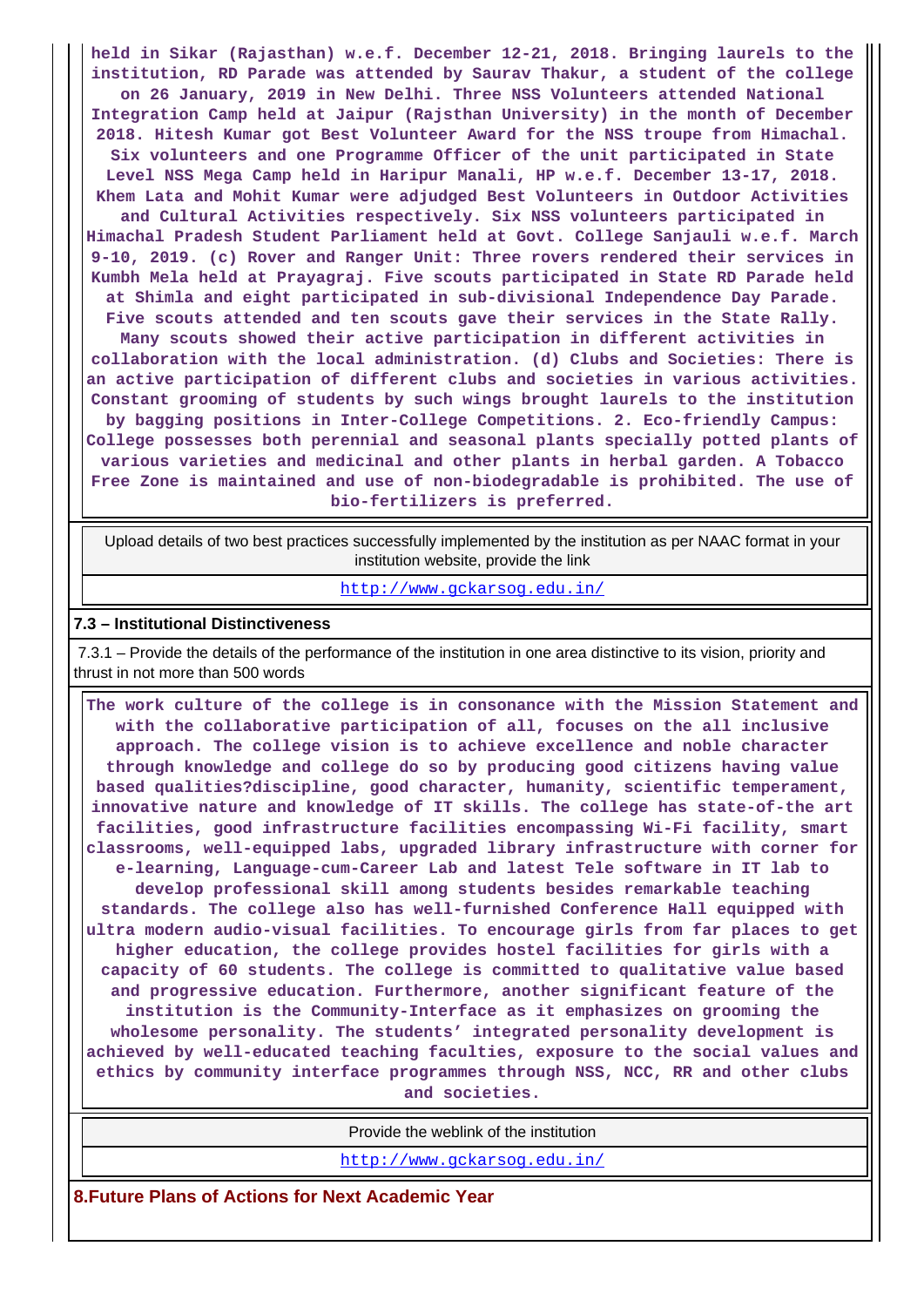**held in Sikar (Rajasthan) w.e.f. December 12-21, 2018. Bringing laurels to the institution, RD Parade was attended by Saurav Thakur, a student of the college on 26 January, 2019 in New Delhi. Three NSS Volunteers attended National Integration Camp held at Jaipur (Rajsthan University) in the month of December 2018. Hitesh Kumar got Best Volunteer Award for the NSS troupe from Himachal. Six volunteers and one Programme Officer of the unit participated in State Level NSS Mega Camp held in Haripur Manali, HP w.e.f. December 13-17, 2018. Khem Lata and Mohit Kumar were adjudged Best Volunteers in Outdoor Activities and Cultural Activities respectively. Six NSS volunteers participated in Himachal Pradesh Student Parliament held at Govt. College Sanjauli w.e.f. March 9-10, 2019. (c) Rover and Ranger Unit: Three rovers rendered their services in Kumbh Mela held at Prayagraj. Five scouts participated in State RD Parade held at Shimla and eight participated in sub-divisional Independence Day Parade. Five scouts attended and ten scouts gave their services in the State Rally. Many scouts showed their active participation in different activities in collaboration with the local administration. (d) Clubs and Societies: There is an active participation of different clubs and societies in various activities. Constant grooming of students by such wings brought laurels to the institution by bagging positions in Inter-College Competitions. 2. Eco-friendly Campus: College possesses both perennial and seasonal plants specially potted plants of various varieties and medicinal and other plants in herbal garden. A Tobacco Free Zone is maintained and use of non-biodegradable is prohibited. The use of bio-fertilizers is preferred.**

 Upload details of two best practices successfully implemented by the institution as per NAAC format in your institution website, provide the link

<http://www.gckarsog.edu.in/>

#### **7.3 – Institutional Distinctiveness**

 7.3.1 – Provide the details of the performance of the institution in one area distinctive to its vision, priority and thrust in not more than 500 words

 **The work culture of the college is in consonance with the Mission Statement and with the collaborative participation of all, focuses on the all inclusive approach. The college vision is to achieve excellence and noble character through knowledge and college do so by producing good citizens having value based qualities?discipline, good character, humanity, scientific temperament, innovative nature and knowledge of IT skills. The college has state-of-the art facilities, good infrastructure facilities encompassing Wi-Fi facility, smart classrooms, well-equipped labs, upgraded library infrastructure with corner for e-learning, Language-cum-Career Lab and latest Tele software in IT lab to develop professional skill among students besides remarkable teaching standards. The college also has well-furnished Conference Hall equipped with ultra modern audio-visual facilities. To encourage girls from far places to get higher education, the college provides hostel facilities for girls with a capacity of 60 students. The college is committed to qualitative value based and progressive education. Furthermore, another significant feature of the institution is the Community-Interface as it emphasizes on grooming the wholesome personality. The students' integrated personality development is achieved by well-educated teaching faculties, exposure to the social values and ethics by community interface programmes through NSS, NCC, RR and other clubs and societies.**

Provide the weblink of the institution

<http://www.gckarsog.edu.in/>

**8.Future Plans of Actions for Next Academic Year**